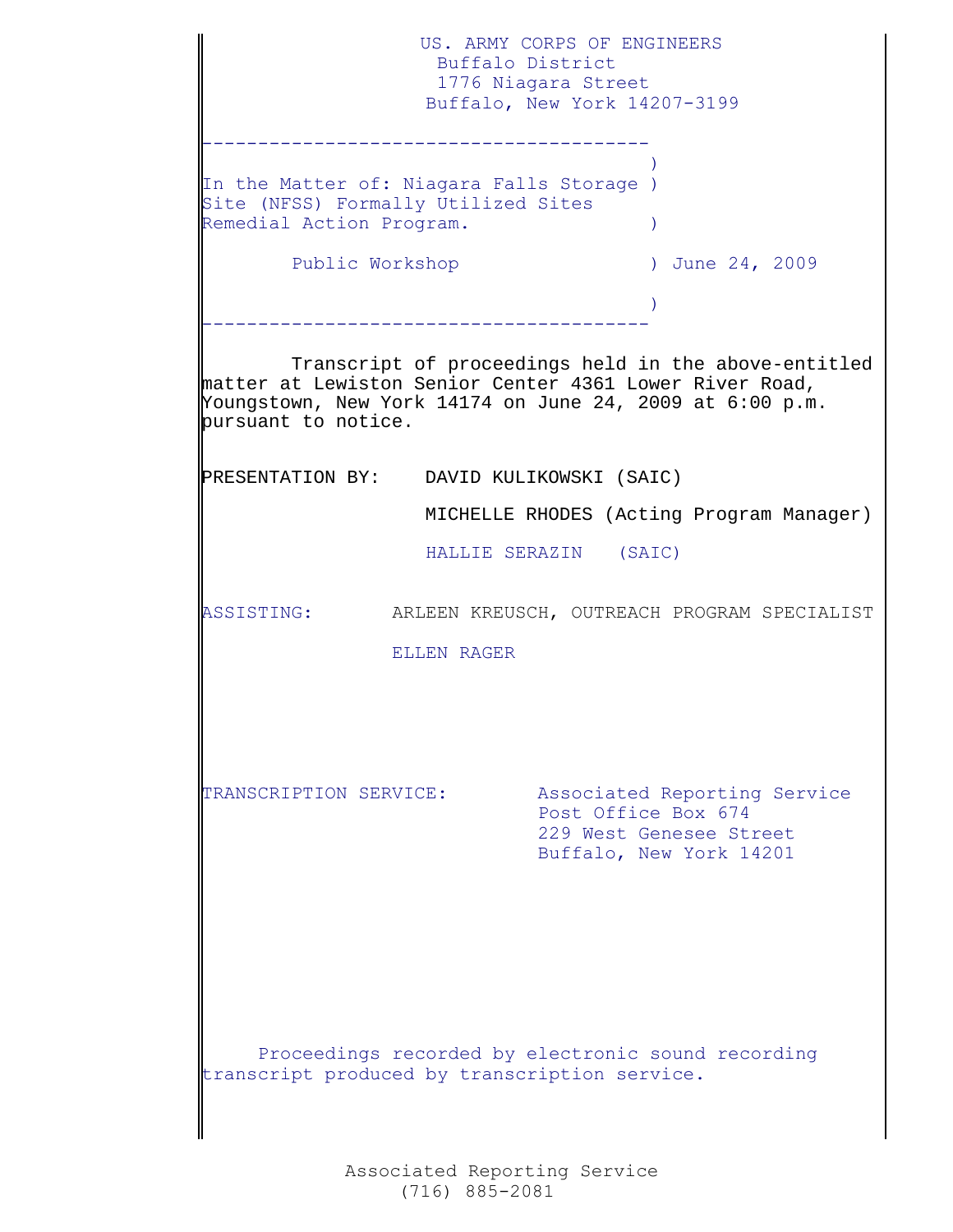US. ARMY CORPS OF ENGINEERS Buffalo District 1776 Niagara Street Buffalo, New York 14207-3199 ---------------------------------------- ) and the contract of  $\mathcal{L}$  and  $\mathcal{L}$  and  $\mathcal{L}$ In the Matter of: Niagara Falls Storage ) Site (NFSS) Formally Utilized Sites Remedial Action Program. Public Workshop (a) 3009 (a) 100 and 24, 2009 ) ---------------------------------------- Transcript of proceedings held in the above-entitled matter at Lewiston Senior Center 4361 Lower River Road, Youngstown, New York 14174 on June 24, 2009 at 6:00 p.m. pursuant to notice. PRESENTATION BY: DAVID KULIKOWSKI (SAIC)  $\mathbf{L}$  MICHELLE RHODES (Acting Program Manager) HALLIE SERAZIN (SAIC)  $\mathbf{L}$ ASSISTING: ARLEEN KREUSCH, OUTREACH PROGRAM SPECIALIST ELLEN RAGER  $\mathbf{L}$  $\mathbf{L}$ TRANSCRIPTION SERVICE: Associated Reporting Service Post Office Box 674 229 West Genesee Street Buffalo, New York 14201 Proceedings recorded by electronic sound recording transcript produced by transcription service.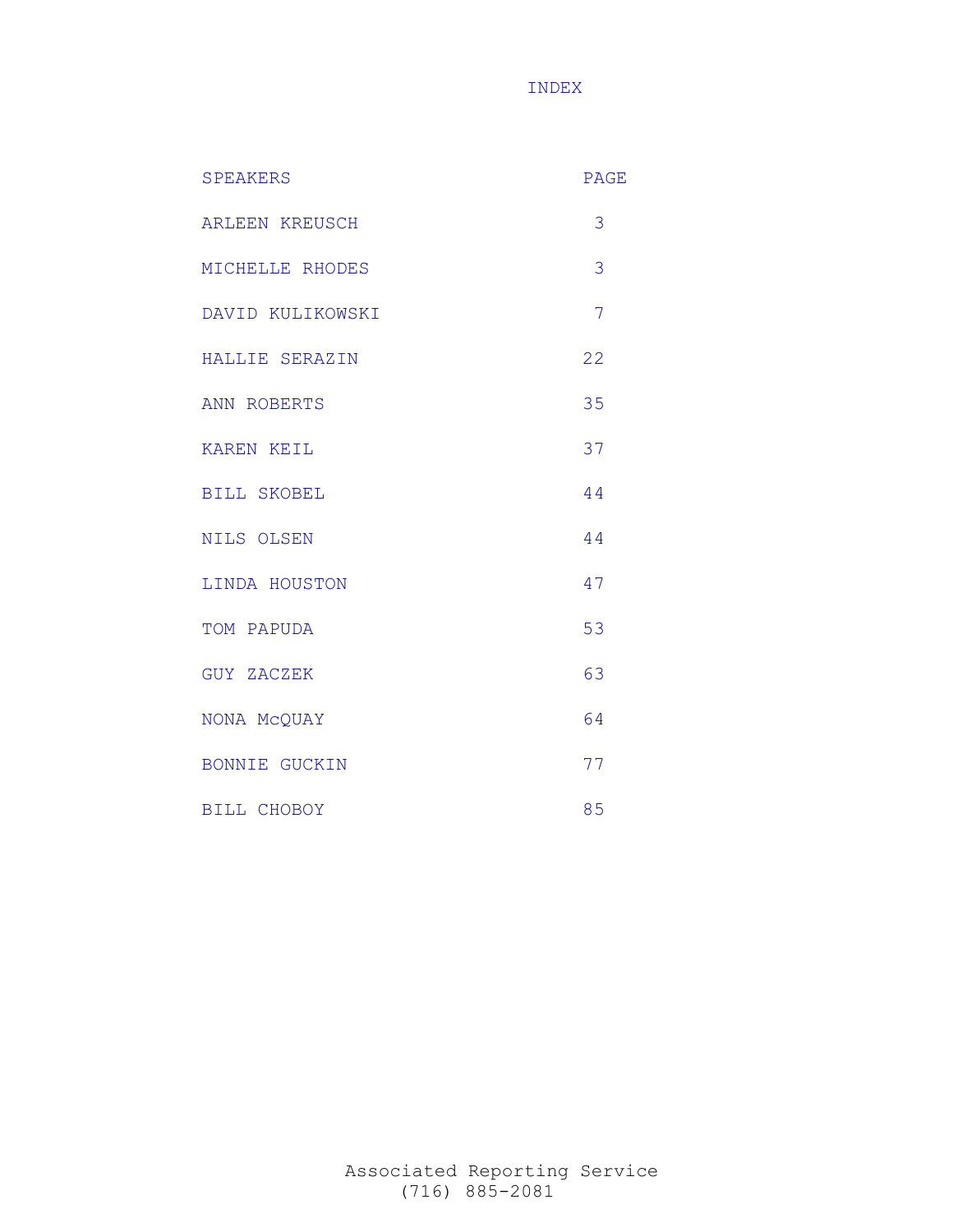INDEX

| <b>SPEAKERS</b>       | <b>PAGE</b>    |
|-----------------------|----------------|
| <b>ARLEEN KREUSCH</b> | 3              |
| MICHELLE RHODES       | 3              |
| DAVID KULIKOWSKI      | $\overline{7}$ |
| HALLIE SERAZIN        | 22             |
| ANN ROBERTS           | 35             |
| KAREN KEIL            | 37             |
| <b>BILL SKOBEL</b>    | 44             |
| NILS OLSEN            | 44             |
| LINDA HOUSTON         | 47             |
| TOM PAPUDA            | 53             |
| GUY ZACZEK            | 63             |
| NONA McQUAY           | 64             |
| <b>BONNIE GUCKIN</b>  | 77             |
| BILL CHOBOY           | 85             |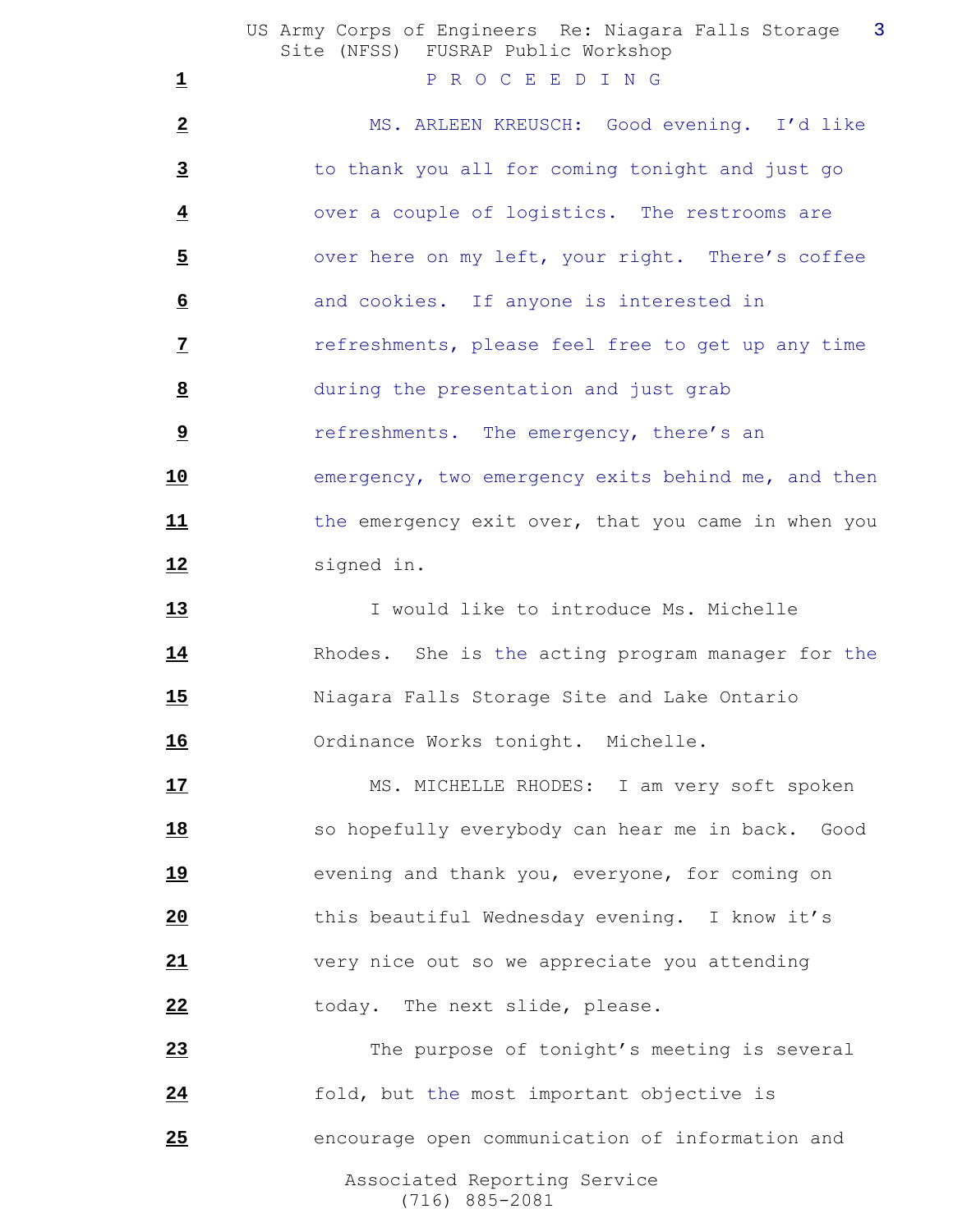|                         | US Army Corps of Engineers Re: Niagara Falls Storage<br>$\overline{\phantom{a}}$ 3<br>Site (NFSS) FUSRAP Public Workshop |
|-------------------------|--------------------------------------------------------------------------------------------------------------------------|
| $\overline{\mathbf{1}}$ | P R O C E E D I N G                                                                                                      |
| $\overline{2}$          | MS. ARLEEN KREUSCH: Good evening. I'd like                                                                               |
| $\overline{3}$          | to thank you all for coming tonight and just go                                                                          |
| $\overline{\mathbf{4}}$ | over a couple of logistics. The restrooms are                                                                            |
| $\overline{5}$          | over here on my left, your right. There's coffee                                                                         |
| $\underline{6}$         | and cookies. If anyone is interested in                                                                                  |
| $\overline{z}$          | refreshments, please feel free to get up any time                                                                        |
| 8                       | during the presentation and just grab                                                                                    |
| $\overline{9}$          | refreshments. The emergency, there's an                                                                                  |
| <u>10</u>               | emergency, two emergency exits behind me, and then                                                                       |
| 11                      | the emergency exit over, that you came in when you                                                                       |
| 12                      | signed in.                                                                                                               |
| 13                      | I would like to introduce Ms. Michelle                                                                                   |
| <u>14</u>               | Rhodes. She is the acting program manager for the                                                                        |
| <u>15</u>               | Niagara Falls Storage Site and Lake Ontario                                                                              |
| 16                      | Ordinance Works tonight. Michelle.                                                                                       |
| 17                      | MS. MICHELLE RHODES: I am very soft spoken                                                                               |
| <u>18</u>               | so hopefully everybody can hear me in back. Good                                                                         |
| <u>19</u>               | evening and thank you, everyone, for coming on                                                                           |
| 20                      | this beautiful Wednesday evening. I know it's                                                                            |
| 21                      | very nice out so we appreciate you attending                                                                             |
| 22                      | today. The next slide, please.                                                                                           |
| 23                      | The purpose of tonight's meeting is several                                                                              |
| 24                      | fold, but the most important objective is                                                                                |
| 25                      | encourage open communication of information and                                                                          |
|                         | Associated Reporting Service                                                                                             |

(716) 885-2081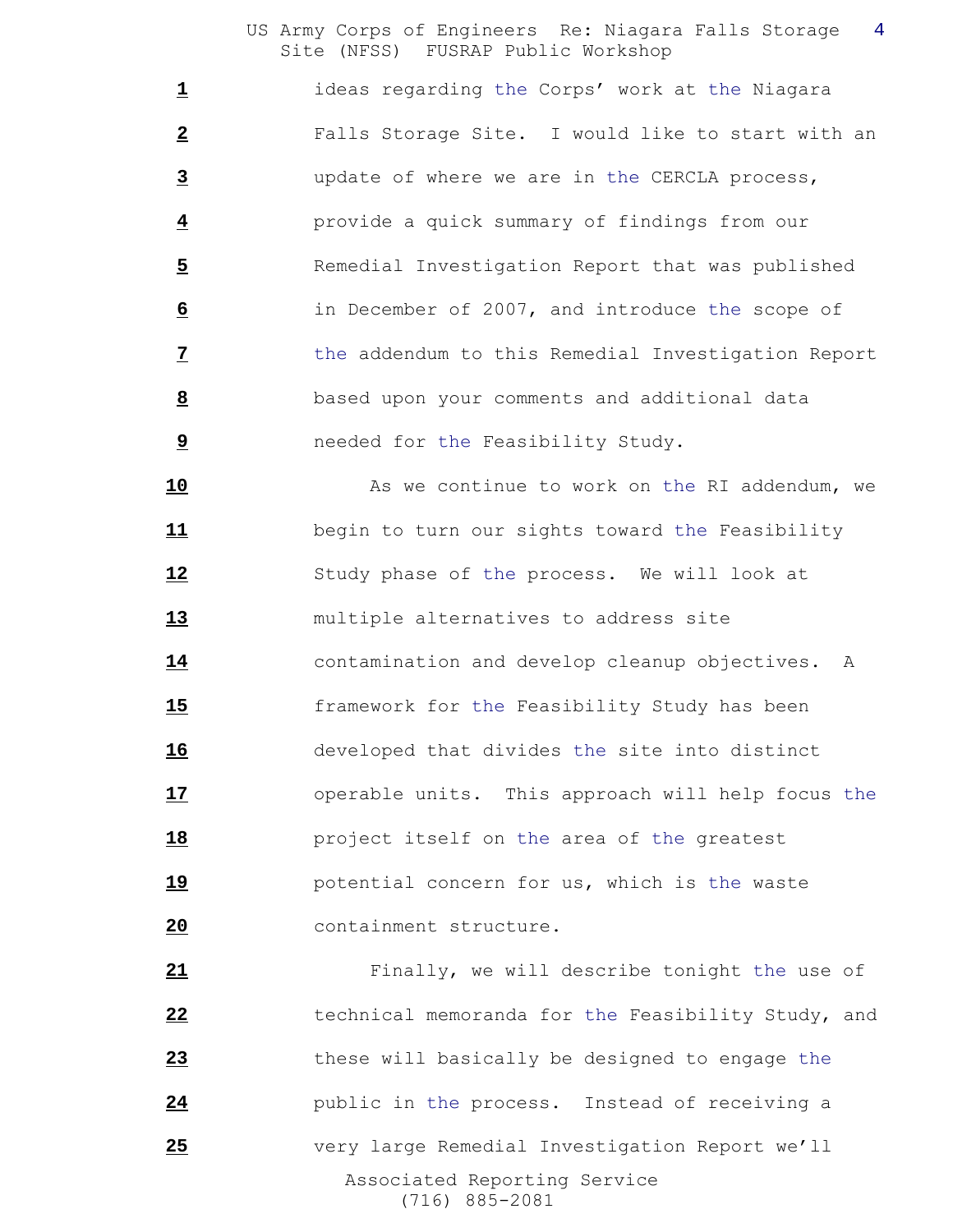ideas regarding the Corps' work at the Niagara Falls Storage Site. I would like to start with an update of where we are in the CERCLA process, provide a quick summary of findings from our Remedial Investigation Report that was published in December of 2007, and introduce the scope of the addendum to this Remedial Investigation Report based upon your comments and additional data needed for the Feasibility Study.

10 As we continue to work on the RI addendum, we begin to turn our sights toward the Feasibility Study phase of the process. We will look at multiple alternatives to address site contamination and develop cleanup objectives. A framework for the Feasibility Study has been developed that divides the site into distinct operable units. This approach will help focus the project itself on the area of the greatest potential concern for us, which is the waste containment structure.

 Associated Reporting Service (716) 885-2081 Finally, we will describe tonight the use of technical memoranda for the Feasibility Study, and these will basically be designed to engage the **24** public in the process. Instead of receiving a very large Remedial Investigation Report we'll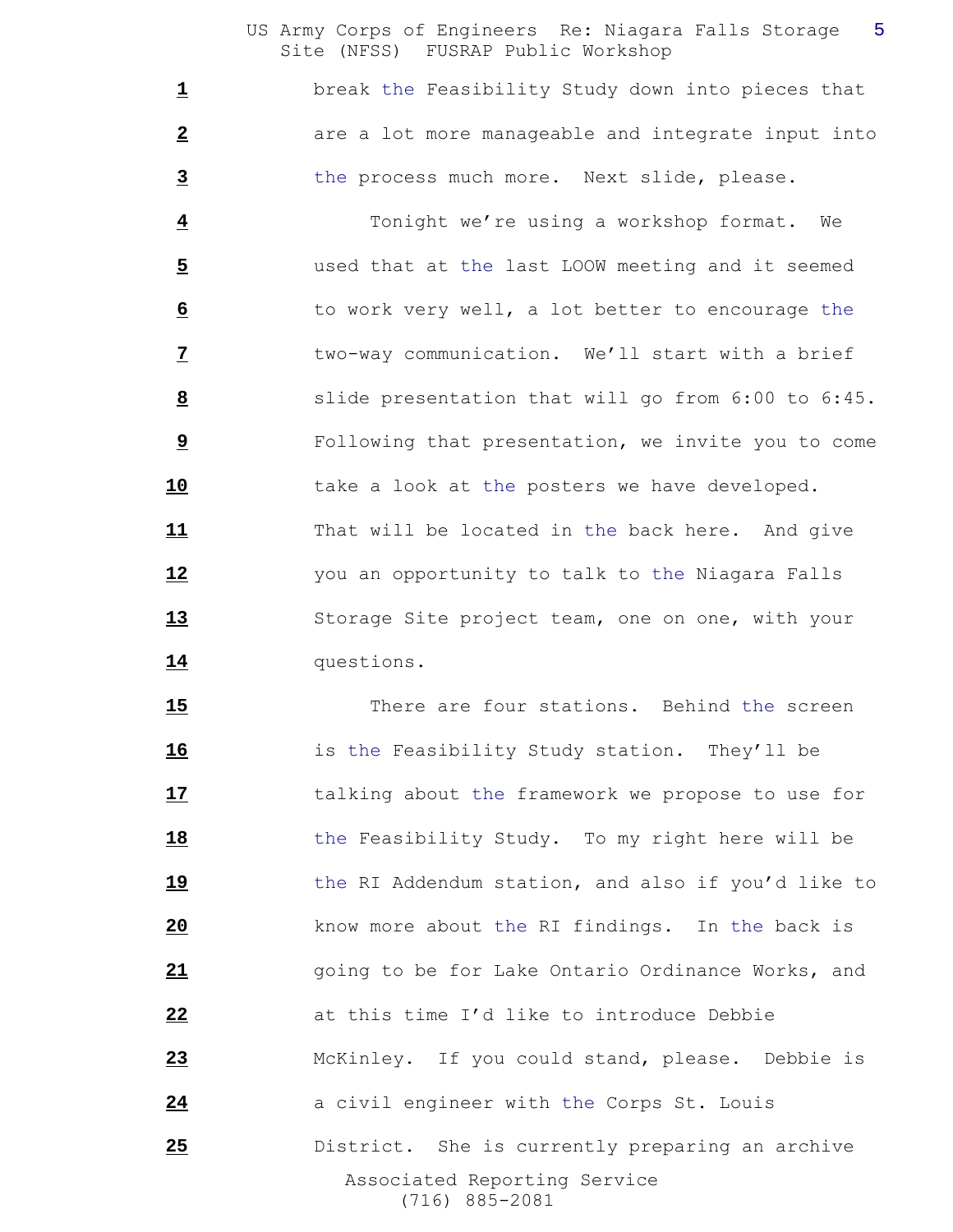break the Feasibility Study down into pieces that **are a lot more manageable and integrate input into** the process much more. Next slide, please.

 Tonight we're using a workshop format. We used that at the last LOOW meeting and it seemed to work very well, a lot better to encourage the two-way communication. We'll start with a brief slide presentation that will go from 6:00 to 6:45. Following that presentation, we invite you to come take a look at the posters we have developed. That will be located in the back here. And give you an opportunity to talk to the Niagara Falls Storage Site project team, one on one, with your questions.

 Associated Reporting Service (716) 885-2081 There are four stations. Behind the screen is the Feasibility Study station. They'll be talking about the framework we propose to use for the Feasibility Study. To my right here will be the RI Addendum station, and also if you'd like to know more about the RI findings. In the back is going to be for Lake Ontario Ordinance Works, and at this time I'd like to introduce Debbie McKinley. If you could stand, please. Debbie is **a** civil engineer with the Corps St. Louis District. She is currently preparing an archive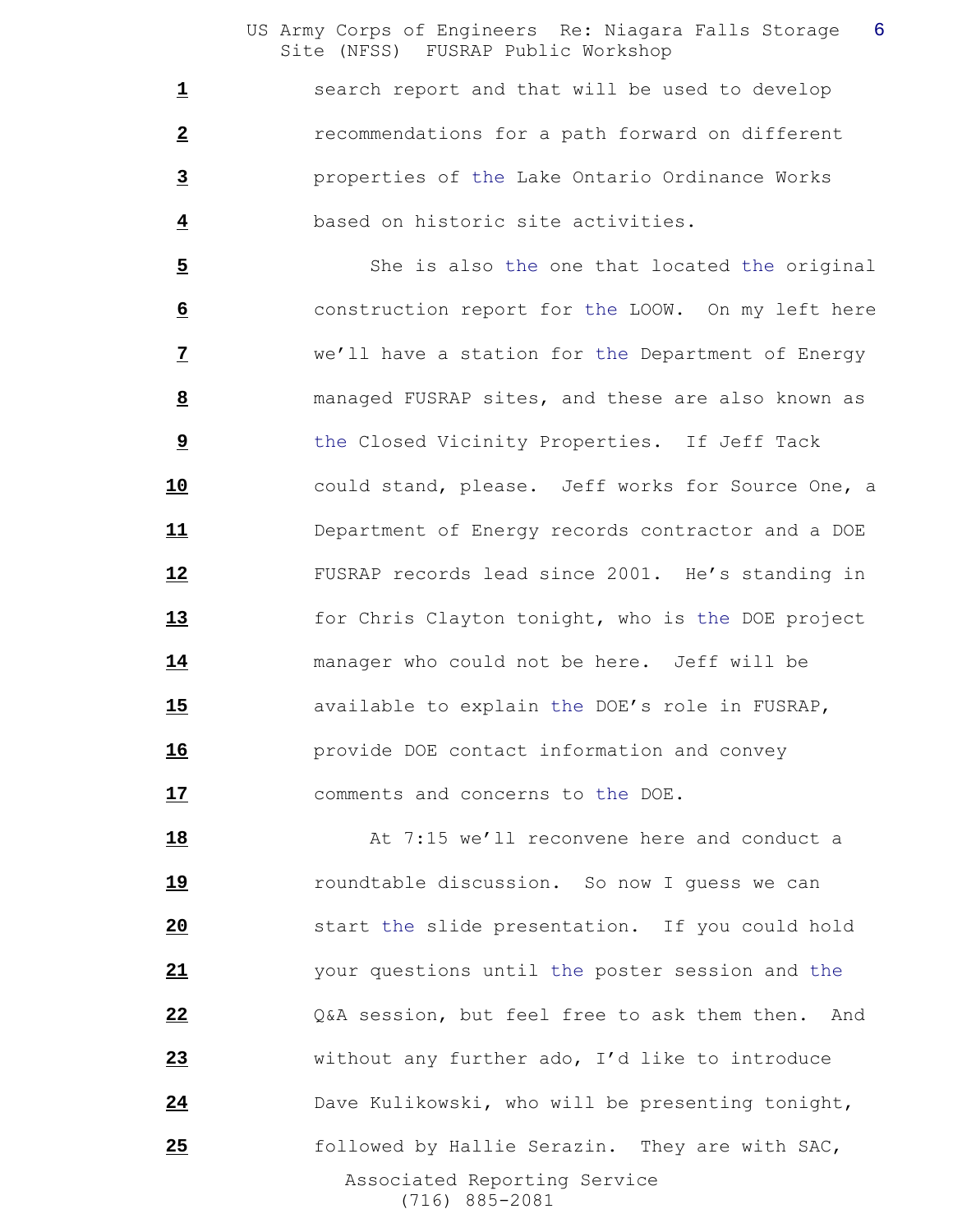1 search report and that will be used to develop recommendations for a path forward on different properties of the Lake Ontario Ordinance Works based on historic site activities.

 She is also the one that located the original construction report for the LOOW. On my left here we'll have a station for the Department of Energy managed FUSRAP sites, and these are also known as the Closed Vicinity Properties. If Jeff Tack could stand, please. Jeff works for Source One, a Department of Energy records contractor and a DOE FUSRAP records lead since 2001. He's standing in for Chris Clayton tonight, who is the DOE project manager who could not be here. Jeff will be available to explain the DOE's role in FUSRAP, provide DOE contact information and convey comments and concerns to the DOE.

 Associated Reporting Service (716) 885-2081 At 7:15 we'll reconvene here and conduct a roundtable discussion. So now I guess we can start the slide presentation. If you could hold your questions until the poster session and the Q&A session, but feel free to ask them then. And without any further ado, I'd like to introduce Dave Kulikowski, who will be presenting tonight, followed by Hallie Serazin. They are with SAC,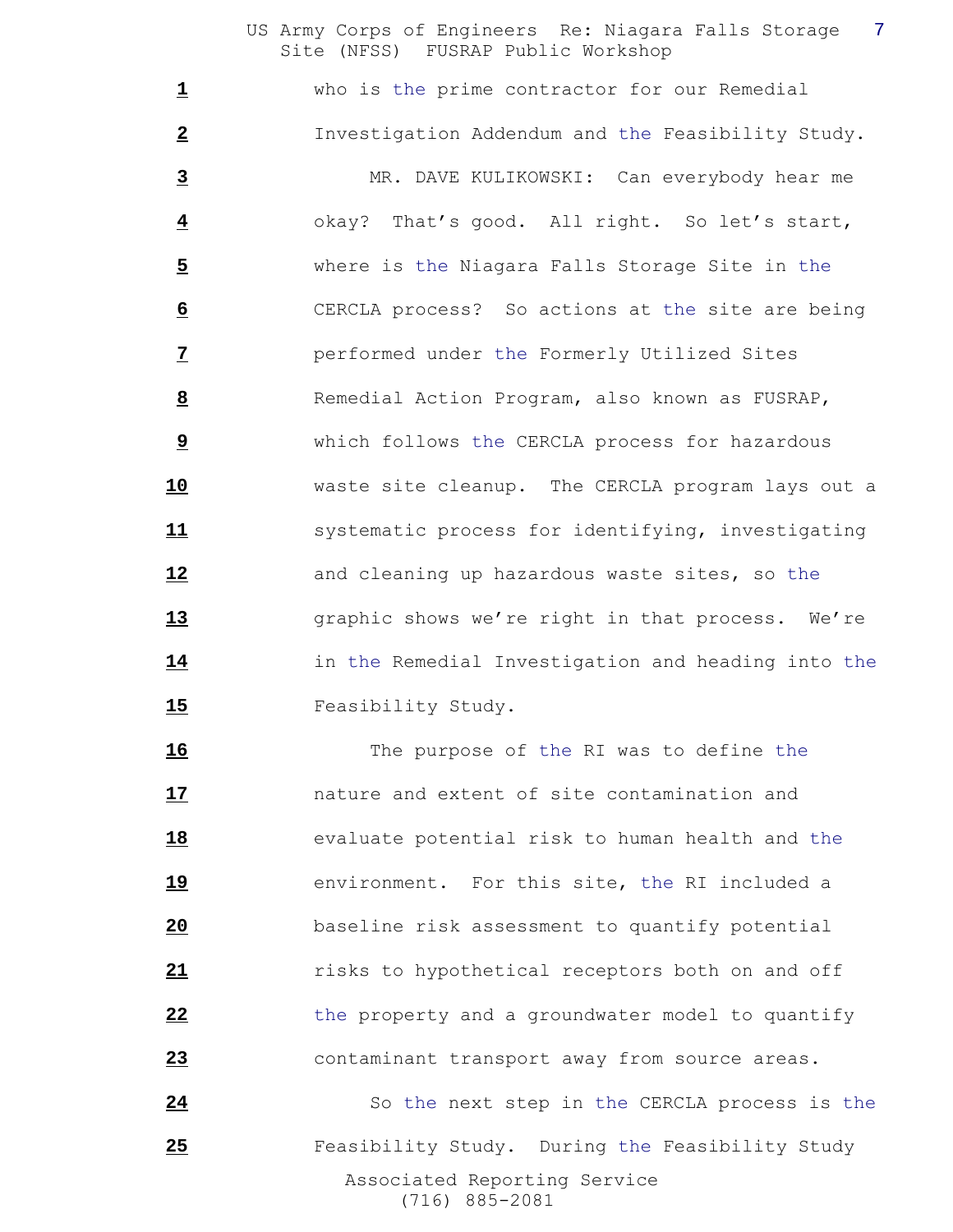who is the prime contractor for our Remedial Investigation Addendum and the Feasibility Study. MR. DAVE KULIKOWSKI: Can everybody hear me okay? That's good. All right. So let's start, where is the Niagara Falls Storage Site in the CERCLA process? So actions at the site are being performed under the Formerly Utilized Sites 8 Remedial Action Program, also known as FUSRAP, which follows the CERCLA process for hazardous waste site cleanup. The CERCLA program lays out a **11** systematic process for identifying, investigating and cleaning up hazardous waste sites, so the graphic shows we're right in that process. We're in the Remedial Investigation and heading into the 15 Feasibility Study.

 The purpose of the RI was to define the nature and extent of site contamination and evaluate potential risk to human health and the environment. For this site, the RI included a baseline risk assessment to quantify potential *risks to hypothetical receptors both on and off*  the property and a groundwater model to quantify contaminant transport away from source areas.

 Associated Reporting Service (716) 885-2081 24 So the next step in the CERCLA process is the Feasibility Study. During the Feasibility Study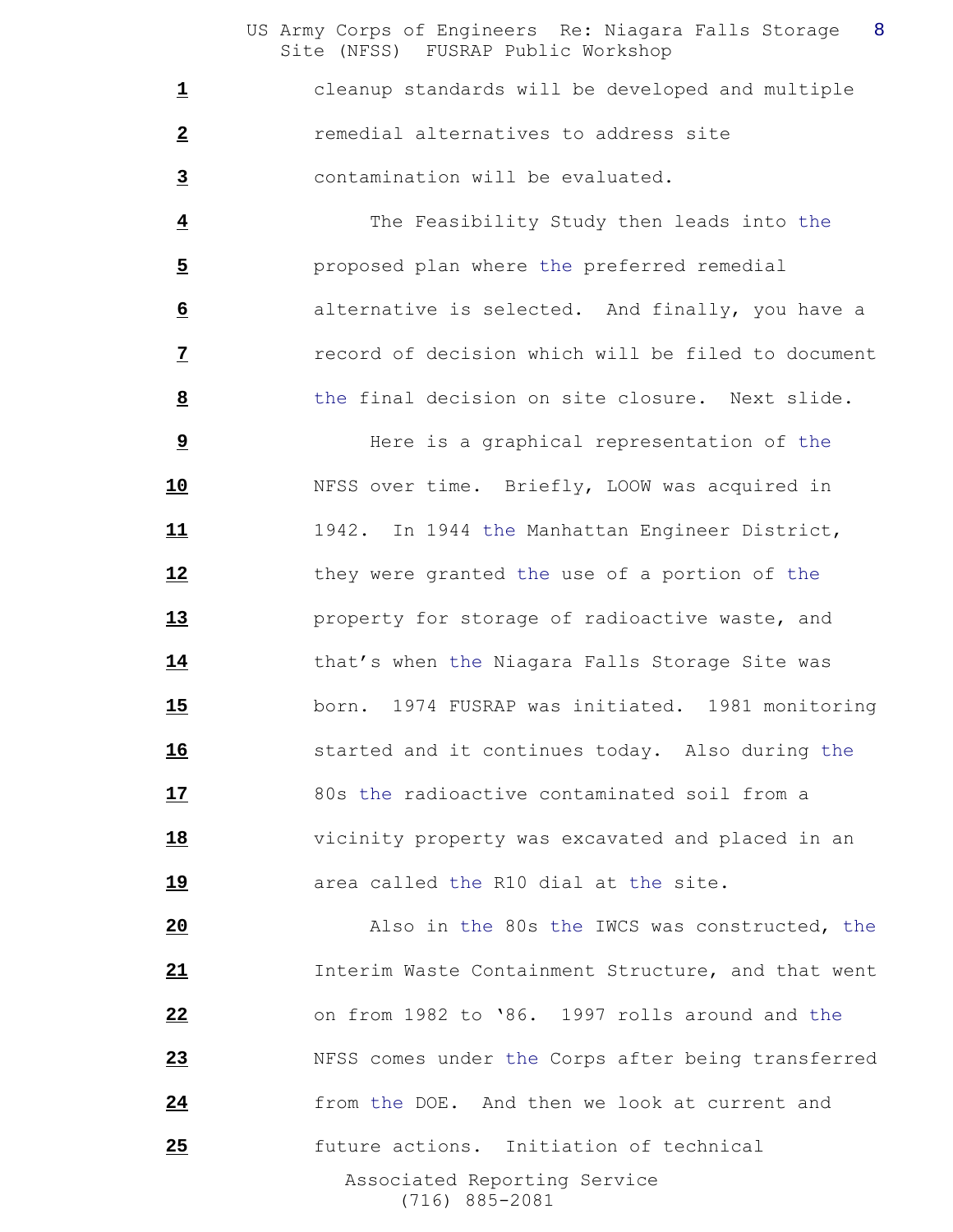cleanup standards will be developed and multiple **2** remedial alternatives to address site contamination will be evaluated.

 The Feasibility Study then leads into the proposed plan where the preferred remedial alternative is selected. And finally, you have a record of decision which will be filed to document the final decision on site closure. Next slide.

 Here is a graphical representation of the NFSS over time. Briefly, LOOW was acquired in 1942. In 1944 the Manhattan Engineer District, they were granted the use of a portion of the property for storage of radioactive waste, and that's when the Niagara Falls Storage Site was born. 1974 FUSRAP was initiated. 1981 monitoring started and it continues today. Also during the 80s the radioactive contaminated soil from a vicinity property was excavated and placed in an **area called the R10 dial at the site.** 

 Associated Reporting Service (716) 885-2081 Also in the 80s the IWCS was constructed, the Interim Waste Containment Structure, and that went on from 1982 to '86. 1997 rolls around and the NFSS comes under the Corps after being transferred from the DOE. And then we look at current and future actions. Initiation of technical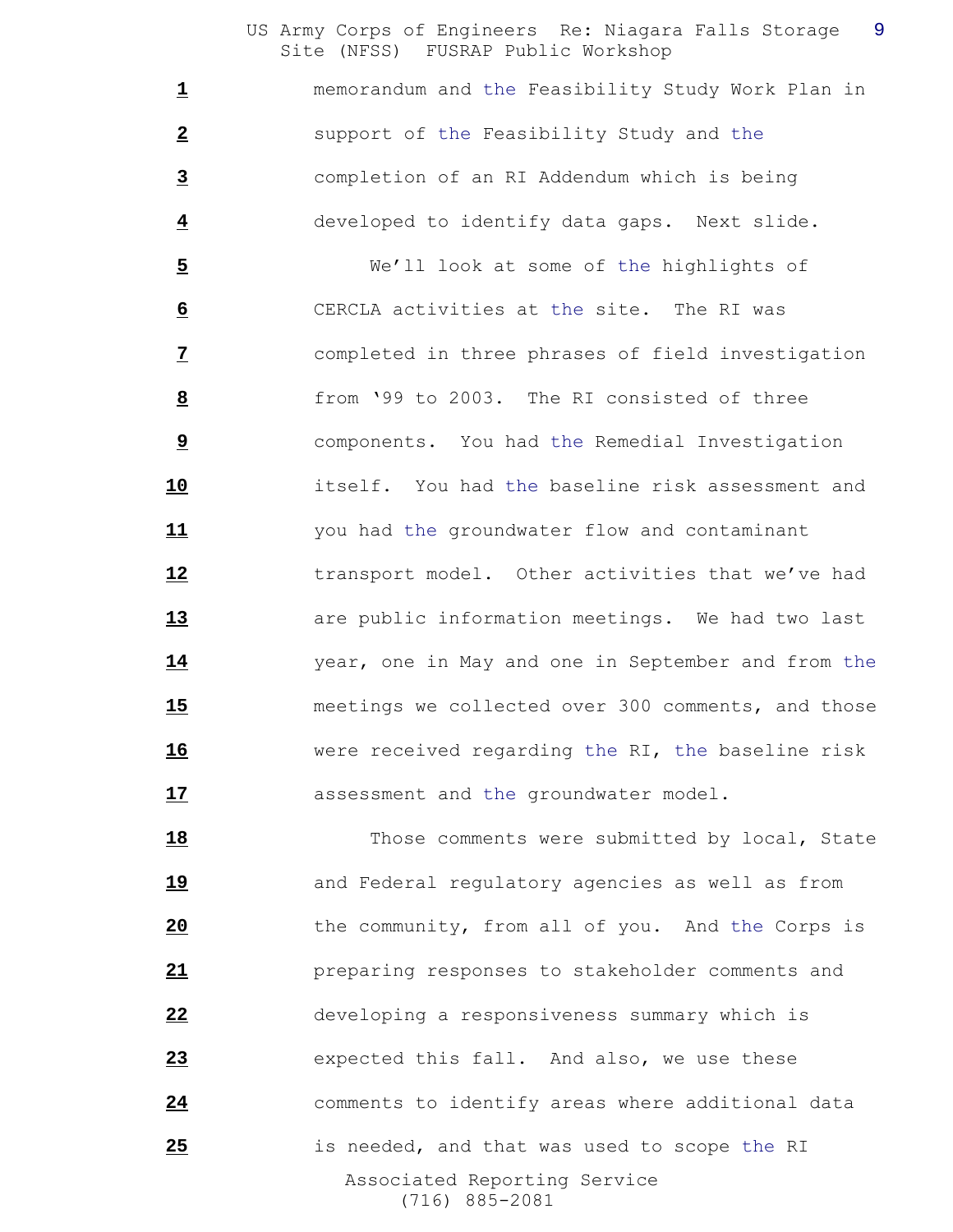memorandum and the Feasibility Study Work Plan in support of the Feasibility Study and the completion of an RI Addendum which is being developed to identify data gaps. Next slide.

 We'll look at some of the highlights of CERCLA activities at the site. The RI was completed in three phrases of field investigation from '99 to 2003. The RI consisted of three components. You had the Remedial Investigation itself. You had the baseline risk assessment and you had the groundwater flow and contaminant **12** transport model. Other activities that we've had are public information meetings. We had two last year, one in May and one in September and from the meetings we collected over 300 comments, and those were received regarding the RI, the baseline risk **17** assessment and the groundwater model.

 Associated Reporting Service (716) 885-2081 18 Those comments were submitted by local, State **19 and Federal requlatory agencies as well as from**  the community, from all of you. And the Corps is preparing responses to stakeholder comments and developing a responsiveness summary which is expected this fall. And also, we use these comments to identify areas where additional data is needed, and that was used to scope the RI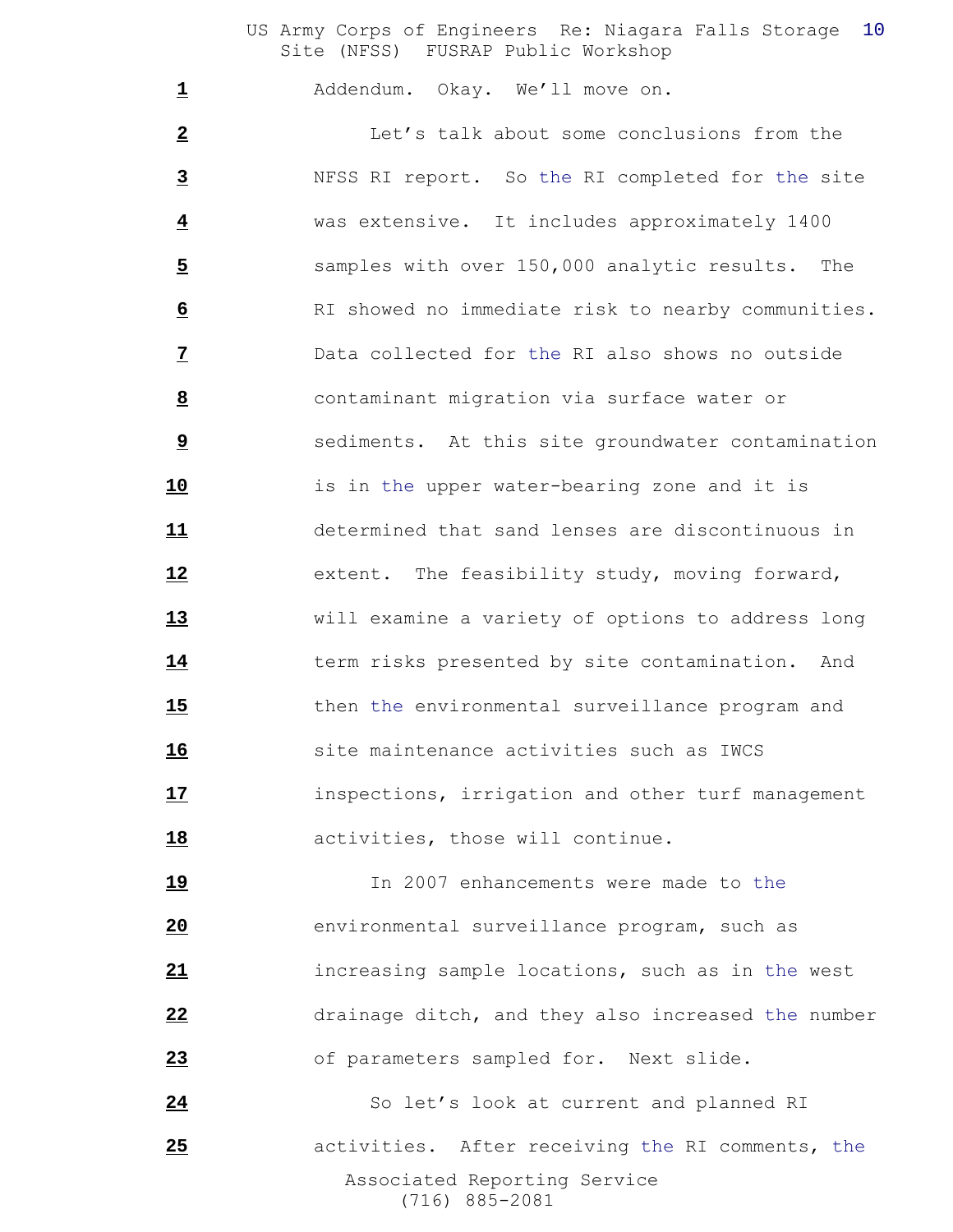Addendum. Okay. We'll move on.

 Let's talk about some conclusions from the NFSS RI report. So the RI completed for the site was extensive. It includes approximately 1400 samples with over 150,000 analytic results. The RI showed no immediate risk to nearby communities. Data collected for the RI also shows no outside contaminant migration via surface water or sediments. At this site groundwater contamination is in the upper water-bearing zone and it is determined that sand lenses are discontinuous in extent. The feasibility study, moving forward, will examine a variety of options to address long term risks presented by site contamination. And then the environmental surveillance program and site maintenance activities such as IWCS inspections, irrigation and other turf management activities, those will continue.

 In 2007 enhancements were made to the environmental surveillance program, such as increasing sample locations, such as in the west drainage ditch, and they also increased the number of parameters sampled for. Next slide.

 Associated Reporting Service (716) 885-2081 24 So let's look at current and planned RI activities. After receiving the RI comments, the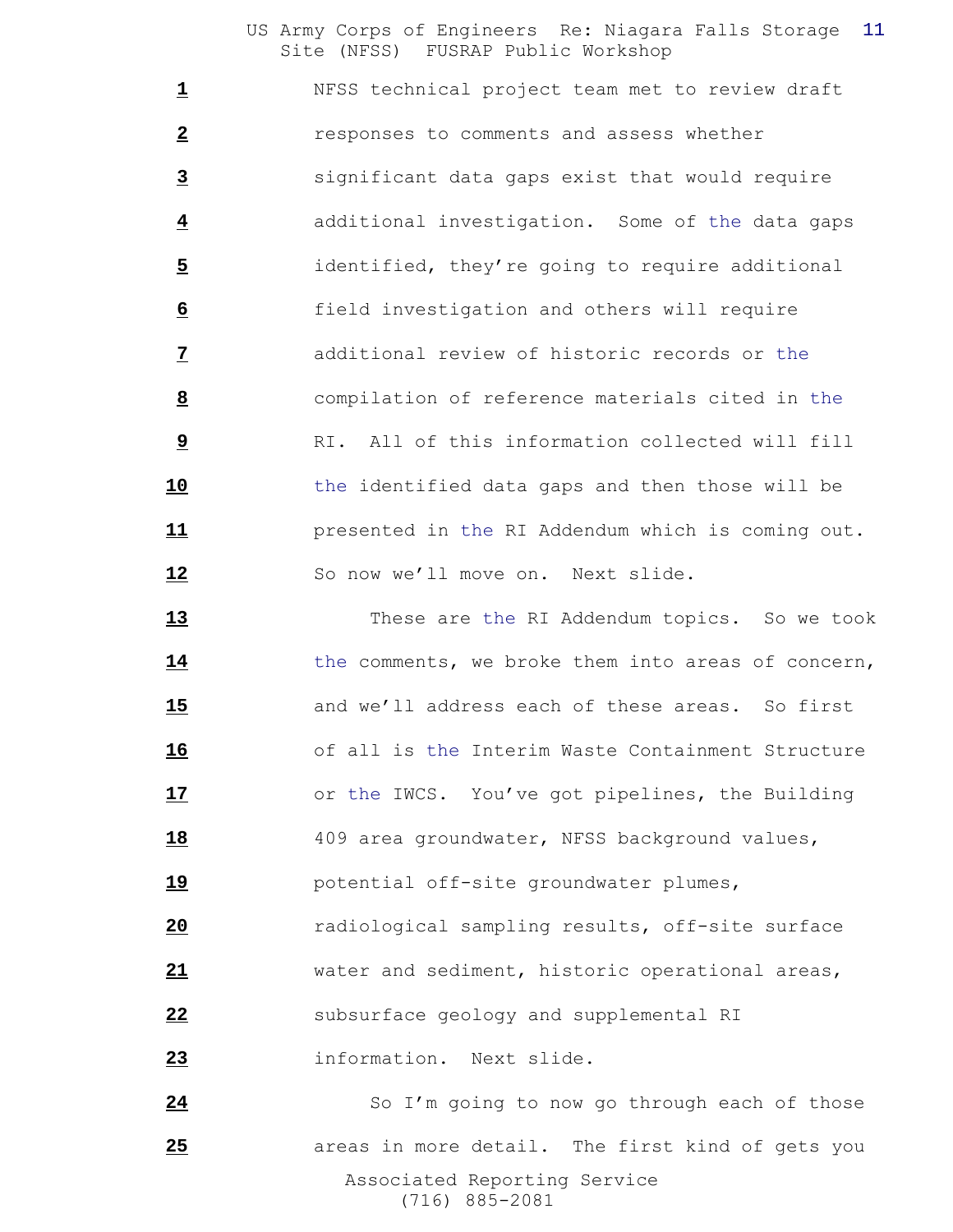NFSS technical project team met to review draft responses to comments and assess whether significant data gaps exist that would require additional investigation. Some of the data gaps identified, they're going to require additional field investigation and others will require additional review of historic records or the compilation of reference materials cited in the RI. All of this information collected will fill the identified data gaps and then those will be presented in the RI Addendum which is coming out. 12 So now we'll move on. Next slide.

 These are the RI Addendum topics. So we took 14 the comments, we broke them into areas of concern, and we'll address each of these areas. So first of all is the Interim Waste Containment Structure or the IWCS. You've got pipelines, the Building 18 409 area groundwater, NFSS background values, potential off-site groundwater plumes, radiological sampling results, off-site surface water and sediment, historic operational areas, 22 subsurface geology and supplemental RI information. Next slide. So I'm going to now go through each of those areas in more detail. The first kind of gets you

> Associated Reporting Service (716) 885-2081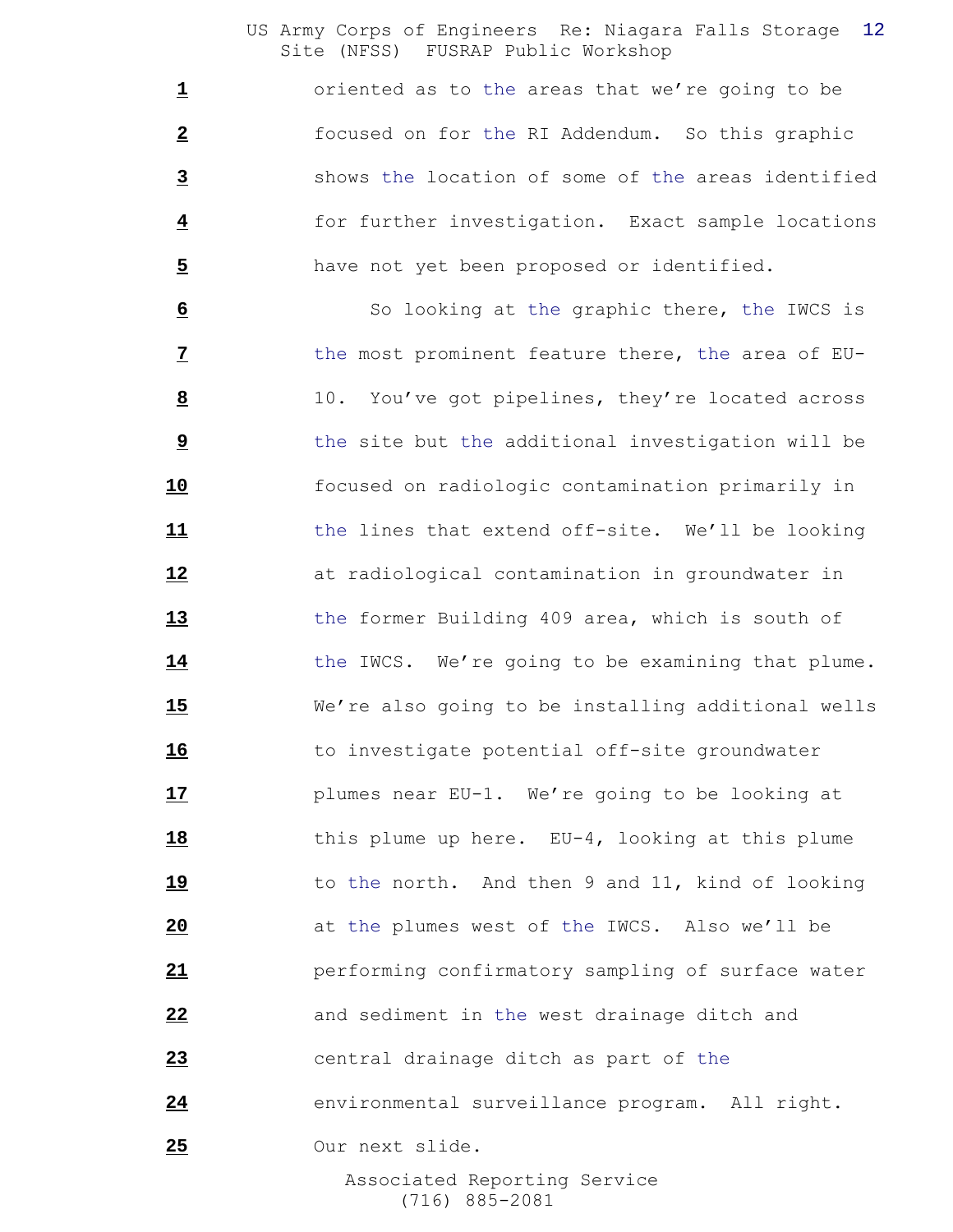oriented as to the areas that we're going to be focused on for the RI Addendum. So this graphic shows the location of some of the areas identified for further investigation. Exact sample locations have not yet been proposed or identified.

 So looking at the graphic there, the IWCS is the most prominent feature there, the area of EU- 10. You've got pipelines, they're located across **b** the site but the additional investigation will be focused on radiologic contamination primarily in the lines that extend off-site. We'll be looking at radiological contamination in groundwater in the former Building 409 area, which is south of 14 the IWCS. We're going to be examining that plume. We're also going to be installing additional wells 16 to investigate potential off-site groundwater plumes near EU-1. We're going to be looking at this plume up here. EU-4, looking at this plume to the north. And then 9 and 11, kind of looking at the plumes west of the IWCS. Also we'll be performing confirmatory sampling of surface water and sediment in the west drainage ditch and central drainage ditch as part of the environmental surveillance program. All right. Our next slide.

 Associated Reporting Service (716) 885-2081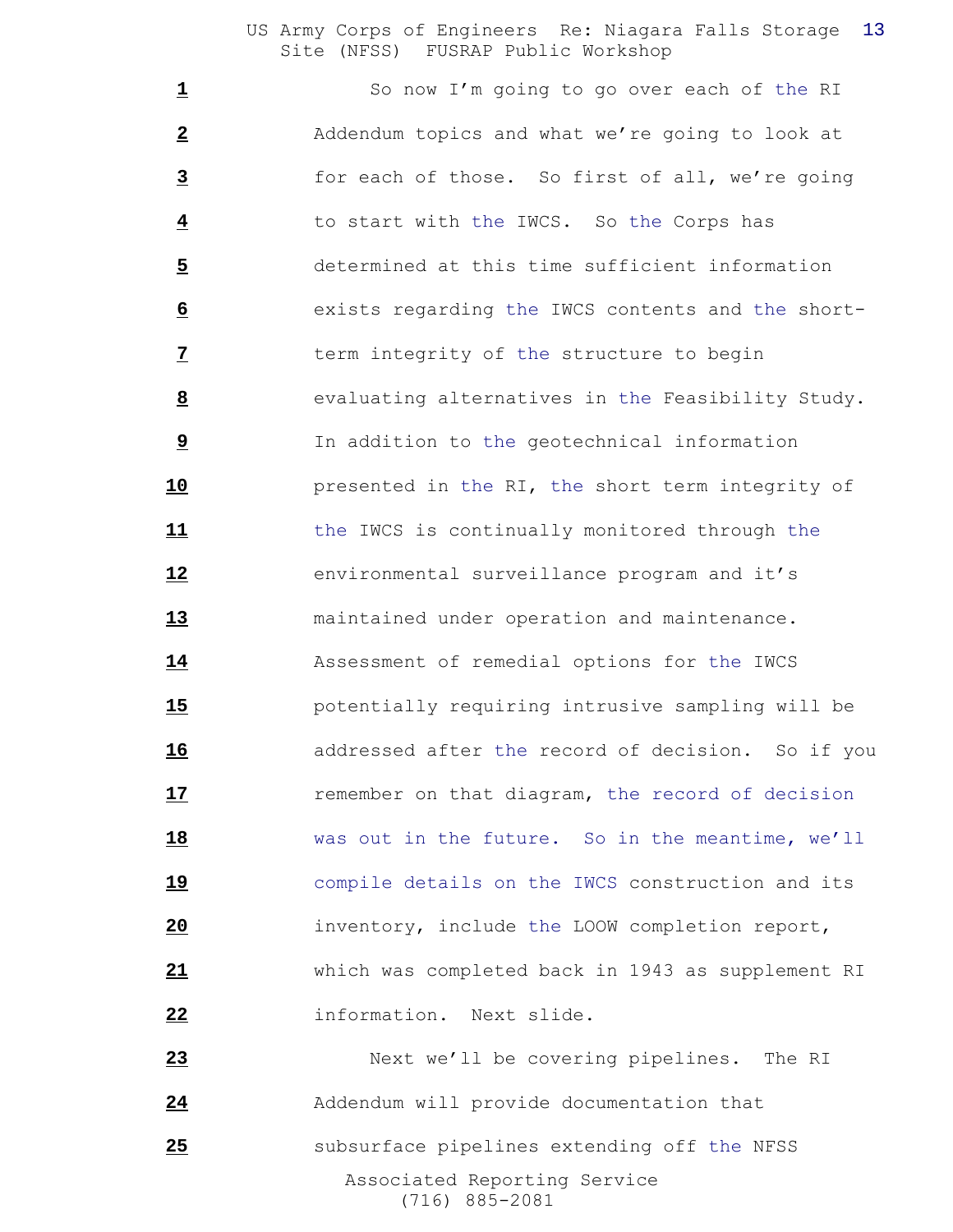So now I'm going to go over each of the RI Addendum topics and what we're going to look at for each of those. So first of all, we're going to start with the IWCS. So the Corps has determined at this time sufficient information exists regarding the IWCS contents and the short- term integrity of the structure to begin evaluating alternatives in the Feasibility Study. In addition to the geotechnical information presented in the RI, the short term integrity of the IWCS is continually monitored through the environmental surveillance program and it's maintained under operation and maintenance. Assessment of remedial options for the IWCS potentially requiring intrusive sampling will be addressed after the record of decision. So if you **17** remember on that diagram, the record of decision was out in the future. So in the meantime, we'll compile details on the IWCS construction and its inventory, include the LOOW completion report, which was completed back in 1943 as supplement RI information. Next slide.

 Associated Reporting Service (716) 885-2081 Next we'll be covering pipelines. The RI Addendum will provide documentation that **25** subsurface pipelines extending off the NFSS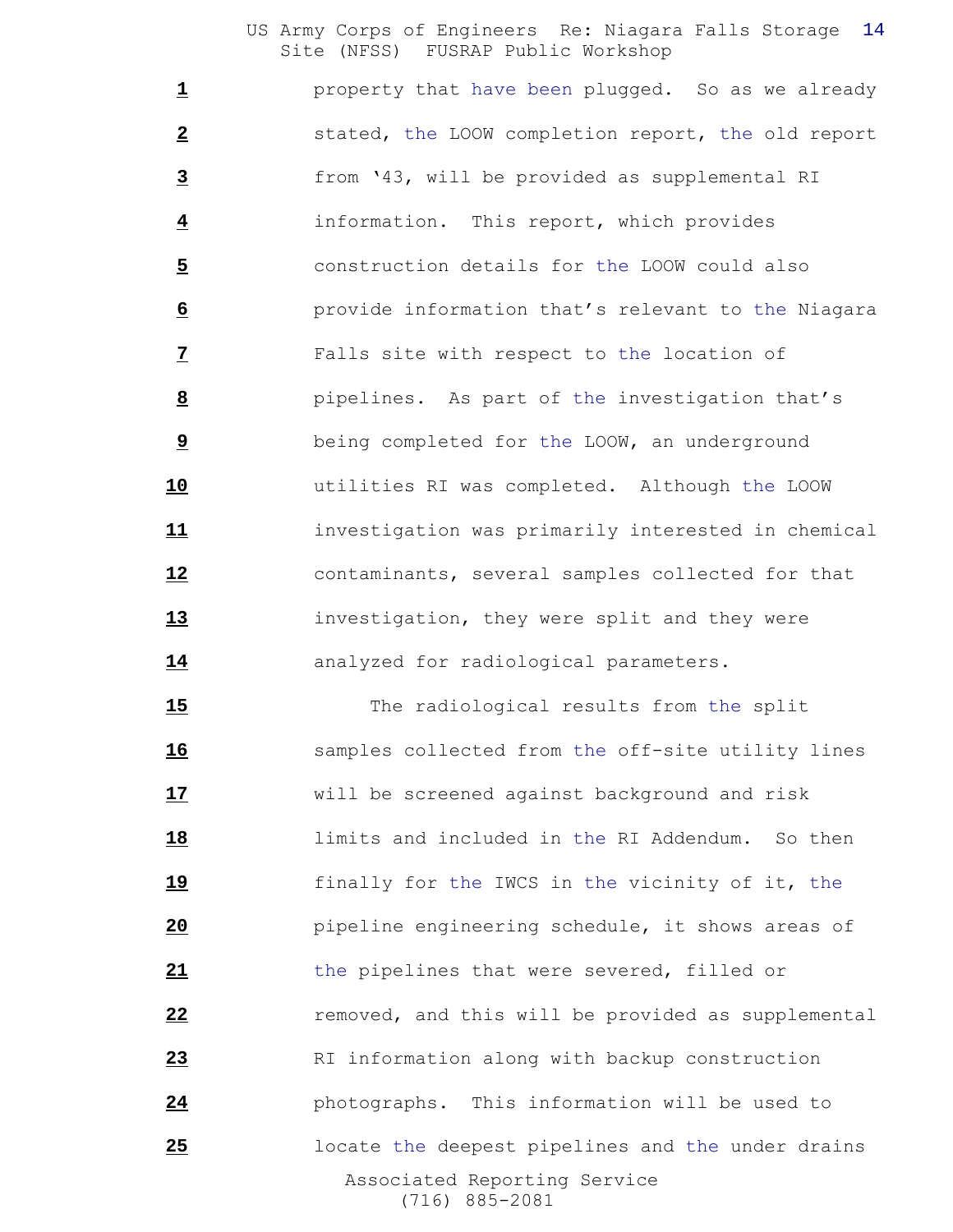property that have been plugged. So as we already stated, the LOOW completion report, the old report from '43, will be provided as supplemental RI information. This report, which provides construction details for the LOOW could also provide information that's relevant to the Niagara Falls site with respect to the location of pipelines. As part of the investigation that's being completed for the LOOW, an underground utilities RI was completed. Although the LOOW investigation was primarily interested in chemical contaminants, several samples collected for that investigation, they were split and they were 14 analyzed for radiological parameters.

 Associated Reporting Service (716) 885-2081 15 The radiological results from the split samples collected from the off-site utility lines will be screened against background and risk limits and included in the RI Addendum. So then finally for the IWCS in the vicinity of it, the pipeline engineering schedule, it shows areas of the pipelines that were severed, filled or **e** removed, and this will be provided as supplemental RI information along with backup construction photographs. This information will be used to locate the deepest pipelines and the under drains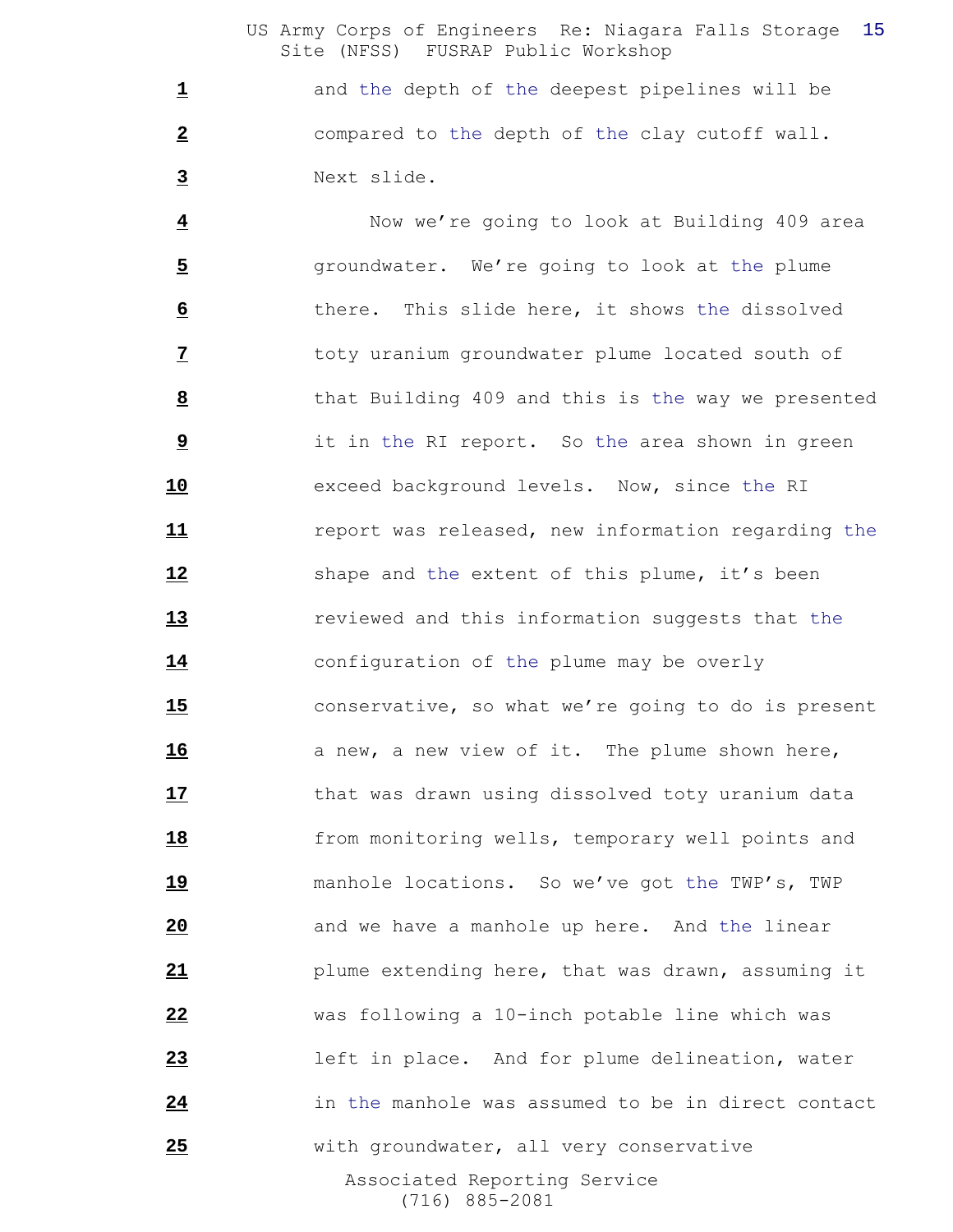and the depth of the deepest pipelines will be compared to the depth of the clay cutoff wall. Next slide.

 Associated Reporting Service (716) 885-2081 Now we're going to look at Building 409 area **5** groundwater. We're going to look at the plume there. This slide here, it shows the dissolved toty uranium groundwater plume located south of that Building 409 and this is the way we presented it in the RI report. So the area shown in green exceed background levels. Now, since the RI report was released, new information regarding the 12 shape and the extent of this plume, it's been reviewed and this information suggests that the configuration of the plume may be overly conservative, so what we're going to do is present **a** new, a new view of it. The plume shown here, **17** that was drawn using dissolved toty uranium data **18** from monitoring wells, temporary well points and manhole locations. So we've got the TWP's, TWP and we have a manhole up here. And the linear plume extending here, that was drawn, assuming it was following a 10-inch potable line which was left in place. And for plume delineation, water in the manhole was assumed to be in direct contact with groundwater, all very conservative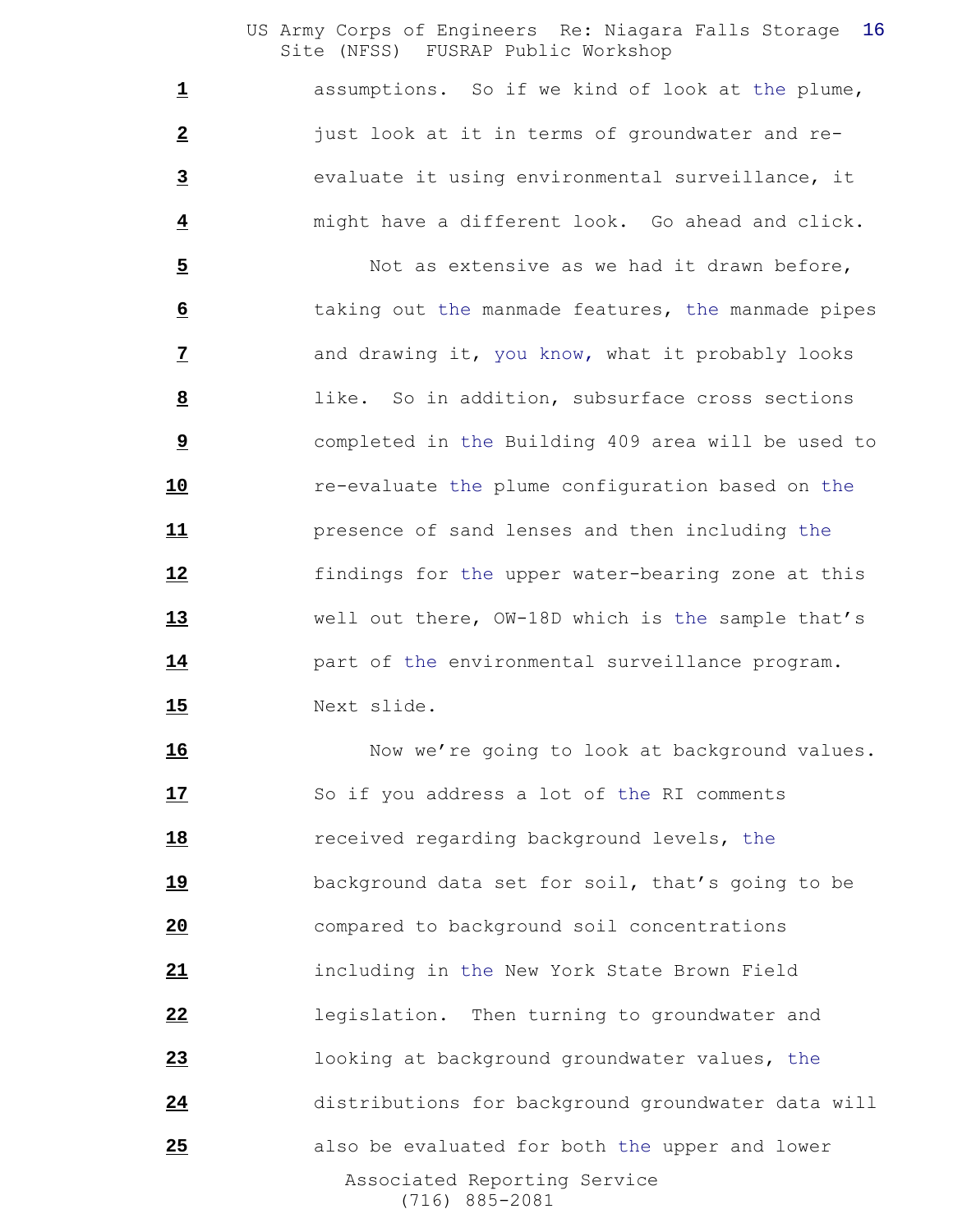assumptions. So if we kind of look at the plume, just look at it in terms of groundwater and re- evaluate it using environmental surveillance, it might have a different look. Go ahead and click.

 Not as extensive as we had it drawn before, **6** taking out the manmade features, the manmade pipes and drawing it, you know, what it probably looks like. So in addition, subsurface cross sections completed in the Building 409 area will be used to re-evaluate the plume configuration based on the presence of sand lenses and then including the findings for the upper water-bearing zone at this well out there, OW-18D which is the sample that's part of the environmental surveillance program. Next slide.

 Associated Reporting Service (716) 885-2081 16 Now we're going to look at background values. So if you address a lot of the RI comments received regarding background levels, the background data set for soil, that's going to be compared to background soil concentrations including in the New York State Brown Field legislation. Then turning to groundwater and looking at background groundwater values, the distributions for background groundwater data will also be evaluated for both the upper and lower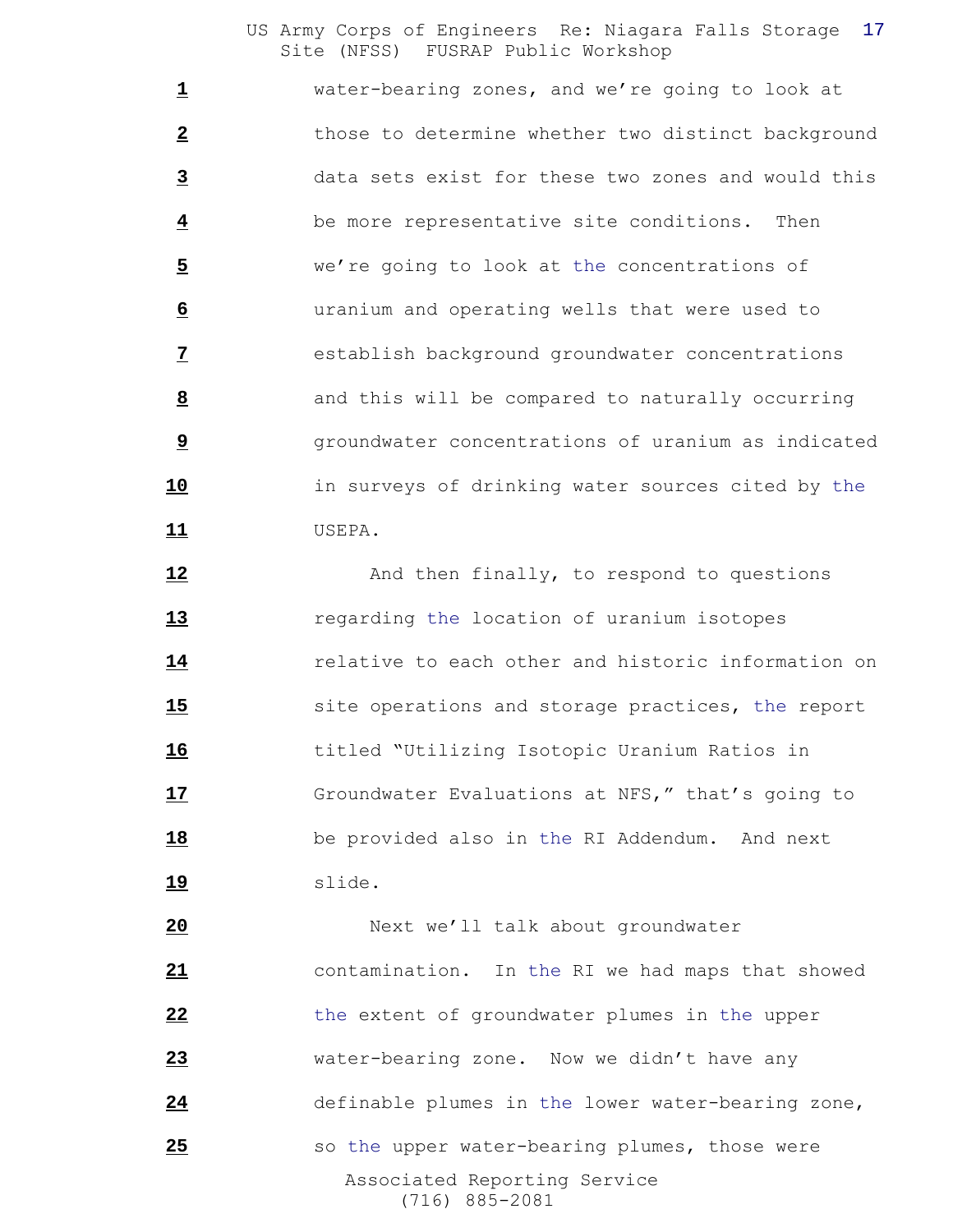water-bearing zones, and we're going to look at those to determine whether two distinct background data sets exist for these two zones and would this be more representative site conditions. Then we're going to look at the concentrations of uranium and operating wells that were used to establish background groundwater concentrations and this will be compared to naturally occurring groundwater concentrations of uranium as indicated in surveys of drinking water sources cited by the USEPA.

12 And then finally, to respond to questions regarding the location of uranium isotopes **14** relative to each other and historic information on site operations and storage practices, the report titled "Utilizing Isotopic Uranium Ratios in Groundwater Evaluations at NFS," that's going to be provided also in the RI Addendum. And next slide.

 Associated Reporting Service (716) 885-2081 Next we'll talk about groundwater contamination. In the RI we had maps that showed the extent of groundwater plumes in the upper water-bearing zone. Now we didn't have any definable plumes in the lower water-bearing zone, so the upper water-bearing plumes, those were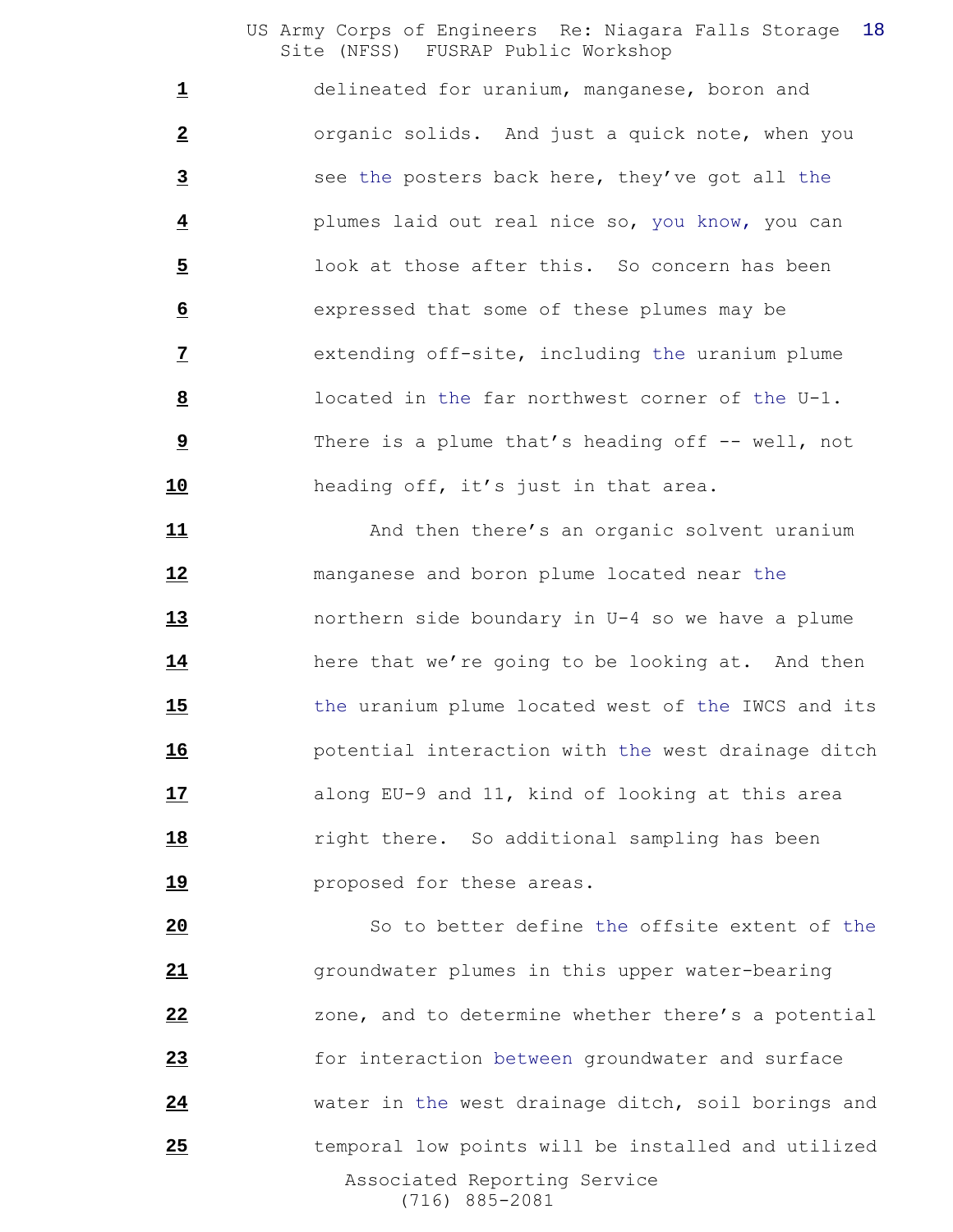delineated for uranium, manganese, boron and organic solids. And just a quick note, when you see the posters back here, they've got all the plumes laid out real nice so, you know, you can look at those after this. So concern has been expressed that some of these plumes may be extending off-site, including the uranium plume located in the far northwest corner of the U-1. There is a plume that's heading off -- well, not heading off, it's just in that area.

11 And then there's an organic solvent uranium manganese and boron plume located near the northern side boundary in U-4 so we have a plume here that we're going to be looking at. And then the uranium plume located west of the IWCS and its potential interaction with the west drainage ditch along EU-9 and 11, kind of looking at this area **18** right there. So additional sampling has been **19 proposed** for these areas.

 Associated Reporting Service (716) 885-2081 So to better define the offsite extent of the groundwater plumes in this upper water-bearing zone, and to determine whether there's a potential for interaction between groundwater and surface water in the west drainage ditch, soil borings and **120** temporal low points will be installed and utilized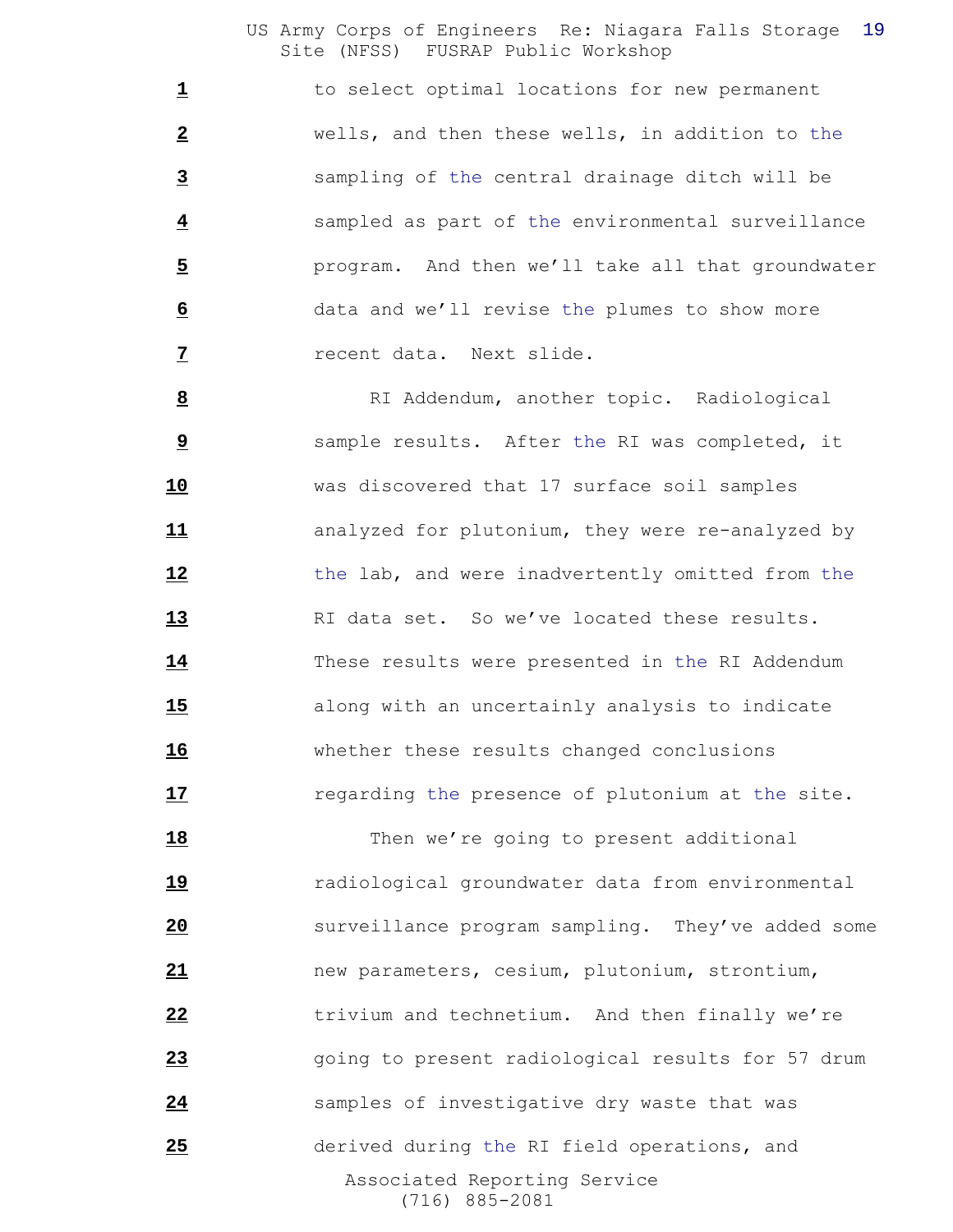to select optimal locations for new permanent wells, and then these wells, in addition to the sampling of the central drainage ditch will be sampled as part of the environmental surveillance program. And then we'll take all that groundwater data and we'll revise the plumes to show more recent data. Next slide.

8 RI Addendum, another topic. Radiological sample results. After the RI was completed, it was discovered that 17 surface soil samples analyzed for plutonium, they were re-analyzed by the lab, and were inadvertently omitted from the RI data set. So we've located these results. These results were presented in the RI Addendum along with an uncertainly analysis to indicate whether these results changed conclusions **17** regarding the presence of plutonium at the site.

 Associated Reporting Service (716) 885-2081 18 Then we're going to present additional radiological groundwater data from environmental surveillance program sampling. They've added some new parameters, cesium, plutonium, strontium, trivium and technetium. And then finally we're going to present radiological results for 57 drum samples of investigative dry waste that was derived during the RI field operations, and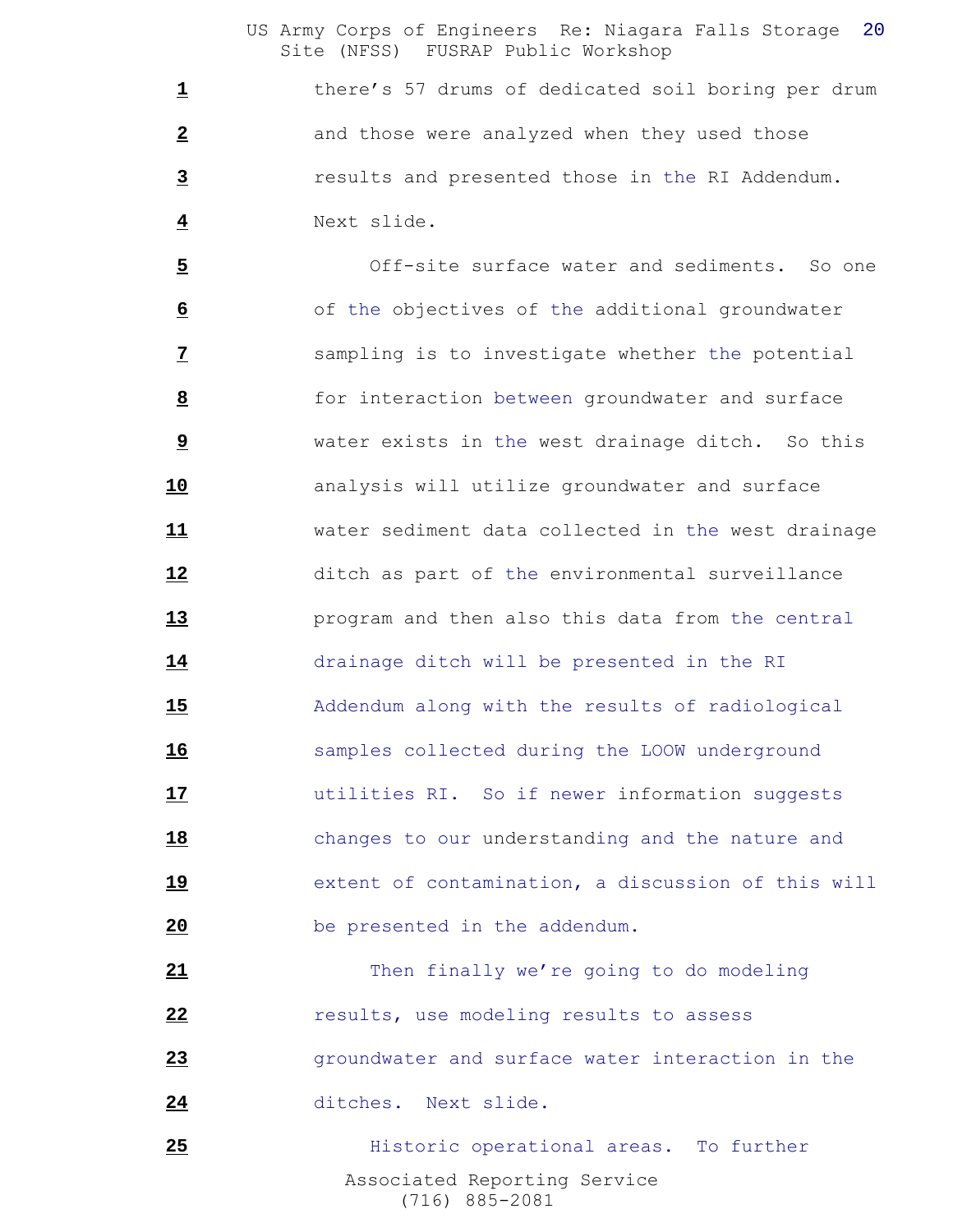1 there's 57 drums of dedicated soil boring per drum and those were analyzed when they used those results and presented those in the RI Addendum. Next slide.

 Off-site surface water and sediments. So one of the objectives of the additional groundwater sampling is to investigate whether the potential for interaction between groundwater and surface water exists in the west drainage ditch. So this analysis will utilize groundwater and surface water sediment data collected in the west drainage ditch as part of the environmental surveillance program and then also this data from the central drainage ditch will be presented in the RI Addendum along with the results of radiological samples collected during the LOOW underground utilities RI. So if newer information suggests changes to our understanding and the nature and extent of contamination, a discussion of this will be presented in the addendum.

 Then finally we're going to do modeling **12** *results, use modeling results to assess*  groundwater and surface water interaction in the ditches. Next slide.

 Associated Reporting Service (716) 885-2081 **Arr Edge Historic operational areas.** To further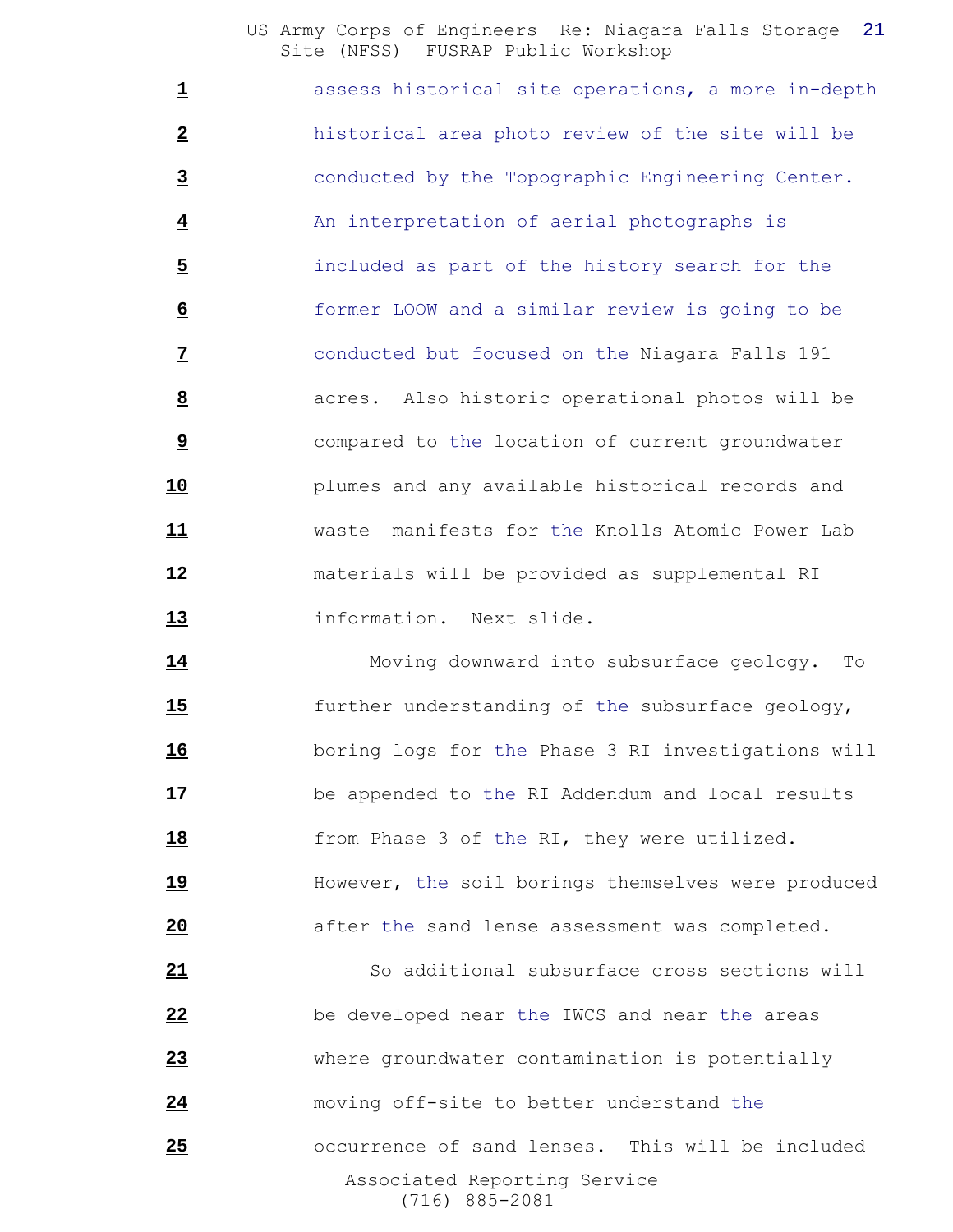assess historical site operations, a more in-depth historical area photo review of the site will be conducted by the Topographic Engineering Center. An interpretation of aerial photographs is included as part of the history search for the former LOOW and a similar review is going to be conducted but focused on the Niagara Falls 191 acres. Also historic operational photos will be compared to the location of current groundwater plumes and any available historical records and waste manifests for the Knolls Atomic Power Lab materials will be provided as supplemental RI information. Next slide.

 Moving downward into subsurface geology. To further understanding of the subsurface geology, boring logs for the Phase 3 RI investigations will be appended to the RI Addendum and local results **18** from Phase 3 of the RI, they were utilized. However, the soil borings themselves were produced **a** after the sand lense assessment was completed.

 Associated Reporting Service (716) 885-2081 So additional subsurface cross sections will be developed near the IWCS and near the areas where groundwater contamination is potentially moving off-site to better understand the occurrence of sand lenses. This will be included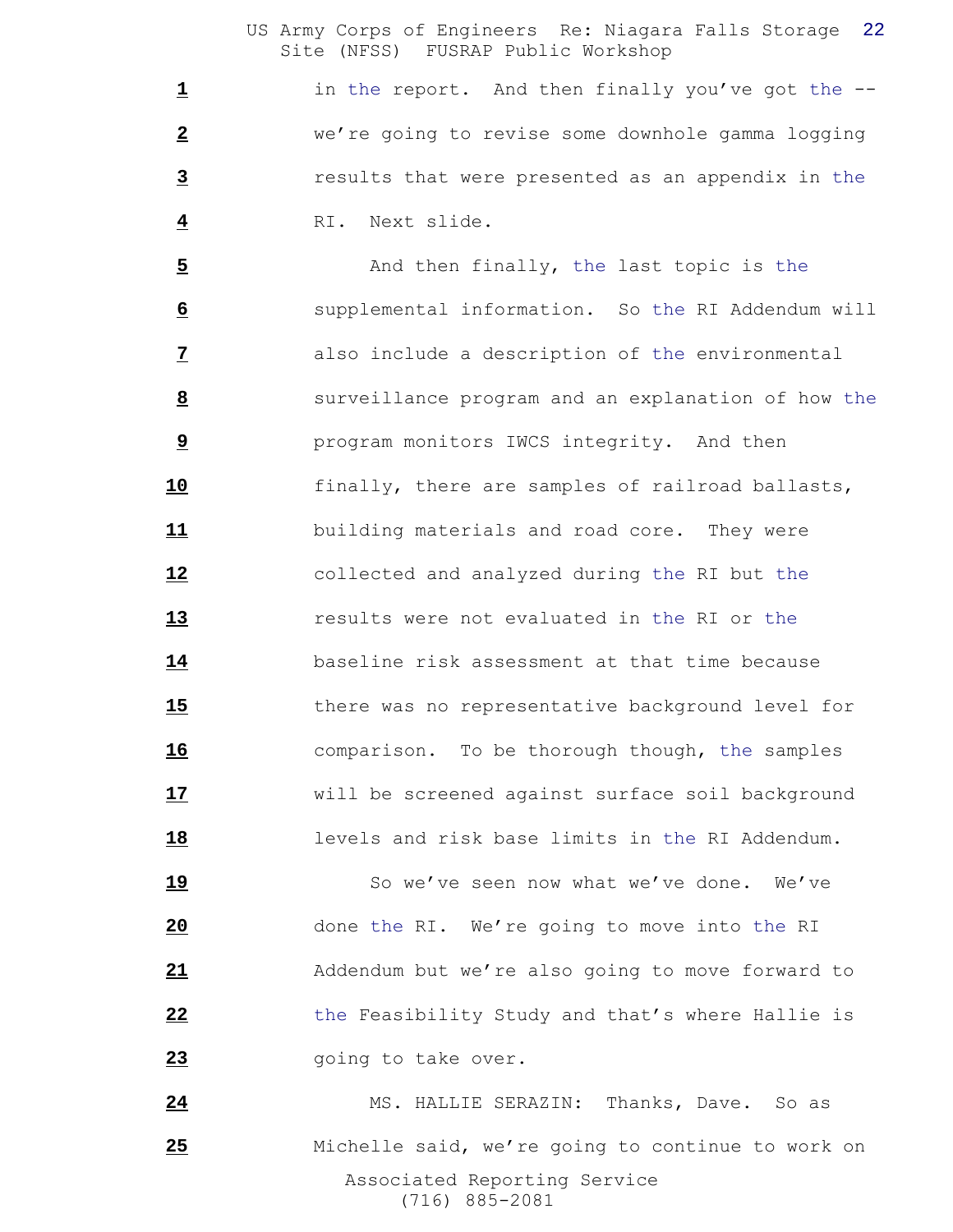1 in the report. And then finally you've got the -- we're going to revise some downhole gamma logging results that were presented as an appendix in the RI. Next slide.

 And then finally, the last topic is the supplemental information. So the RI Addendum will also include a description of the environmental surveillance program and an explanation of how the program monitors IWCS integrity. And then finally, there are samples of railroad ballasts, building materials and road core. They were collected and analyzed during the RI but the results were not evaluated in the RI or the baseline risk assessment at that time because there was no representative background level for comparison. To be thorough though, the samples will be screened against surface soil background levels and risk base limits in the RI Addendum.

19 So we've seen now what we've done. We've done the RI. We're going to move into the RI Addendum but we're also going to move forward to the Feasibility Study and that's where Hallie is **23** going to take over.

 Associated Reporting Service (716) 885-2081 24 MS. HALLIE SERAZIN: Thanks, Dave. So as Michelle said, we're going to continue to work on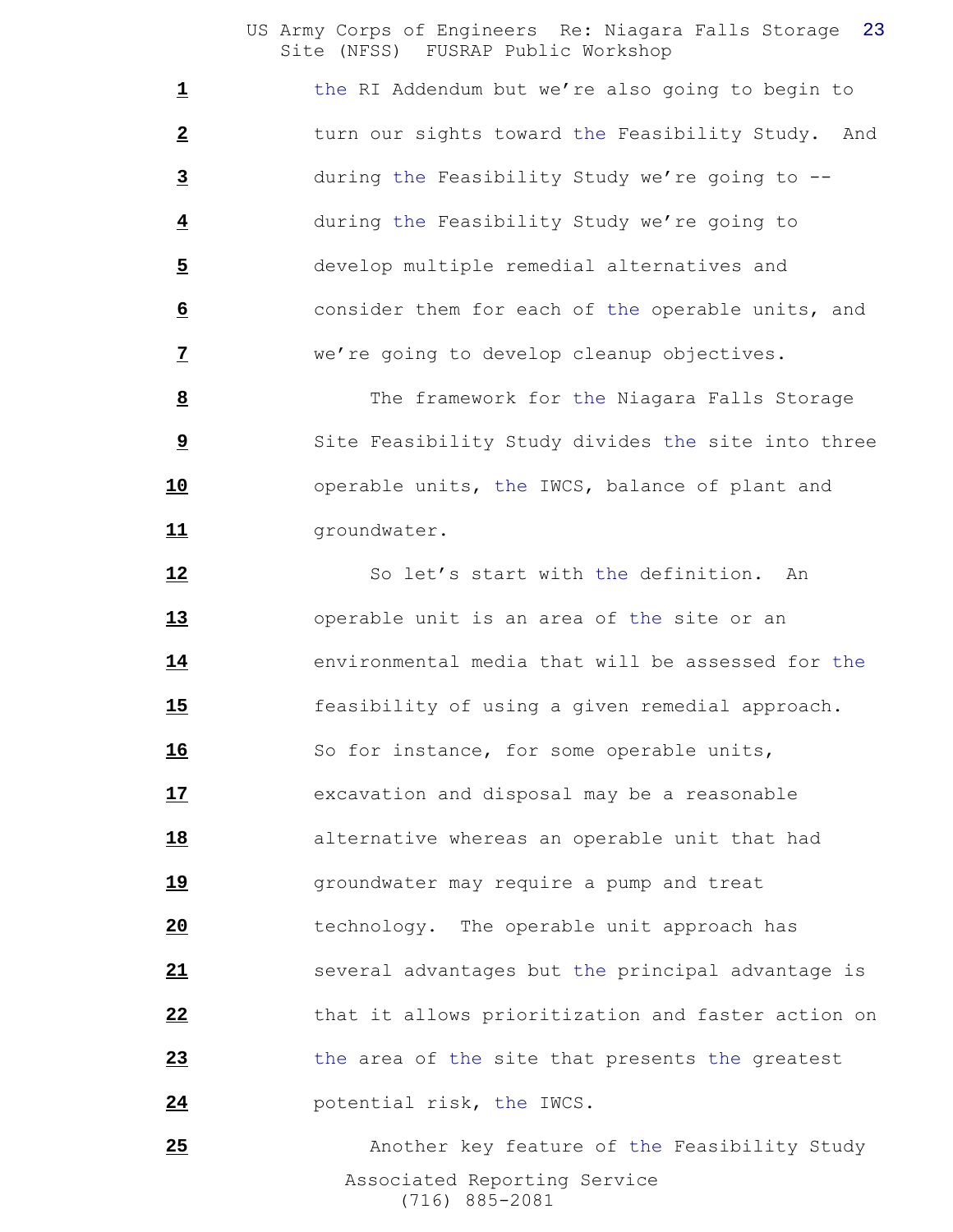1 the RI Addendum but we're also going to begin to turn our sights toward the Feasibility Study. And during the Feasibility Study we're going to -- during the Feasibility Study we're going to develop multiple remedial alternatives and consider them for each of the operable units, and we're going to develop cleanup objectives.

 The framework for the Niagara Falls Storage Site Feasibility Study divides the site into three operable units, the IWCS, balance of plant and 11 groundwater.

12 So let's start with the definition. An operable unit is an area of the site or an environmental media that will be assessed for the feasibility of using a given remedial approach. 16 So for instance, for some operable units, excavation and disposal may be a reasonable alternative whereas an operable unit that had **19** groundwater may require a pump and treat technology. The operable unit approach has several advantages but the principal advantage is that it allows prioritization and faster action on the area of the site that presents the greatest potential risk, the IWCS.

 Associated Reporting Service (716) 885-2081 **25** Another key feature of the Feasibility Study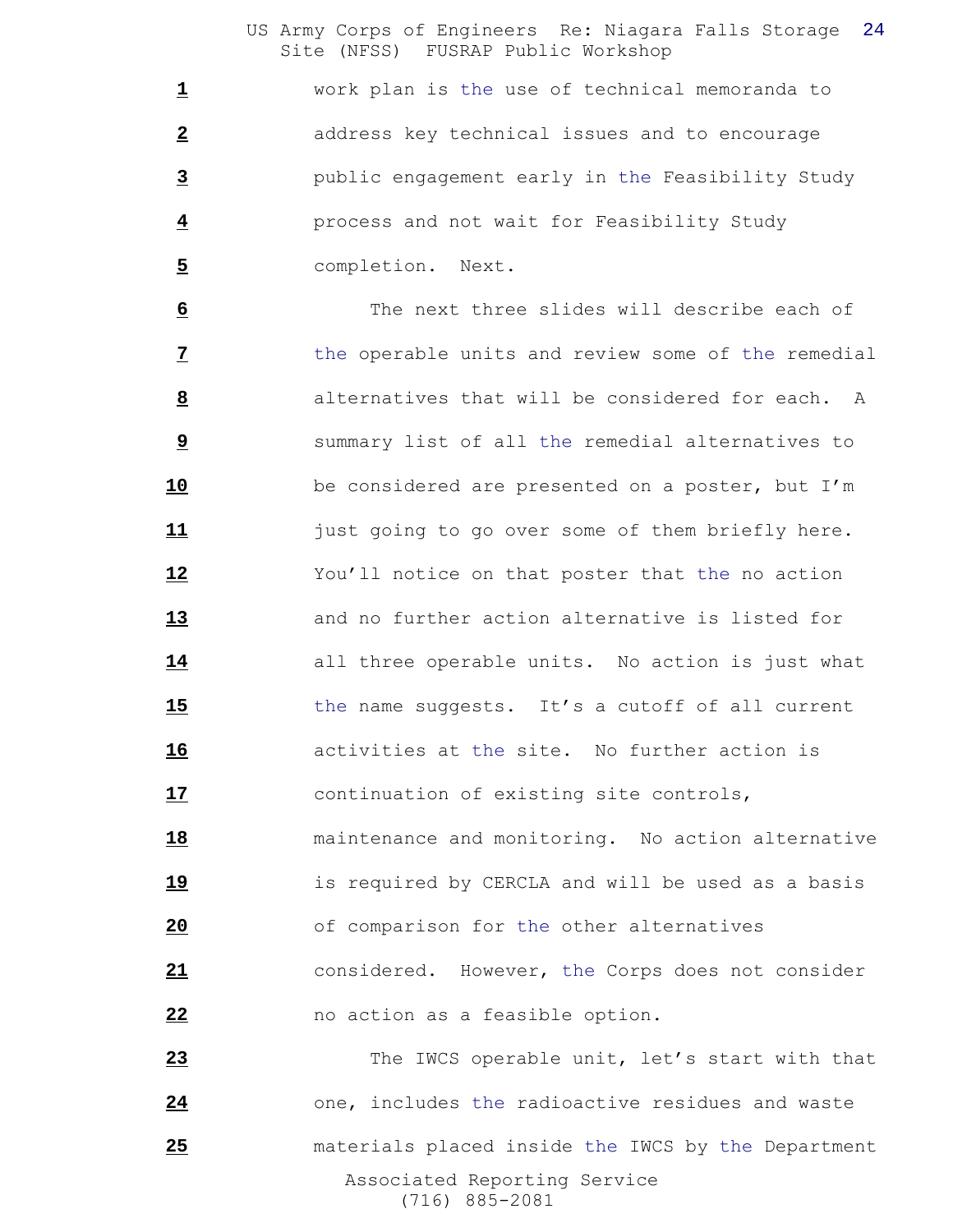work plan is the use of technical memoranda to address key technical issues and to encourage public engagement early in the Feasibility Study process and not wait for Feasibility Study completion. Next.

 The next three slides will describe each of the operable units and review some of the remedial alternatives that will be considered for each. A summary list of all the remedial alternatives to be considered are presented on a poster, but I'm just going to go over some of them briefly here. You'll notice on that poster that the no action and no further action alternative is listed for all three operable units. No action is just what the name suggests. It's a cutoff of all current activities at the site. No further action is continuation of existing site controls, maintenance and monitoring. No action alternative is required by CERCLA and will be used as a basis of comparison for the other alternatives considered. However, the Corps does not consider no action as a feasible option.

 Associated Reporting Service (716) 885-2081 The IWCS operable unit, let's start with that one, includes the radioactive residues and waste materials placed inside the IWCS by the Department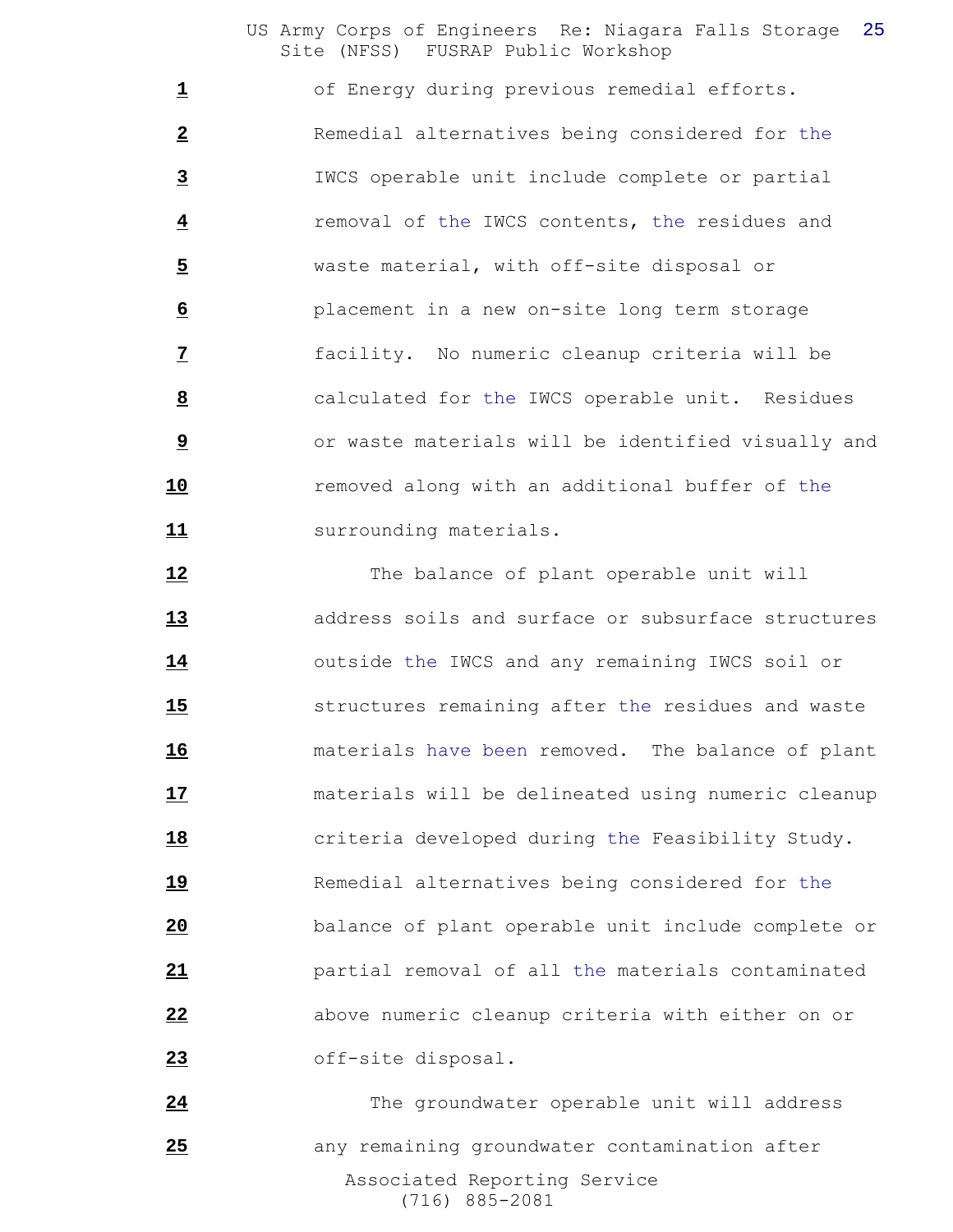1 of Energy during previous remedial efforts. Remedial alternatives being considered for the IWCS operable unit include complete or partial removal of the IWCS contents, the residues and waste material, with off-site disposal or placement in a new on-site long term storage facility. No numeric cleanup criteria will be calculated for the IWCS operable unit. Residues **b** or waste materials will be identified visually and removed along with an additional buffer of the **11** surrounding materials.

12 The balance of plant operable unit will address soils and surface or subsurface structures outside the IWCS and any remaining IWCS soil or structures remaining after the residues and waste materials have been removed. The balance of plant materials will be delineated using numeric cleanup criteria developed during the Feasibility Study. Remedial alternatives being considered for the balance of plant operable unit include complete or partial removal of all the materials contaminated above numeric cleanup criteria with either on or off-site disposal.

 Associated Reporting Service (716) 885-2081 The groundwater operable unit will address any remaining groundwater contamination after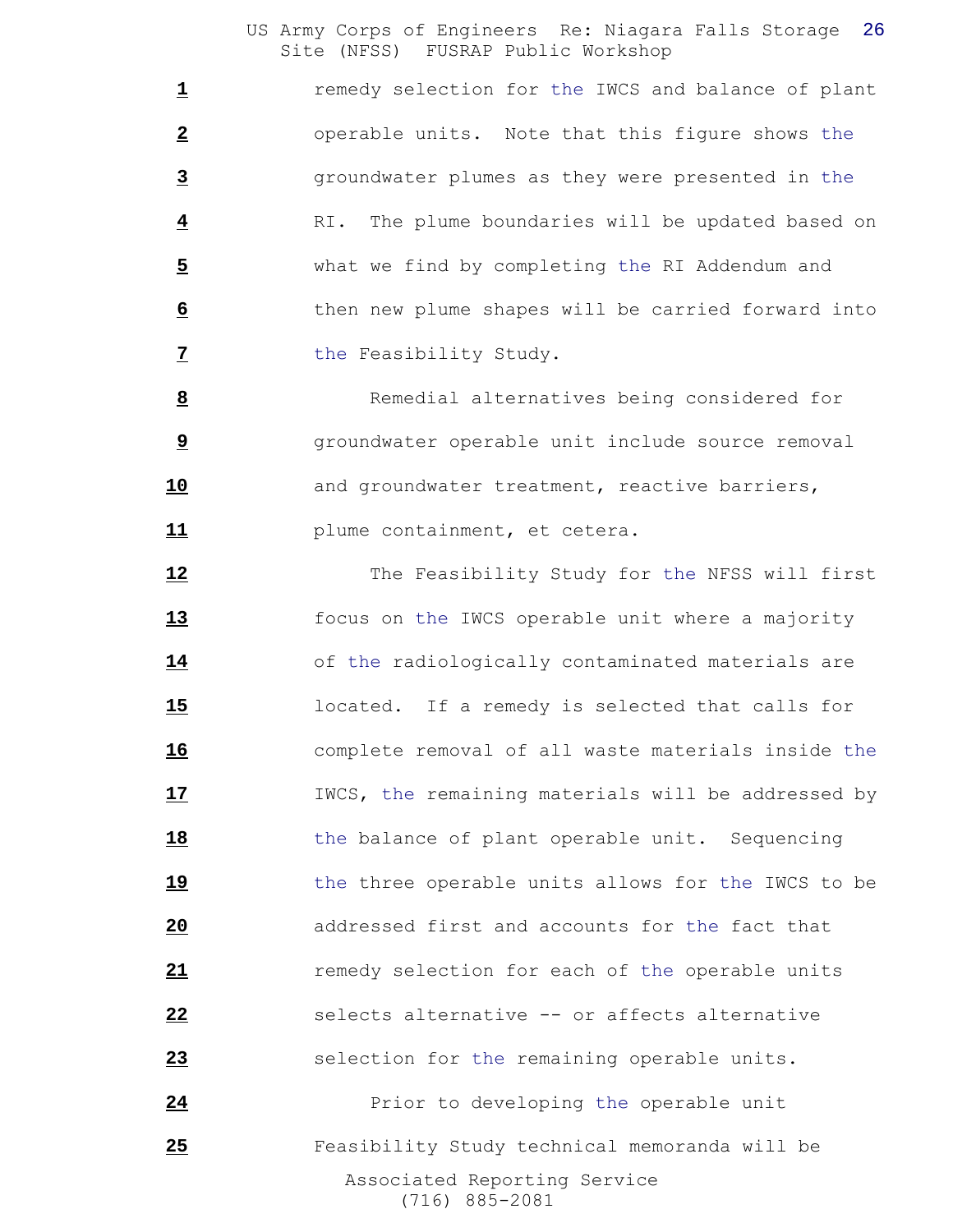**1** remedy selection for the IWCS and balance of plant operable units. Note that this figure shows the groundwater plumes as they were presented in the RI. The plume boundaries will be updated based on what we find by completing the RI Addendum and then new plume shapes will be carried forward into the Feasibility Study.

 Remedial alternatives being considered for groundwater operable unit include source removal **10** and groundwater treatment, reactive barriers, **11** plume containment, et cetera.

 Associated Reporting Service The Feasibility Study for the NFSS will first focus on the IWCS operable unit where a majority 14 of the radiologically contaminated materials are located. If a remedy is selected that calls for complete removal of all waste materials inside the **17** IWCS, the remaining materials will be addressed by **18** the balance of plant operable unit. Sequencing 19 the three operable units allows for the IWCS to be addressed first and accounts for the fact that remedy selection for each of the operable units selects alternative -- or affects alternative selection for the remaining operable units. **24** Prior to developing the operable unit Feasibility Study technical memoranda will be

(716) 885-2081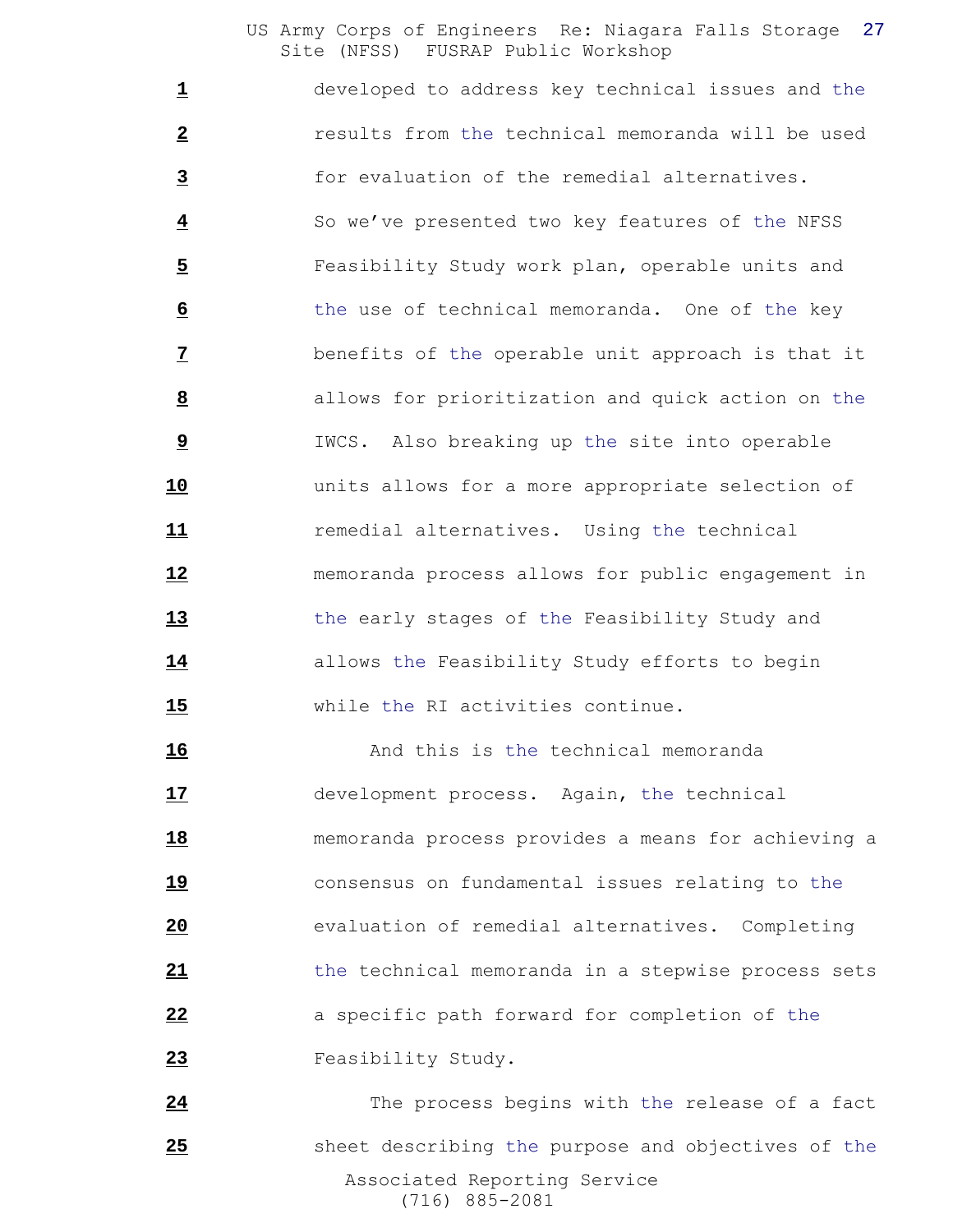developed to address key technical issues and the results from the technical memoranda will be used for evaluation of the remedial alternatives. So we've presented two key features of the NFSS Feasibility Study work plan, operable units and the use of technical memoranda. One of the key benefits of the operable unit approach is that it allows for prioritization and quick action on the IWCS. Also breaking up the site into operable units allows for a more appropriate selection of remedial alternatives. Using the technical memoranda process allows for public engagement in the early stages of the Feasibility Study and allows the Feasibility Study efforts to begin while the RI activities continue.

**16** And this is the technical memoranda development process. Again, the technical memoranda process provides a means for achieving a consensus on fundamental issues relating to the evaluation of remedial alternatives. Completing the technical memoranda in a stepwise process sets a specific path forward for completion of the Feasibility Study.

 Associated Reporting Service (716) 885-2081 The process begins with the release of a fact sheet describing the purpose and objectives of the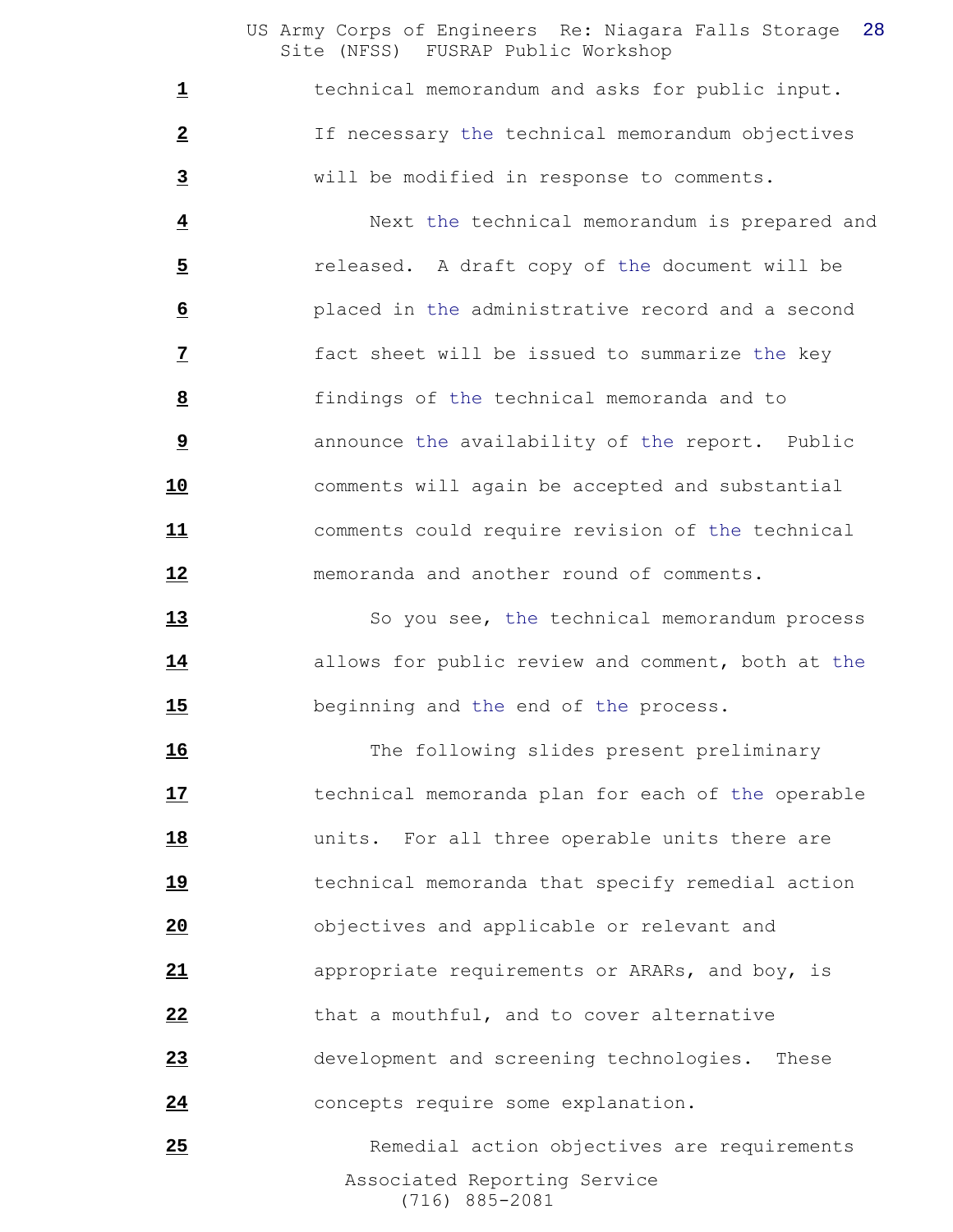technical memorandum and asks for public input. If necessary the technical memorandum objectives will be modified in response to comments.

 Next the technical memorandum is prepared and released. A draft copy of the document will be placed in the administrative record and a second fact sheet will be issued to summarize the key findings of the technical memoranda and to announce the availability of the report. Public comments will again be accepted and substantial comments could require revision of the technical memoranda and another round of comments.

13 So you see, the technical memorandum process allows for public review and comment, both at the beginning and the end of the process.

 The following slides present preliminary technical memoranda plan for each of the operable **18** units. For all three operable units there are technical memoranda that specify remedial action objectives and applicable or relevant and appropriate requirements or ARARs, and boy, is that a mouthful, and to cover alternative development and screening technologies. These concepts require some explanation.

 Associated Reporting Service (716) 885-2081 25 Remedial action objectives are requirements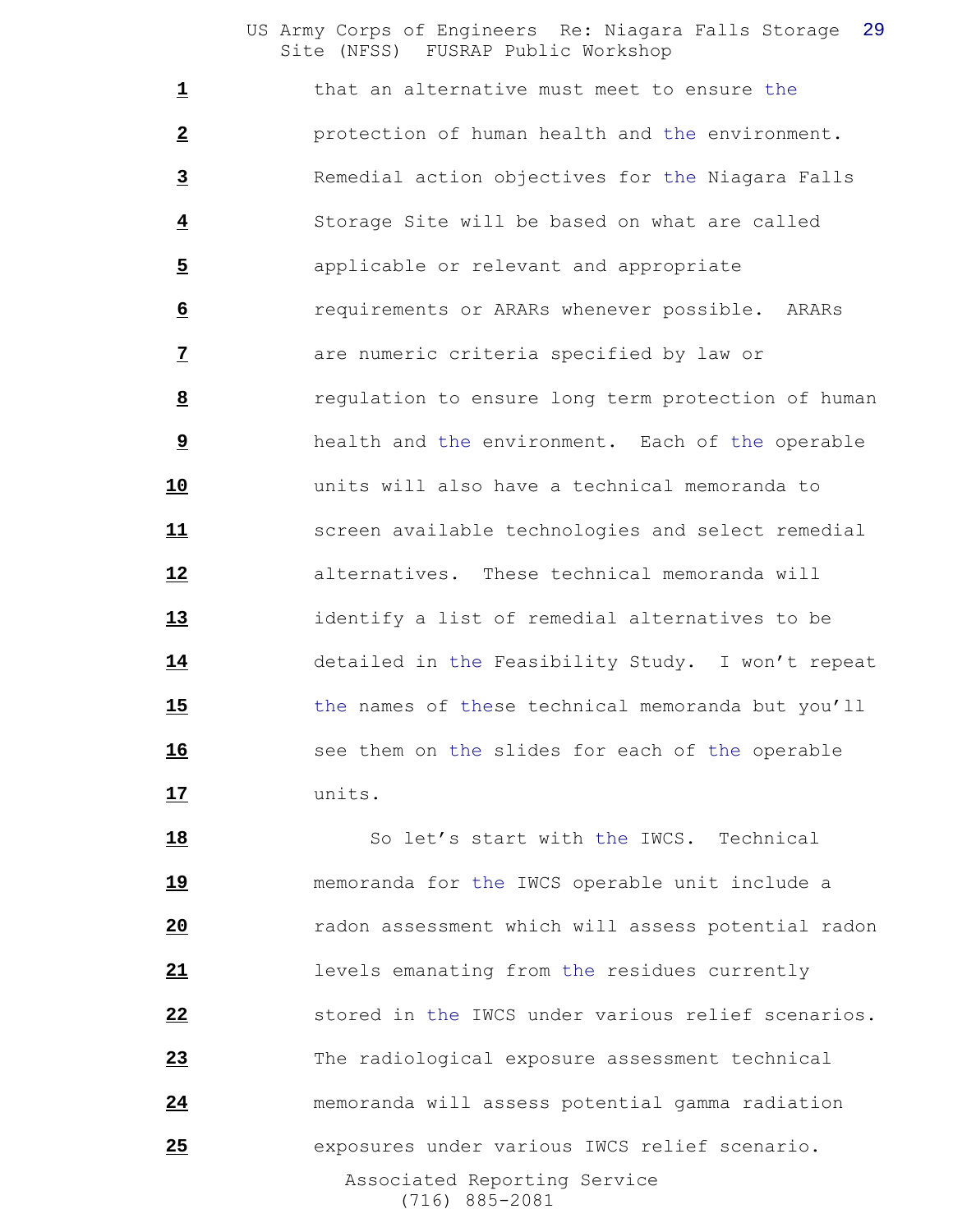that an alternative must meet to ensure the protection of human health and the environment. Remedial action objectives for the Niagara Falls Storage Site will be based on what are called applicable or relevant and appropriate requirements or ARARs whenever possible. ARARs **1 1 are numeric criteria specified by law or**  regulation to ensure long term protection of human health and the environment. Each of the operable units will also have a technical memoranda to screen available technologies and select remedial alternatives. These technical memoranda will identify a list of remedial alternatives to be detailed in the Feasibility Study. I won't repeat the names of these technical memoranda but you'll see them on the slides for each of the operable units.

 Associated Reporting Service (716) 885-2081 18 So let's start with the IWCS. Technical memoranda for the IWCS operable unit include a radon assessment which will assess potential radon levels emanating from the residues currently stored in the IWCS under various relief scenarios. The radiological exposure assessment technical memoranda will assess potential gamma radiation exposures under various IWCS relief scenario.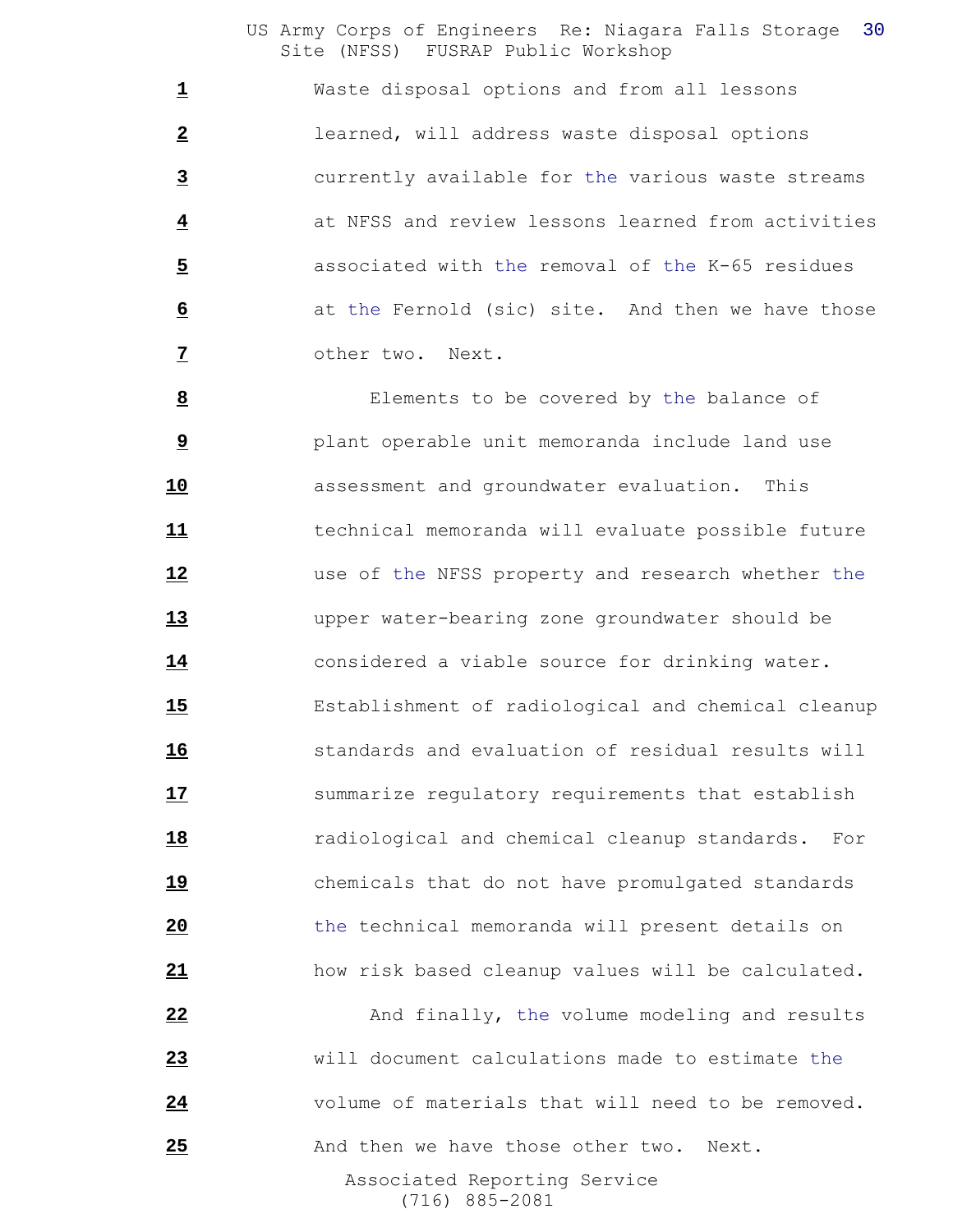Waste disposal options and from all lessons learned, will address waste disposal options currently available for the various waste streams at NFSS and review lessons learned from activities associated with the removal of the K-65 residues at the Fernold (sic) site. And then we have those other two. Next.

 Elements to be covered by the balance of plant operable unit memoranda include land use assessment and groundwater evaluation. This technical memoranda will evaluate possible future use of the NFSS property and research whether the upper water-bearing zone groundwater should be considered a viable source for drinking water. Establishment of radiological and chemical cleanup standards and evaluation of residual results will **17** summarize regulatory requirements that establish radiological and chemical cleanup standards. For chemicals that do not have promulgated standards the technical memoranda will present details on how risk based cleanup values will be calculated.

 Associated Reporting Service (716) 885-2081 And finally, the volume modeling and results will document calculations made to estimate the volume of materials that will need to be removed. And then we have those other two. Next.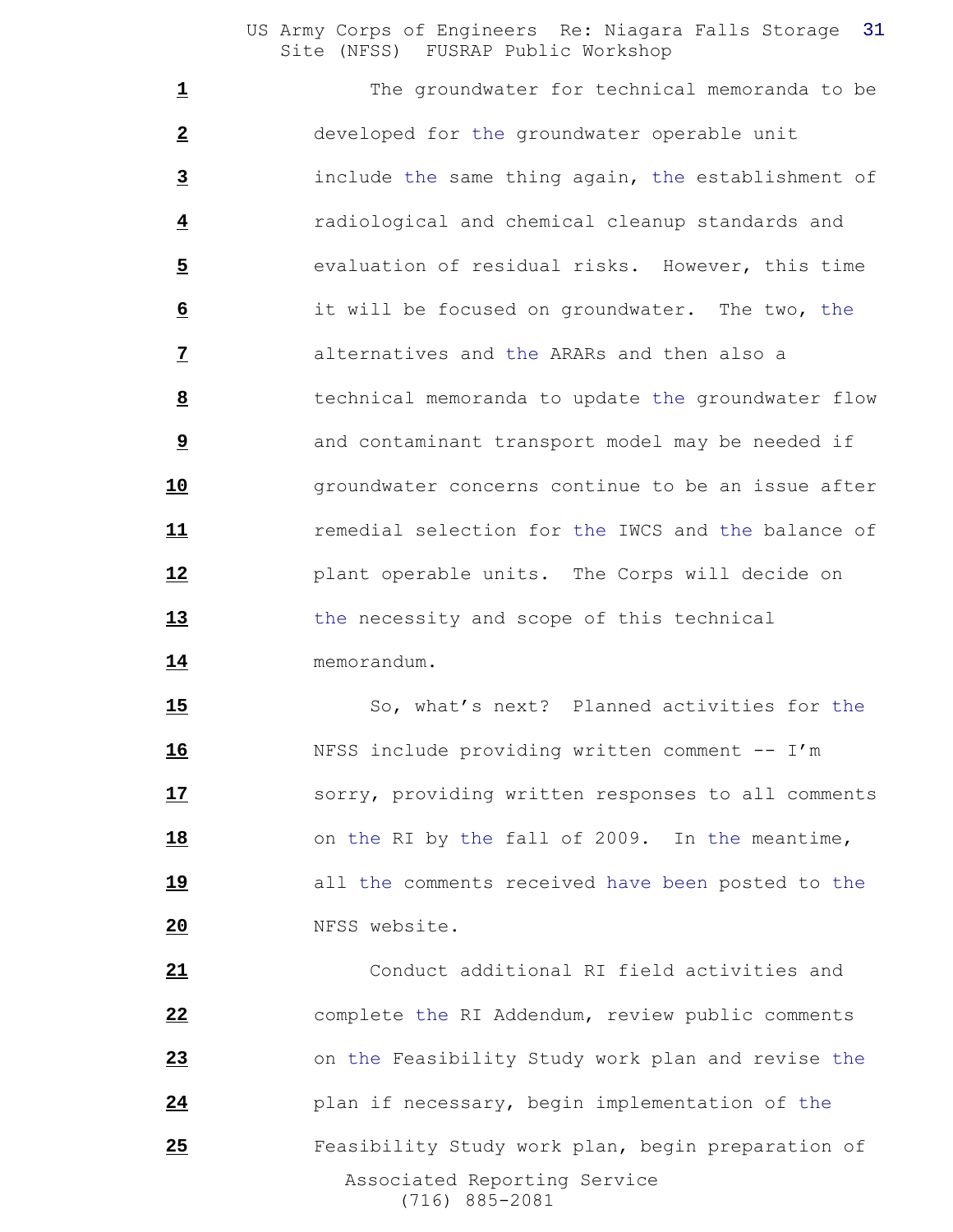The groundwater for technical memoranda to be developed for the groundwater operable unit include the same thing again, the establishment of radiological and chemical cleanup standards and evaluation of residual risks. However, this time it will be focused on groundwater. The two, the alternatives and the ARARs and then also a technical memoranda to update the groundwater flow **1** and contaminant transport model may be needed if **groundwater concerns continue to be an issue after**  remedial selection for the IWCS and the balance of plant operable units. The Corps will decide on the necessity and scope of this technical memorandum.

 So, what's next? Planned activities for the NFSS include providing written comment -- I'm **17** sorry, providing written responses to all comments on the RI by the fall of 2009. In the meantime, all the comments received have been posted to the NFSS website.

 Associated Reporting Service (716) 885-2081 Conduct additional RI field activities and complete the RI Addendum, review public comments on the Feasibility Study work plan and revise the plan if necessary, begin implementation of the Feasibility Study work plan, begin preparation of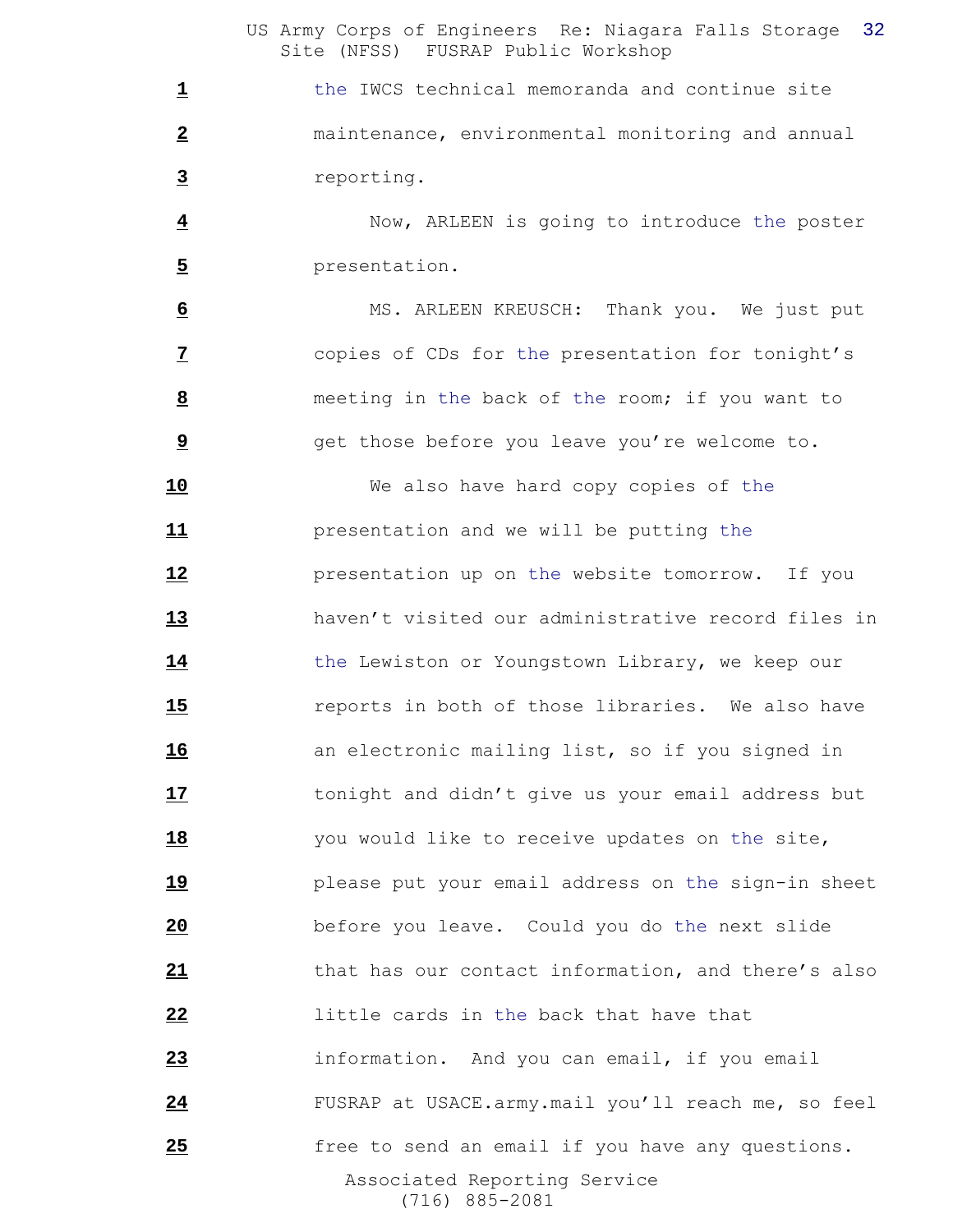1 the IWCS technical memoranda and continue site maintenance, environmental monitoring and annual reporting.

 Now, ARLEEN is going to introduce the poster presentation.

 MS. ARLEEN KREUSCH: Thank you. We just put copies of CDs for the presentation for tonight's meeting in the back of the room; if you want to get those before you leave you're welcome to.

 Associated Reporting Service (716) 885-2081 We also have hard copy copies of the presentation and we will be putting the presentation up on the website tomorrow. If you haven't visited our administrative record files in the Lewiston or Youngstown Library, we keep our reports in both of those libraries. We also have an electronic mailing list, so if you signed in tonight and didn't give us your email address but you would like to receive updates on the site, please put your email address on the sign-in sheet before you leave. Could you do the next slide that has our contact information, and there's also little cards in the back that have that information. And you can email, if you email FUSRAP at USACE.army.mail you'll reach me, so feel free to send an email if you have any questions.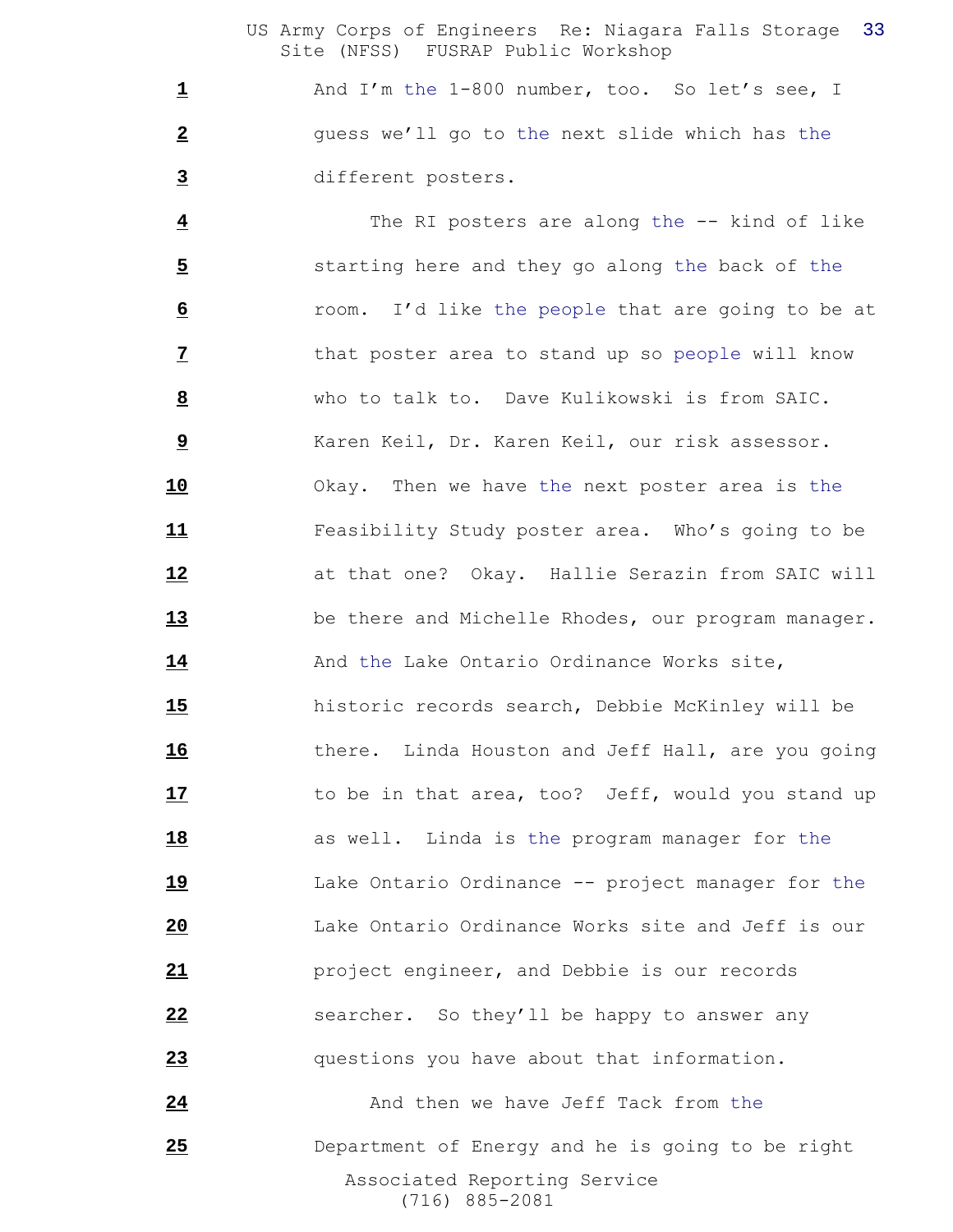And I'm the 1-800 number, too. So let's see, I guess we'll go to the next slide which has the different posters.

 Associated Reporting Service The RI posters are along the -- kind of like starting here and they go along the back of the room. I'd like the people that are going to be at that poster area to stand up so people will know who to talk to. Dave Kulikowski is from SAIC. Karen Keil, Dr. Karen Keil, our risk assessor. Okay. Then we have the next poster area is the Feasibility Study poster area. Who's going to be at that one? Okay. Hallie Serazin from SAIC will be there and Michelle Rhodes, our program manager. And the Lake Ontario Ordinance Works site, historic records search, Debbie McKinley will be there. Linda Houston and Jeff Hall, are you going 17 to be in that area, too? Jeff, would you stand up **18** as well. Linda is the program manager for the Lake Ontario Ordinance -- project manager for the Lake Ontario Ordinance Works site and Jeff is our project engineer, and Debbie is our records searcher. So they'll be happy to answer any questions you have about that information. And then we have Jeff Tack from the Department of Energy and he is going to be right

(716) 885-2081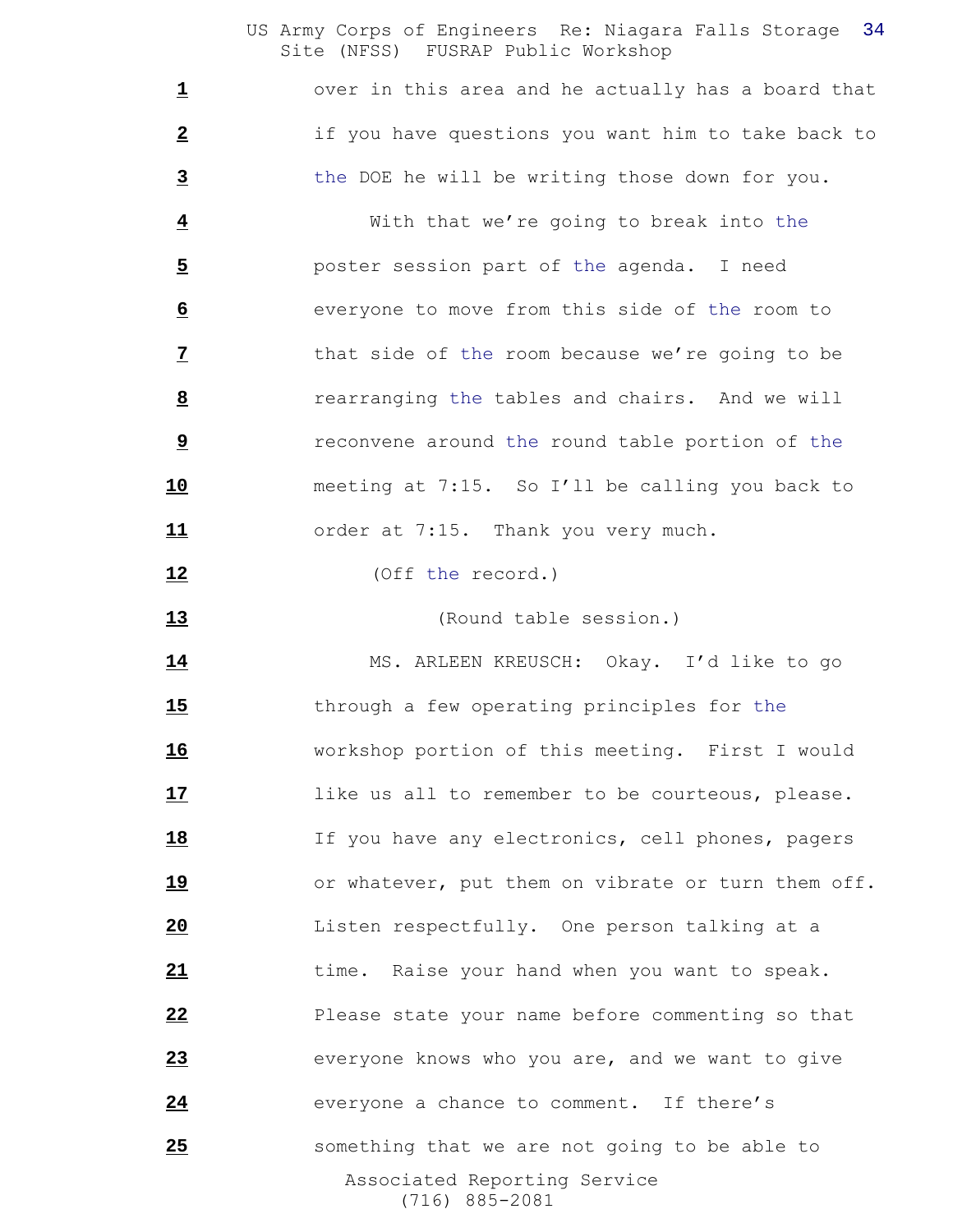over in this area and he actually has a board that if you have questions you want him to take back to the DOE he will be writing those down for you.

 With that we're going to break into the poster session part of the agenda. I need everyone to move from this side of the room to that side of the room because we're going to be rearranging the tables and chairs. And we will **1 reconvene around the round table portion of the**  meeting at 7:15. So I'll be calling you back to order at 7:15. Thank you very much.

(Off the record.)

(Round table session.)

 Associated Reporting Service (716) 885-2081 MS. ARLEEN KREUSCH: Okay. I'd like to go through a few operating principles for the workshop portion of this meeting. First I would **17** like us all to remember to be courteous, please. 18 If you have any electronics, cell phones, pagers 19 or whatever, put them on vibrate or turn them off. Listen respectfully. One person talking at a time. Raise your hand when you want to speak. Please state your name before commenting so that everyone knows who you are, and we want to give **24** everyone a chance to comment. If there's something that we are not going to be able to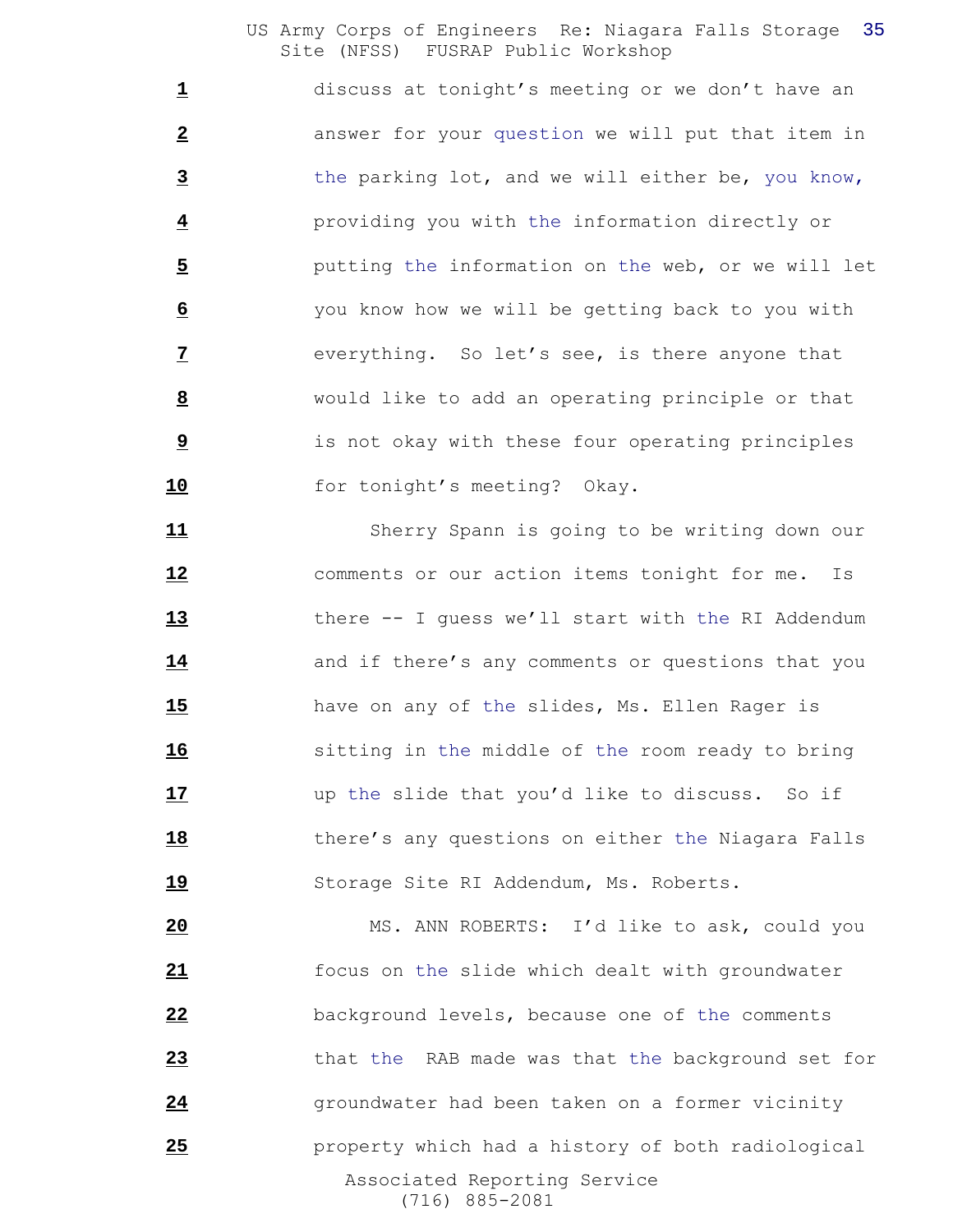discuss at tonight's meeting or we don't have an answer for your question we will put that item in the parking lot, and we will either be, you know, providing you with the information directly or putting the information on the web, or we will let you know how we will be getting back to you with everything. So let's see, is there anyone that would like to add an operating principle or that is not okay with these four operating principles 10 for tonight's meeting? Okay.

 Sherry Spann is going to be writing down our comments or our action items tonight for me. Is 13 there -- I quess we'll start with the RI Addendum and if there's any comments or questions that you have on any of the slides, Ms. Ellen Rager is sitting in the middle of the room ready to bring up the slide that you'd like to discuss. So if there's any questions on either the Niagara Falls Storage Site RI Addendum, Ms. Roberts.

 Associated Reporting Service (716) 885-2081 MS. ANN ROBERTS: I'd like to ask, could you focus on the slide which dealt with groundwater background levels, because one of the comments that the RAB made was that the background set for **24** groundwater had been taken on a former vicinity property which had a history of both radiological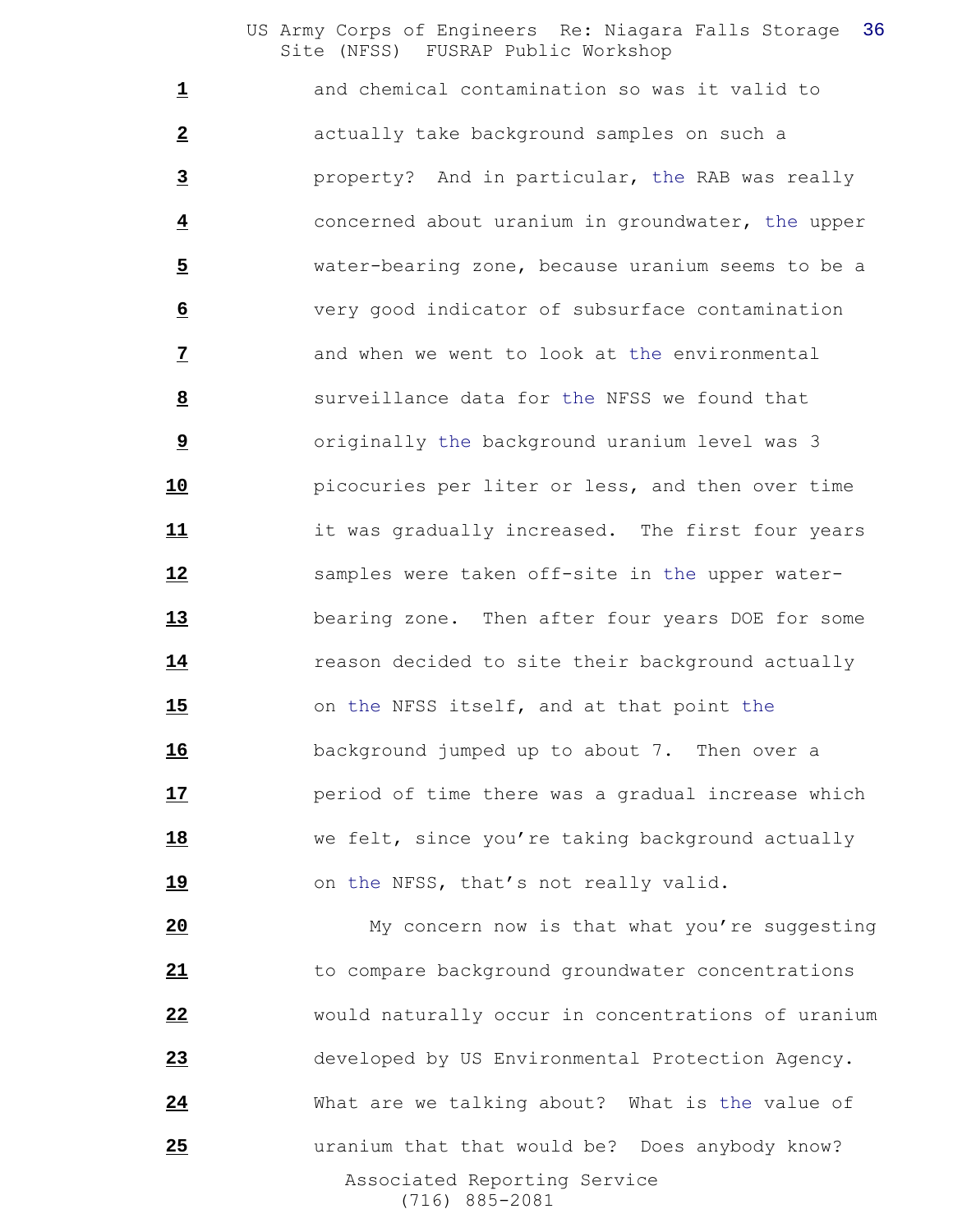and chemical contamination so was it valid to actually take background samples on such a property? And in particular, the RAB was really concerned about uranium in groundwater, the upper water-bearing zone, because uranium seems to be a very good indicator of subsurface contamination and when we went to look at the environmental surveillance data for the NFSS we found that **b** originally the background uranium level was 3 picocuries per liter or less, and then over time it was gradually increased. The first four years samples were taken off-site in the upper water- bearing zone. Then after four years DOE for some **14** reason decided to site their background actually on the NFSS itself, and at that point the background jumped up to about 7. Then over a **17** period of time there was a gradual increase which we felt, since you're taking background actually **19** on the NFSS, that's not really valid.

 Associated Reporting Service (716) 885-2081 My concern now is that what you're suggesting to compare background groundwater concentrations would naturally occur in concentrations of uranium developed by US Environmental Protection Agency. What are we talking about? What is the value of uranium that that would be? Does anybody know?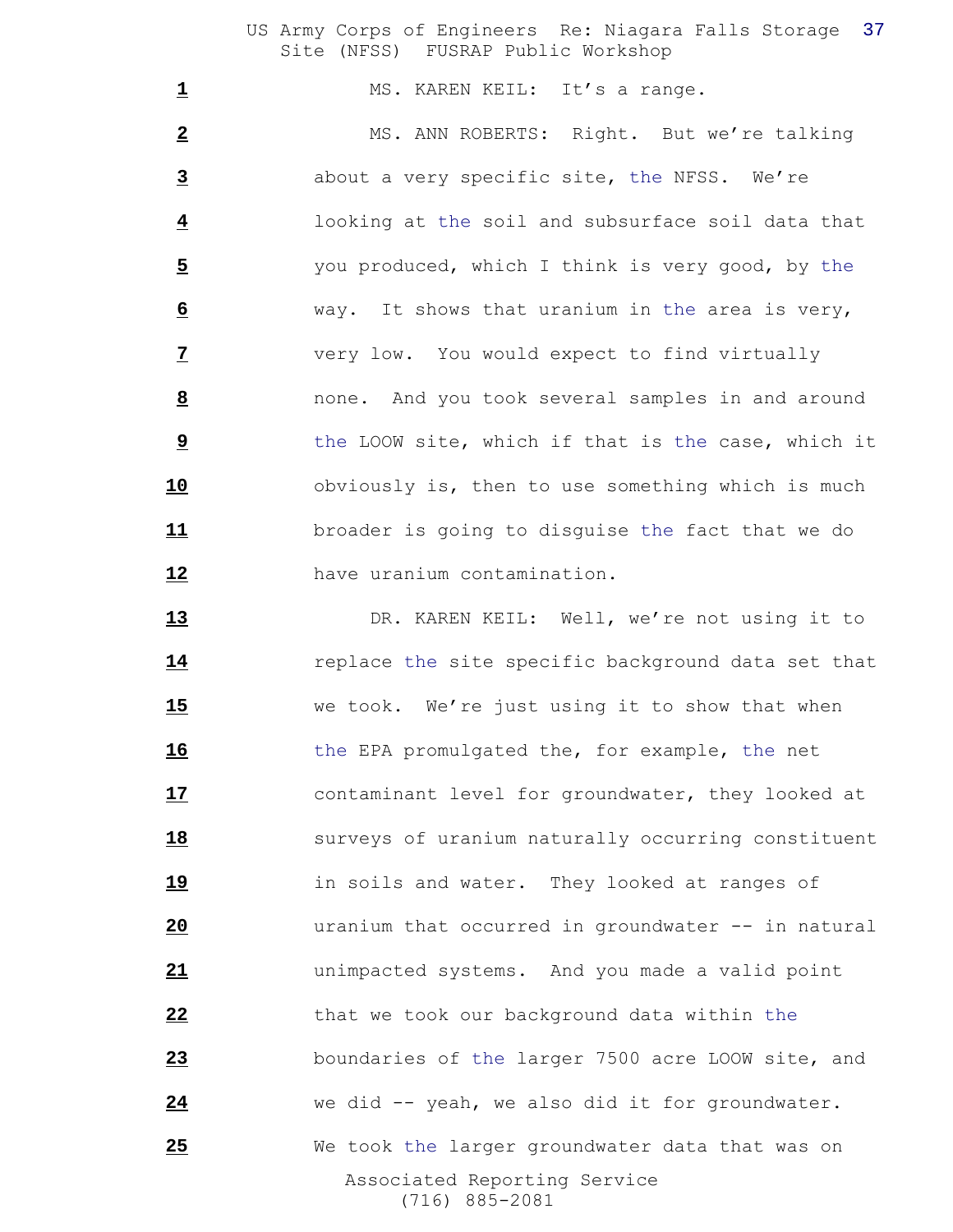1 MS. KAREN KEIL: It's a range.

 MS. ANN ROBERTS: Right. But we're talking about a very specific site, the NFSS. We're looking at the soil and subsurface soil data that you produced, which I think is very good, by the way. It shows that uranium in the area is very, very low. You would expect to find virtually none. And you took several samples in and around the LOOW site, which if that is the case, which it obviously is, then to use something which is much broader is going to disguise the fact that we do have uranium contamination.

 Associated Reporting Service (716) 885-2081 DR. KAREN KEIL: Well, we're not using it to **14** replace the site specific background data set that we took. We're just using it to show that when the EPA promulgated the, for example, the net contaminant level for groundwater, they looked at **18** surveys of uranium naturally occurring constituent in soils and water. They looked at ranges of uranium that occurred in groundwater -- in natural unimpacted systems. And you made a valid point that we took our background data within the boundaries of the larger 7500 acre LOOW site, and we did -- yeah, we also did it for groundwater. We took the larger groundwater data that was on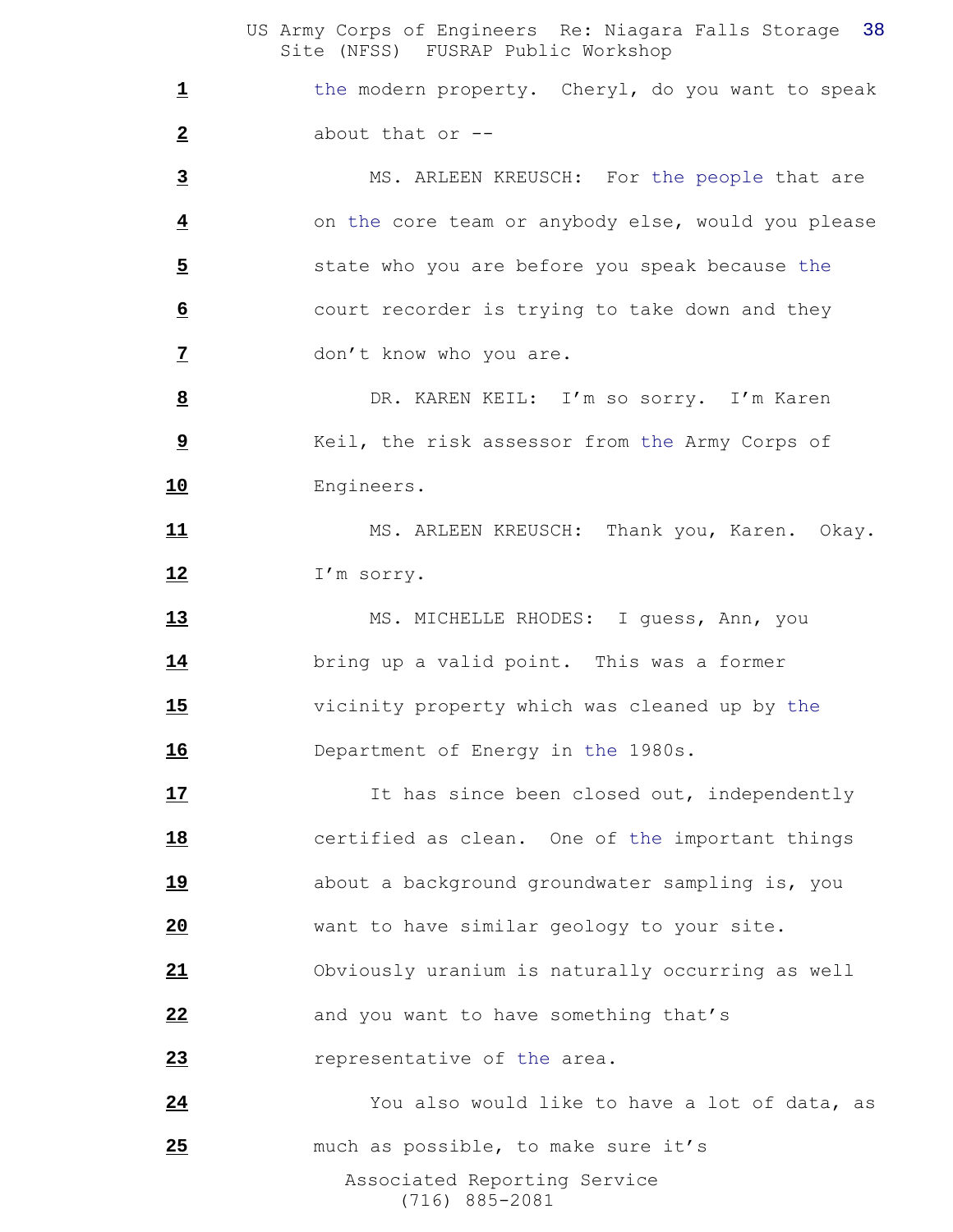1 the modern property. Cheryl, do you want to speak about that or --

 MS. ARLEEN KREUSCH: For the people that are on the core team or anybody else, would you please state who you are before you speak because the court recorder is trying to take down and they don't know who you are.

 DR. KAREN KEIL: I'm so sorry. I'm Karen Keil, the risk assessor from the Army Corps of Engineers.

 MS. ARLEEN KREUSCH: Thank you, Karen. Okay. I'm sorry.

 MS. MICHELLE RHODES: I guess, Ann, you bring up a valid point. This was a former vicinity property which was cleaned up by the Department of Energy in the 1980s.

17 17 It has since been closed out, independently certified as clean. One of the important things about a background groundwater sampling is, you want to have similar geology to your site. Obviously uranium is naturally occurring as well 22 and you want to have something that's *representative of the area.* You also would like to have a lot of data, as

 Associated Reporting Service (716) 885-2081 much as possible, to make sure it's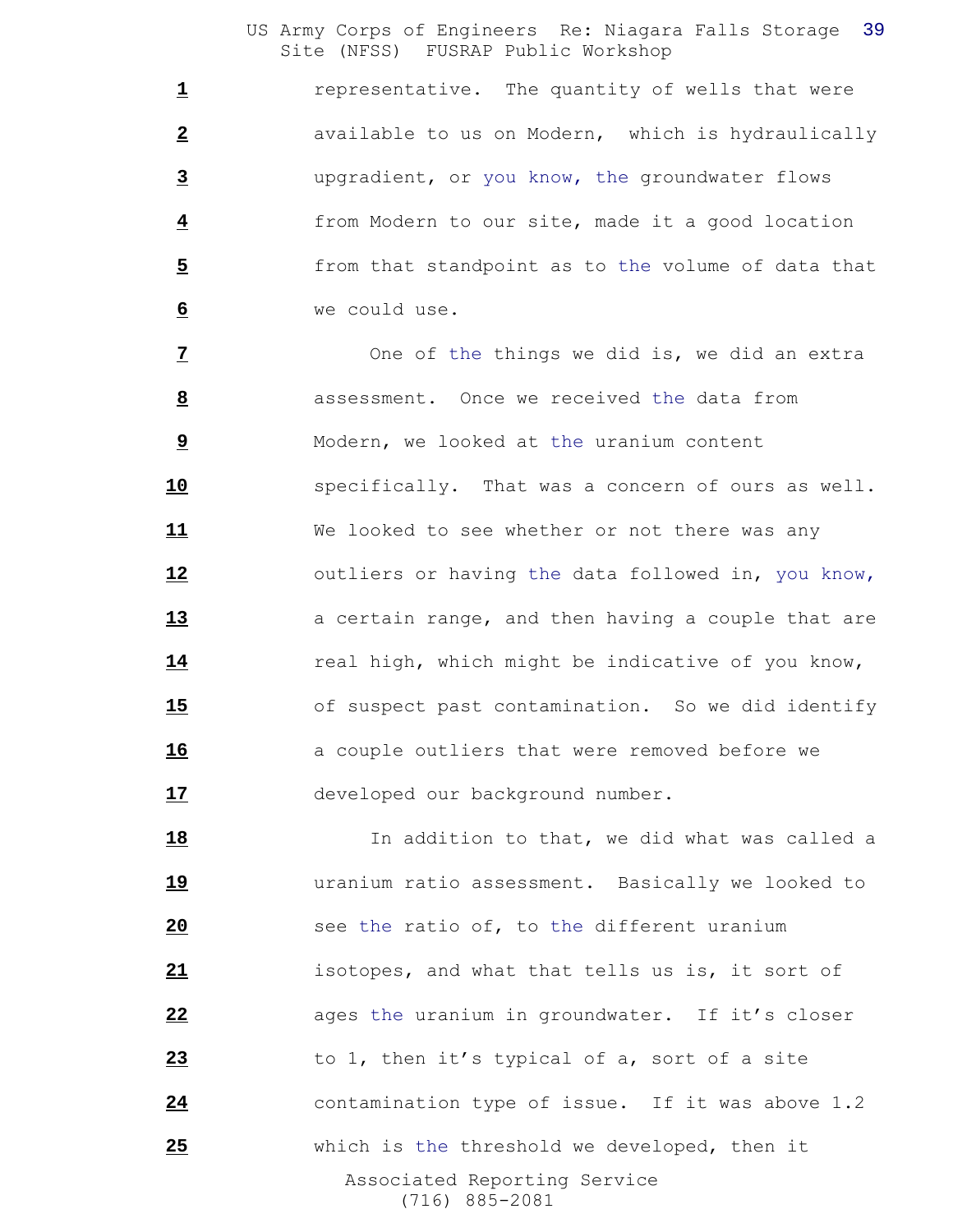**1** representative. The quantity of wells that were available to us on Modern, which is hydraulically upgradient, or you know, the groundwater flows from Modern to our site, made it a good location from that standpoint as to the volume of data that we could use.

 One of the things we did is, we did an extra assessment. Once we received the data from Modern, we looked at the uranium content specifically. That was a concern of ours as well. We looked to see whether or not there was any outliers or having the data followed in, you know, **a** certain range, and then having a couple that are **14** real high, which might be indicative of you know, of suspect past contamination. So we did identify **16 a** couple outliers that were removed before we 17 developed our background number.

 Associated Reporting Service (716) 885-2081 **18** In addition to that, we did what was called a uranium ratio assessment. Basically we looked to see the ratio of, to the different uranium isotopes, and what that tells us is, it sort of 22 ages the uranium in groundwater. If it's closer to 1, then it's typical of a, sort of a site contamination type of issue. If it was above 1.2 which is the threshold we developed, then it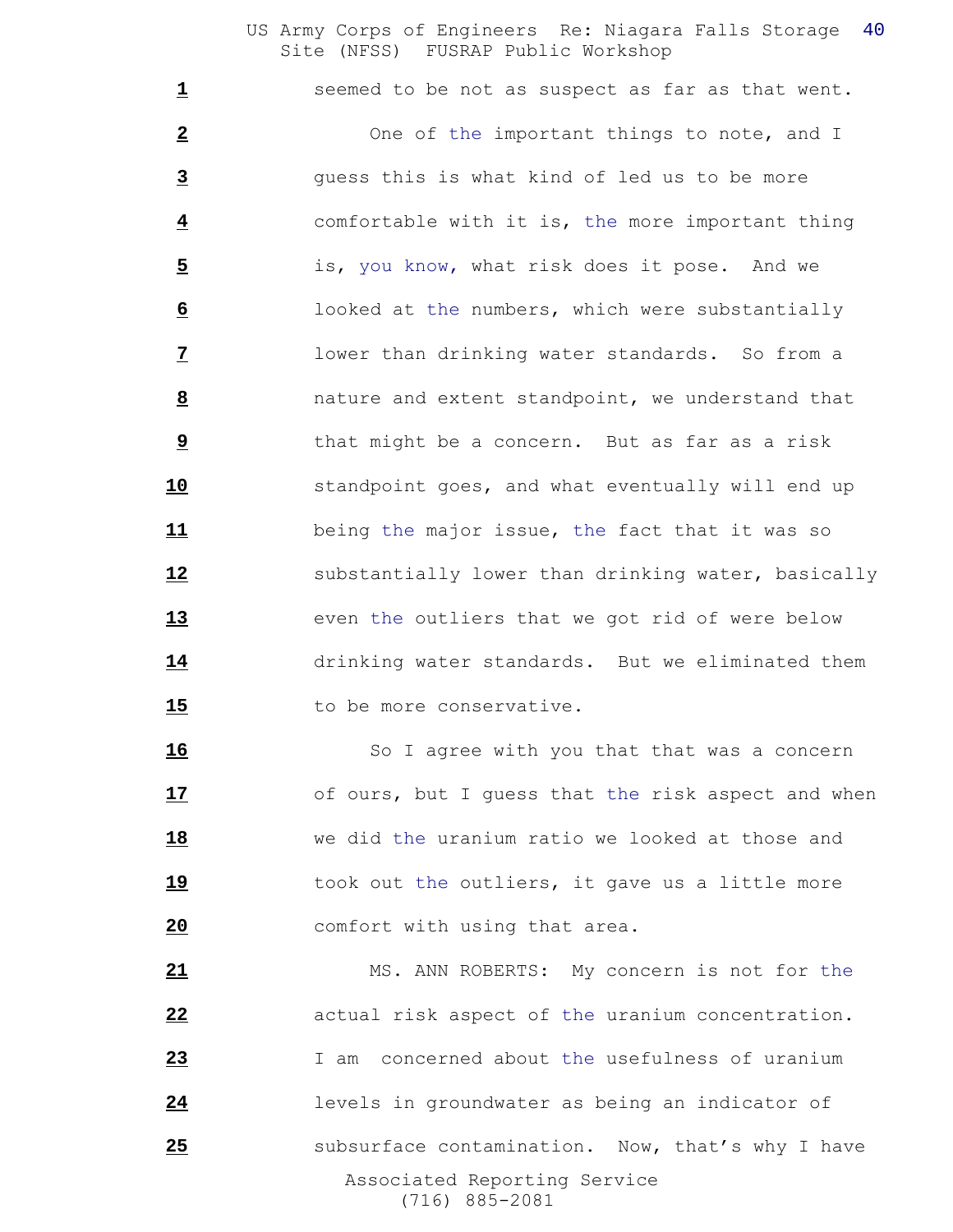**1** seemed to be not as suspect as far as that went. One of the important things to note, and I guess this is what kind of led us to be more comfortable with it is, the more important thing is, you know, what risk does it pose. And we looked at the numbers, which were substantially lower than drinking water standards. So from a nature and extent standpoint, we understand that that might be a concern. But as far as a risk standpoint goes, and what eventually will end up being the major issue, the fact that it was so **Substantially lower than drinking water, basically** 13 even the outliers that we got rid of were below drinking water standards. But we eliminated them 15 to be more conservative.

16 So I agree with you that that was a concern 17 of ours, but I guess that the risk aspect and when we did the uranium ratio we looked at those and took out the outliers, it gave us a little more comfort with using that area.

 Associated Reporting Service (716) 885-2081 MS. ANN ROBERTS: My concern is not for the actual risk aspect of the uranium concentration. I am concerned about the usefulness of uranium levels in groundwater as being an indicator of **Subsurface contamination.** Now, that's why I have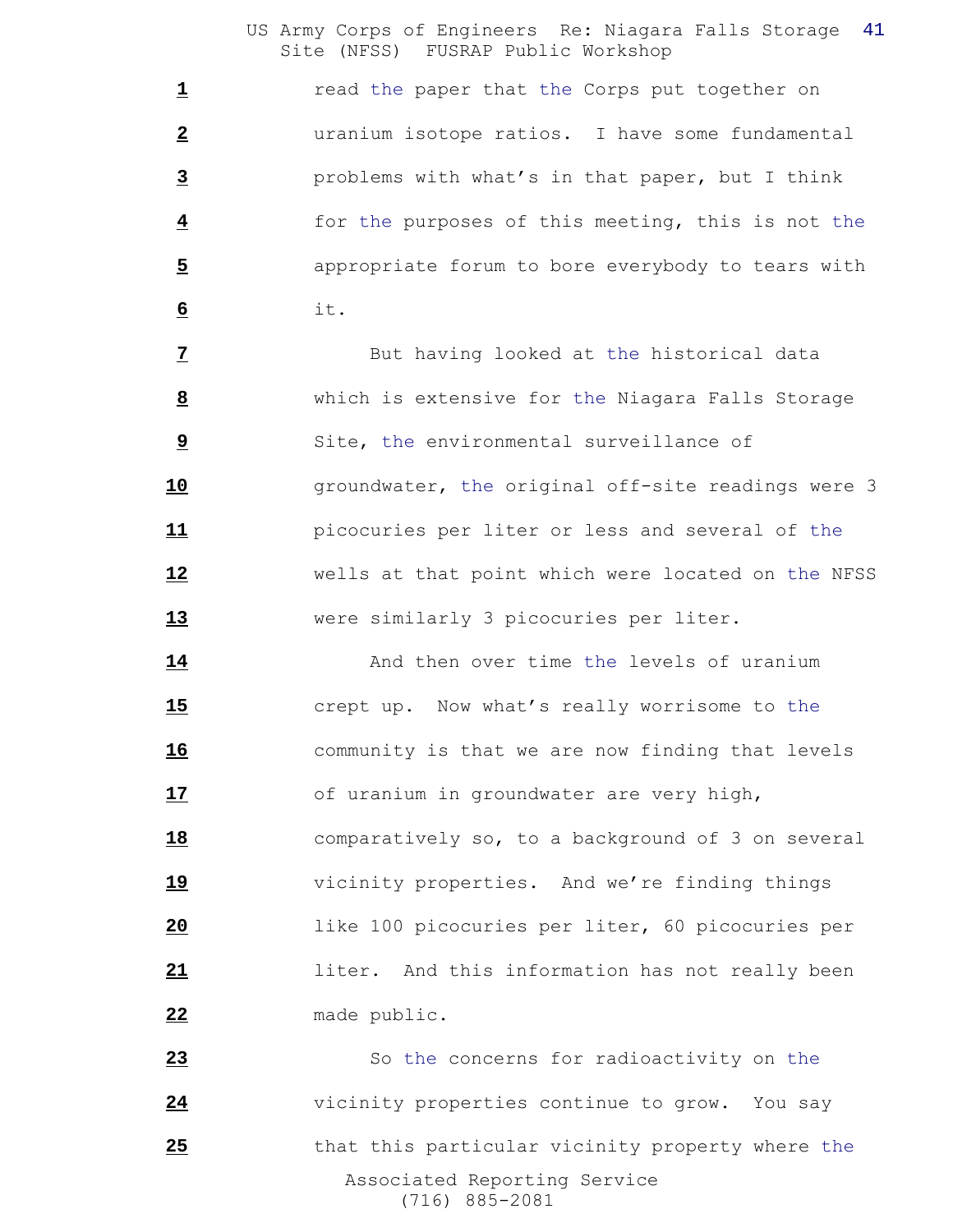**1** read the paper that the Corps put together on uranium isotope ratios. I have some fundamental problems with what's in that paper, but I think for the purposes of this meeting, this is not the appropriate forum to bore everybody to tears with it.

 But having looked at the historical data which is extensive for the Niagara Falls Storage Site, the environmental surveillance of **10** groundwater, the original off-site readings were 3 picocuries per liter or less and several of the wells at that point which were located on the NFSS were similarly 3 picocuries per liter.

14 And then over time the levels of uranium crept up. Now what's really worrisome to the community is that we are now finding that levels 17 of uranium in groundwater are very high, comparatively so, to a background of 3 on several vicinity properties. And we're finding things like 100 picocuries per liter, 60 picocuries per liter. And this information has not really been made public.

 Associated Reporting Service (716) 885-2081 So the concerns for radioactivity on the 24 vicinity properties continue to grow. You say 25 that this particular vicinity property where the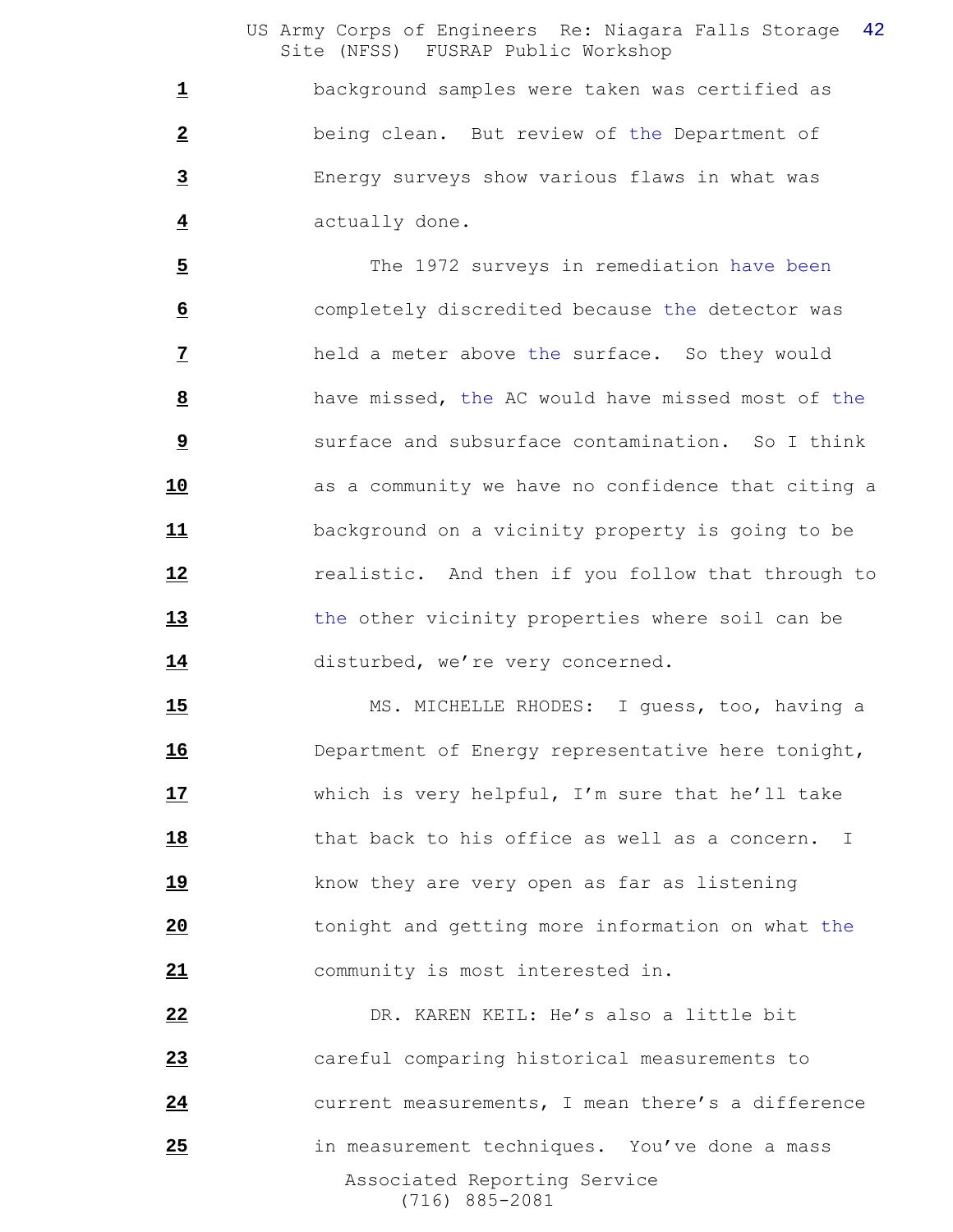background samples were taken was certified as being clean. But review of the Department of Energy surveys show various flaws in what was actually done.

 The 1972 surveys in remediation have been completely discredited because the detector was held a meter above the surface. So they would have missed, the AC would have missed most of the Surface and subsurface contamination. So I think **as a community we have no confidence that citing a**  background on a vicinity property is going to be **12** realistic. And then if you follow that through to the other vicinity properties where soil can be 14 disturbed, we're very concerned.

 MS. MICHELLE RHODES: I guess, too, having a Department of Energy representative here tonight, which is very helpful, I'm sure that he'll take that back to his office as well as a concern. I know they are very open as far as listening tonight and getting more information on what the community is most interested in.

 Associated Reporting Service (716) 885-2081 DR. KAREN KEIL: He's also a little bit careful comparing historical measurements to current measurements, I mean there's a difference in measurement techniques. You've done a mass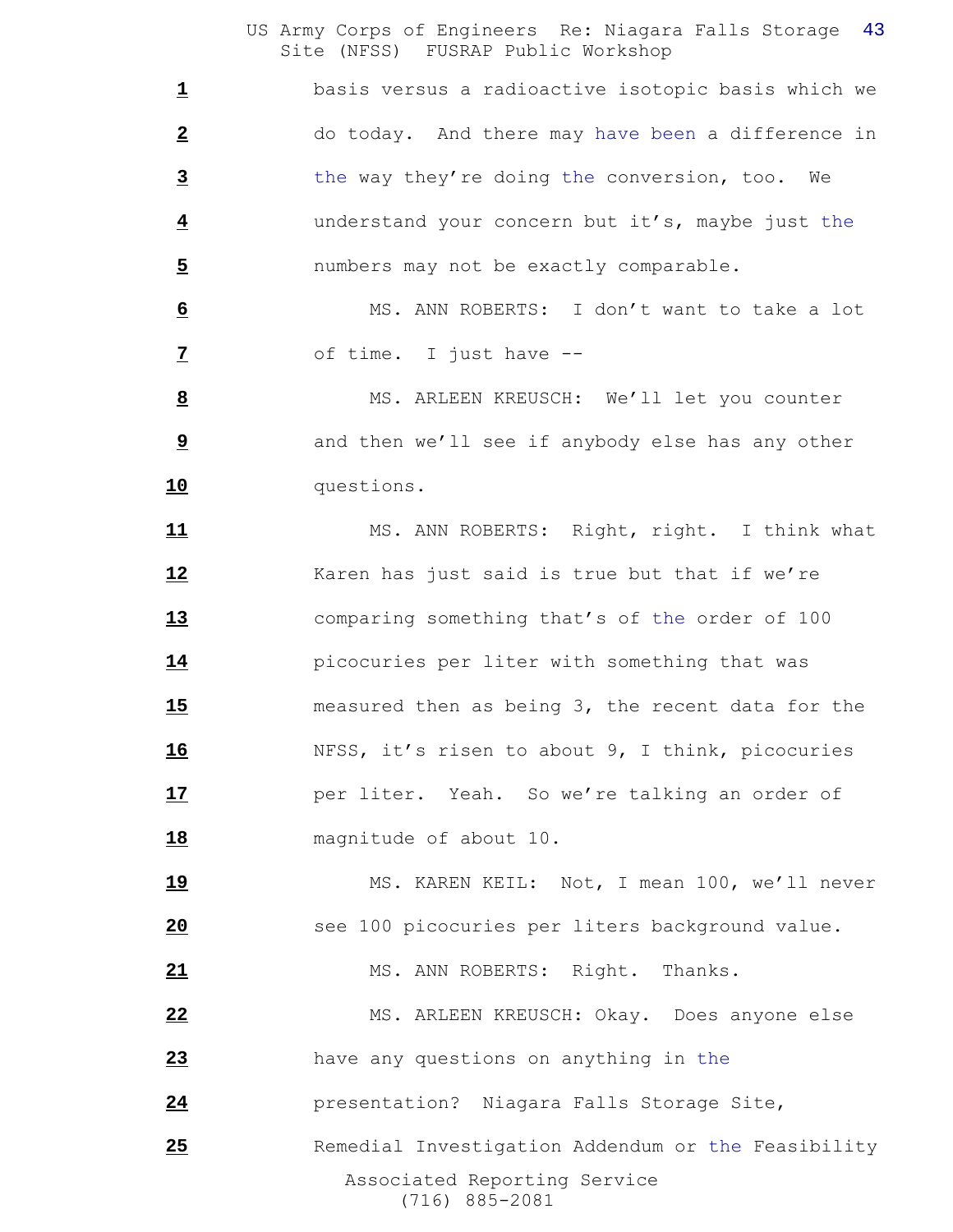basis versus a radioactive isotopic basis which we do today. And there may have been a difference in the way they're doing the conversion, too. We understand your concern but it's, maybe just the numbers may not be exactly comparable.

 MS. ANN ROBERTS: I don't want to take a lot of time. I just have --

 MS. ARLEEN KREUSCH: We'll let you counter and then we'll see if anybody else has any other questions.

11 MS. ANN ROBERTS: Right, right. I think what Karen has just said is true but that if we're comparing something that's of the order of 100 picocuries per liter with something that was measured then as being 3, the recent data for the NFSS, it's risen to about 9, I think, picocuries **17** per liter. Yeah. So we're talking an order of magnitude of about 10.

 MS. KAREN KEIL: Not, I mean 100, we'll never see 100 picocuries per liters background value.

21 MS. ANN ROBERTS: Right. Thanks.

 MS. ARLEEN KREUSCH: Okay. Does anyone else have any questions on anything in the

presentation? Niagara Falls Storage Site,

 Associated Reporting Service (716) 885-2081 25 Remedial Investigation Addendum or the Feasibility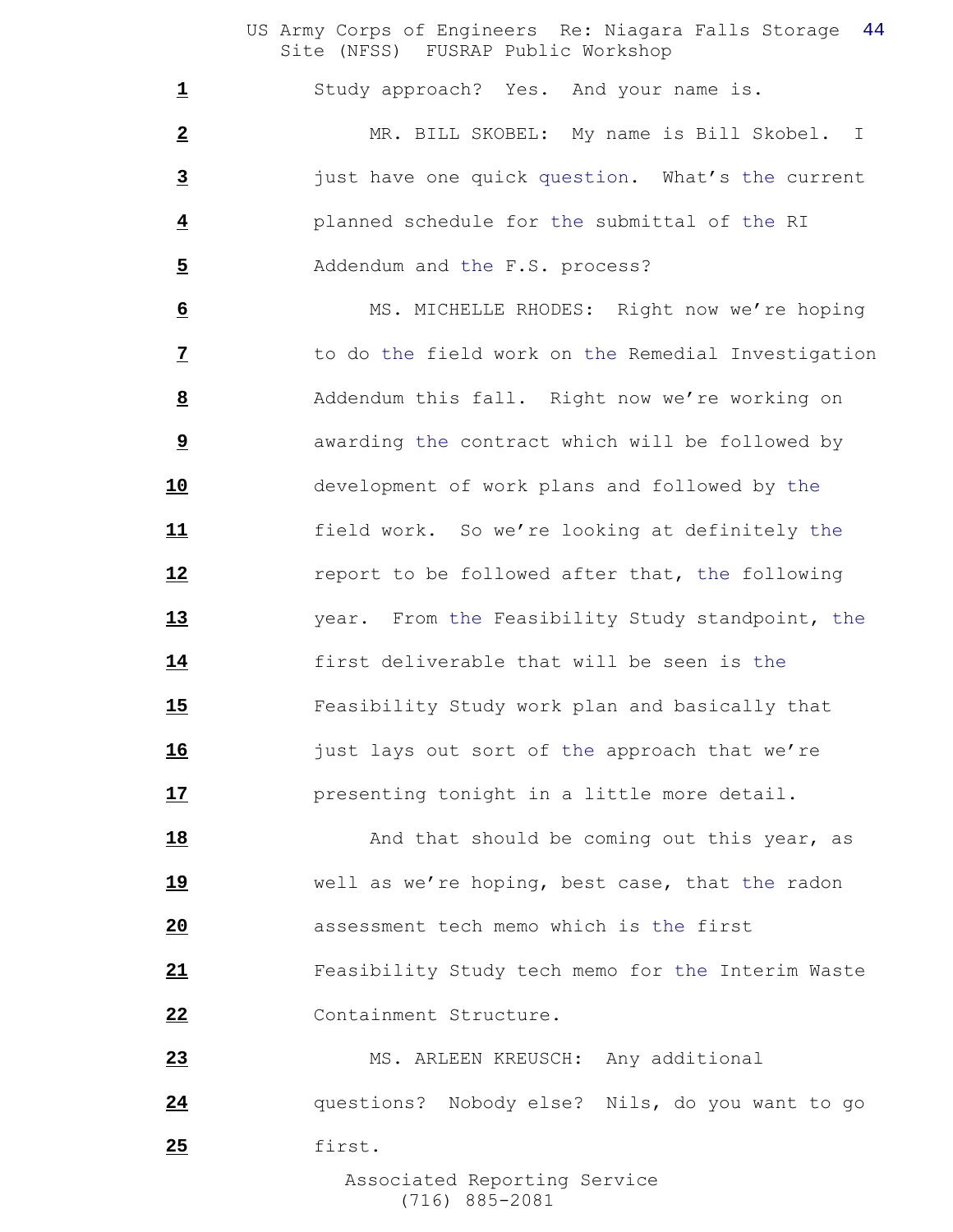Study approach? Yes. And your name is.

 MR. BILL SKOBEL: My name is Bill Skobel. I just have one quick question. What's the current planned schedule for the submittal of the RI Addendum and the F.S. process?

 MS. MICHELLE RHODES: Right now we're hoping to do the field work on the Remedial Investigation Addendum this fall. Right now we're working on awarding the contract which will be followed by development of work plans and followed by the field work. So we're looking at definitely the **12** report to be followed after that, the following year. From the Feasibility Study standpoint, the first deliverable that will be seen is the Feasibility Study work plan and basically that **16** just lays out sort of the approach that we're presenting tonight in a little more detail.

18 And that should be coming out this year, as well as we're hoping, best case, that the radon assessment tech memo which is the first Feasibility Study tech memo for the Interim Waste Containment Structure.

 MS. ARLEEN KREUSCH: Any additional questions? Nobody else? Nils, do you want to go first.

 Associated Reporting Service (716) 885-2081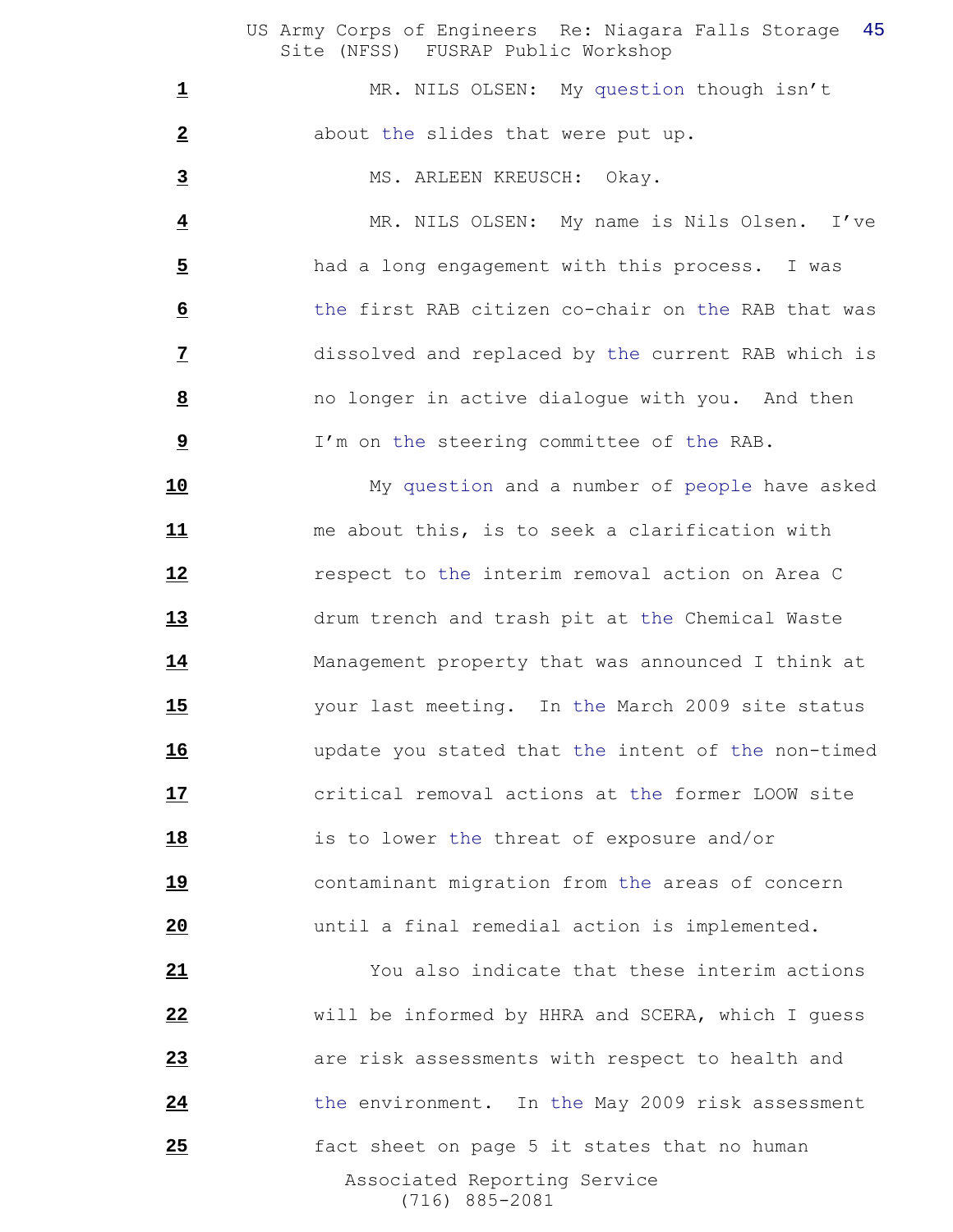1 MR. NILS OLSEN: My question though isn't about the slides that were put up.

MS. ARLEEN KREUSCH: Okay.

 MR. NILS OLSEN: My name is Nils Olsen. I've had a long engagement with this process. I was the first RAB citizen co-chair on the RAB that was dissolved and replaced by the current RAB which is no longer in active dialogue with you. And then I'm on the steering committee of the RAB.

 My question and a number of people have asked me about this, is to seek a clarification with respect to the interim removal action on Area C drum trench and trash pit at the Chemical Waste Management property that was announced I think at your last meeting. In the March 2009 site status update you stated that the intent of the non-timed critical removal actions at the former LOOW site is to lower the threat of exposure and/or contaminant migration from the areas of concern until a final remedial action is implemented.

 Associated Reporting Service (716) 885-2081 You also indicate that these interim actions will be informed by HHRA and SCERA, which I guess are risk assessments with respect to health and 24 the environment. In the May 2009 risk assessment fact sheet on page 5 it states that no human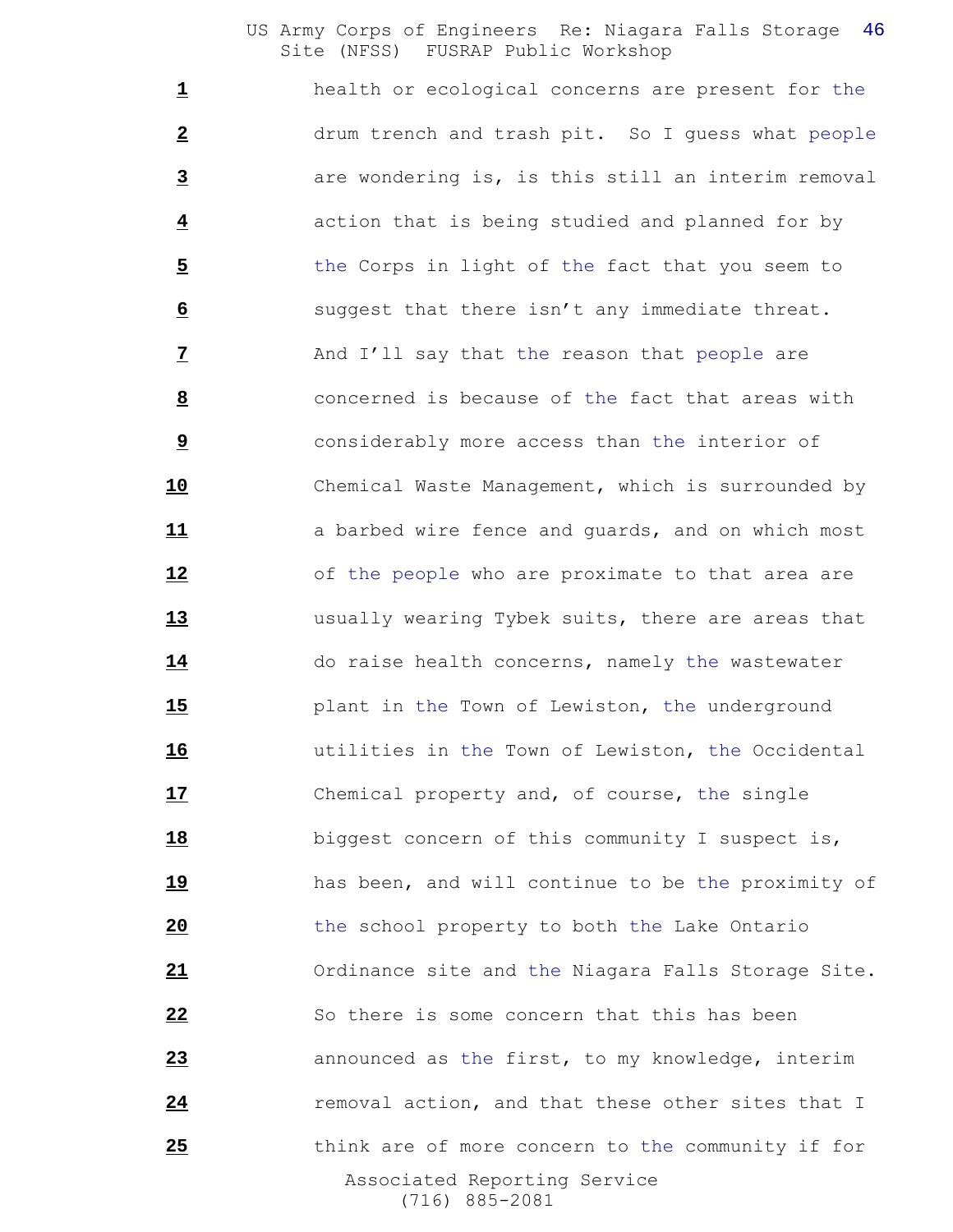Associated Reporting Service (716) 885-2081 health or ecological concerns are present for the drum trench and trash pit. So I guess what people are wondering is, is this still an interim removal action that is being studied and planned for by 5 the Corps in light of the fact that you seem to suggest that there isn't any immediate threat. And I'll say that the reason that people are concerned is because of the fact that areas with **b** considerably more access than the interior of Chemical Waste Management, which is surrounded by 11 a barbed wire fence and quards, and on which most of the people who are proximate to that area are usually wearing Tybek suits, there are areas that do raise health concerns, namely the wastewater plant in the Town of Lewiston, the underground utilities in the Town of Lewiston, the Occidental Chemical property and, of course, the single biggest concern of this community I suspect is, has been, and will continue to be the proximity of the school property to both the Lake Ontario Ordinance site and the Niagara Falls Storage Site. So there is some concern that this has been announced as the first, to my knowledge, interim **24** removal action, and that these other sites that I think are of more concern to the community if for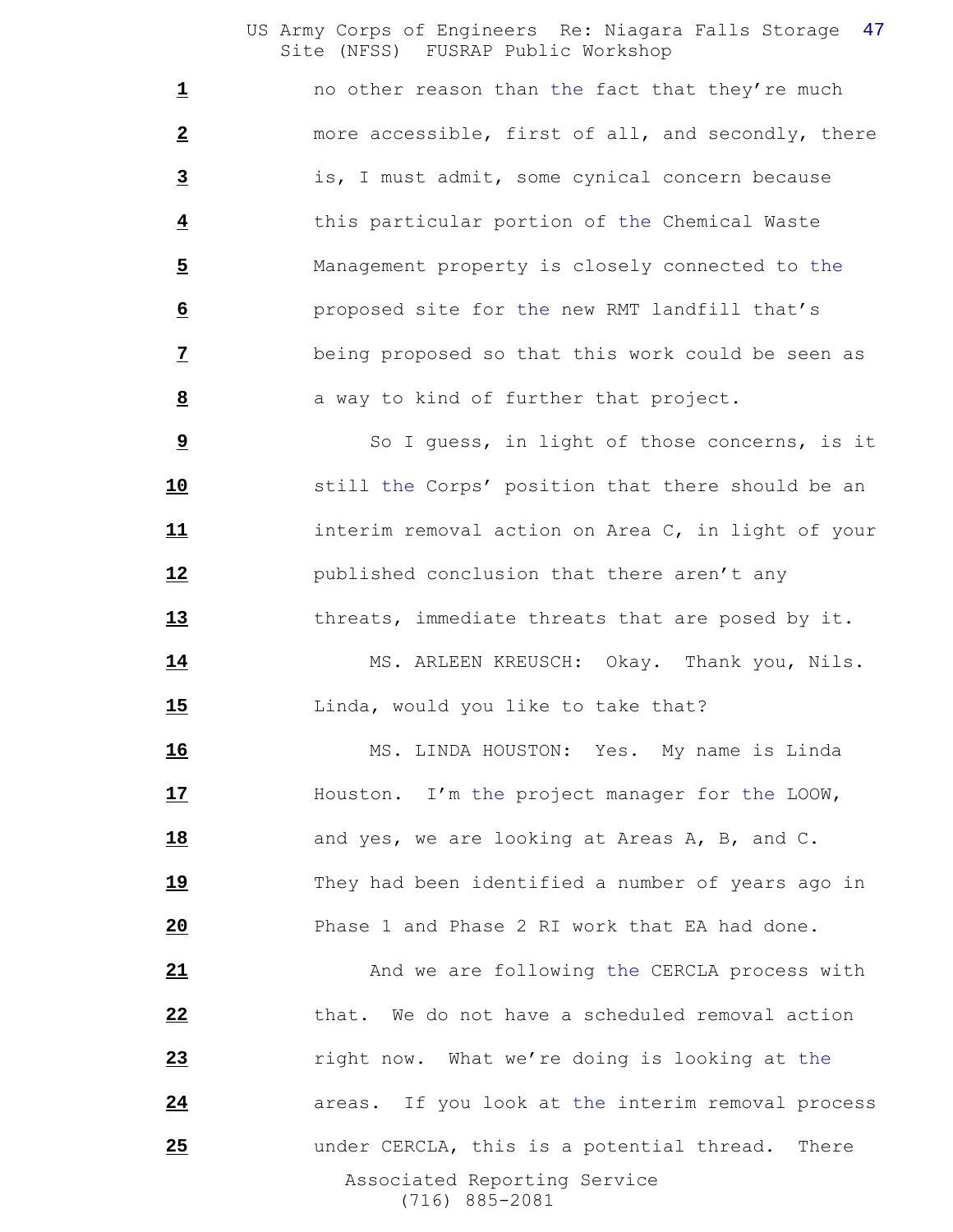no other reason than the fact that they're much more accessible, first of all, and secondly, there is, I must admit, some cynical concern because this particular portion of the Chemical Waste Management property is closely connected to the proposed site for the new RMT landfill that's being proposed so that this work could be seen as **a** way to kind of further that project.

 So I guess, in light of those concerns, is it still the Corps' position that there should be an interim removal action on Area C, in light of your published conclusion that there aren't any threats, immediate threats that are posed by it.

14 MS. ARLEEN KREUSCH: Okay. Thank you, Nils. 15 Linda, would you like to take that?

 MS. LINDA HOUSTON: Yes. My name is Linda Houston. I'm the project manager for the LOOW, and yes, we are looking at Areas A, B, and C. They had been identified a number of years ago in Phase 1 and Phase 2 RI work that EA had done.

 Associated Reporting Service (716) 885-2081 And we are following the CERCLA process with that. We do not have a scheduled removal action right now. What we're doing is looking at the **24 areas.** If you look at the interim removal process under CERCLA, this is a potential thread. There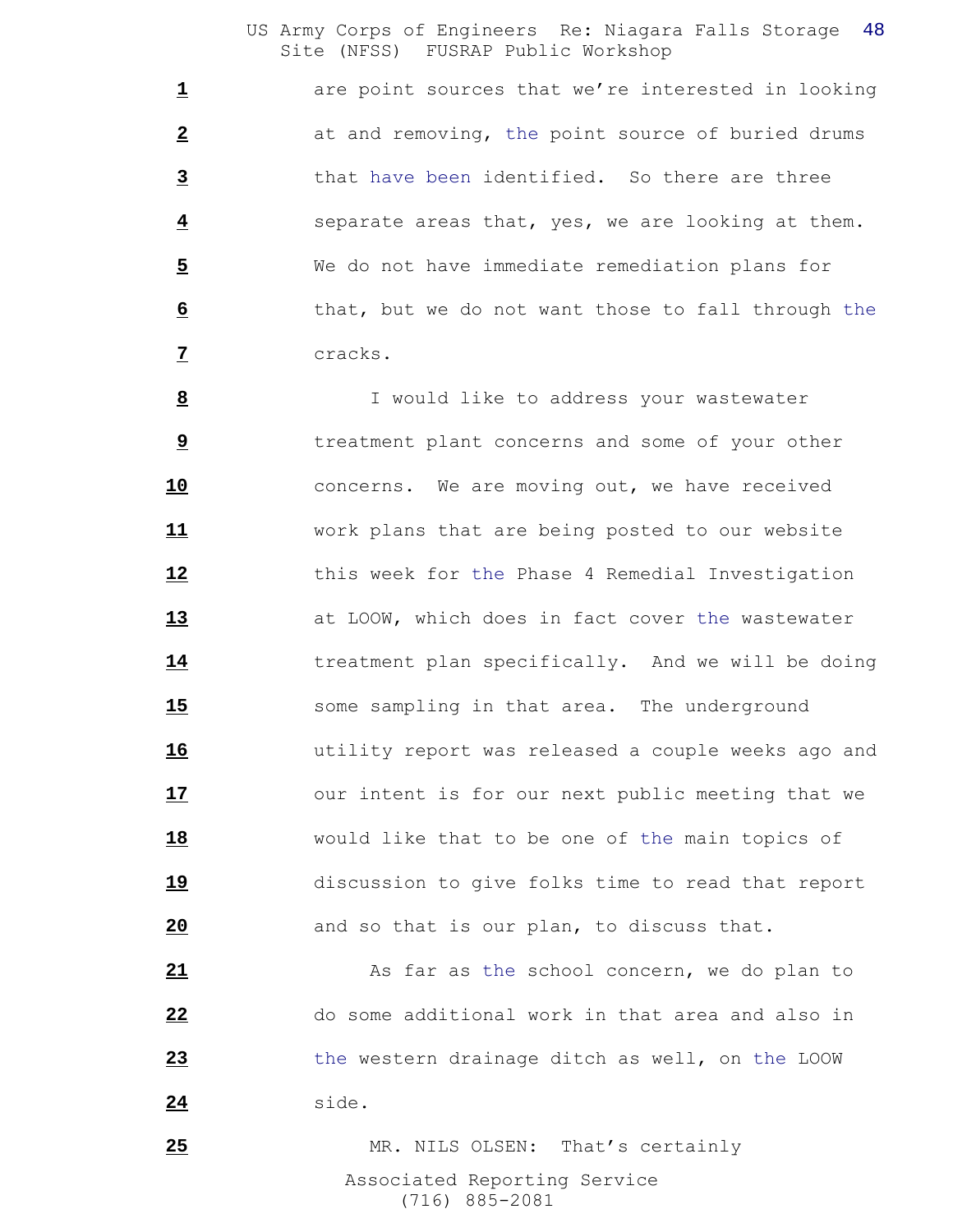1 are point sources that we're interested in looking at and removing, the point source of buried drums that have been identified. So there are three separate areas that, yes, we are looking at them. We do not have immediate remediation plans for that, but we do not want those to fall through the cracks.

 I would like to address your wastewater **b** treatment plant concerns and some of your other concerns. We are moving out, we have received work plans that are being posted to our website this week for the Phase 4 Remedial Investigation at LOOW, which does in fact cover the wastewater treatment plan specifically. And we will be doing some sampling in that area. The underground utility report was released a couple weeks ago and 17 our intent is for our next public meeting that we would like that to be one of the main topics of discussion to give folks time to read that report and so that is our plan, to discuss that.

 As far as the school concern, we do plan to do some additional work in that area and also in the western drainage ditch as well, on the LOOW side.

 Associated Reporting Service (716) 885-2081 MR. NILS OLSEN: That's certainly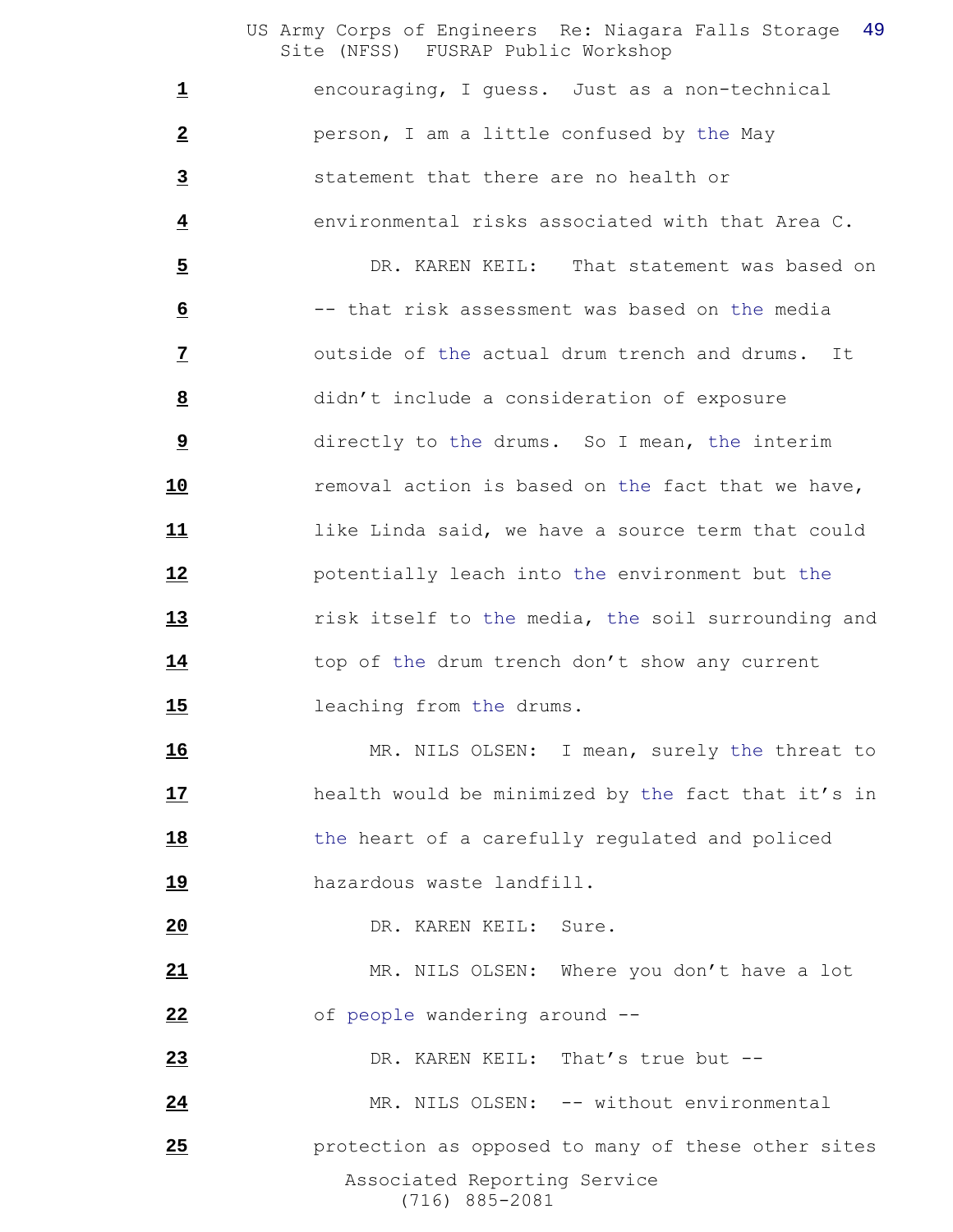encouraging, I guess. Just as a non-technical person, I am a little confused by the May statement that there are no health or environmental risks associated with that Area C.

 DR. KAREN KEIL: That statement was based on -- that risk assessment was based on the media outside of the actual drum trench and drums. It didn't include a consideration of exposure directly to the drums. So I mean, the interim removal action is based on the fact that we have, like Linda said, we have a source term that could potentially leach into the environment but the risk itself to the media, the soil surrounding and 14 top of the drum trench don't show any current leaching from the drums.

 MR. NILS OLSEN: I mean, surely the threat to health would be minimized by the fact that it's in the heart of a carefully regulated and policed **hazardous** waste landfill.

DR. KAREN KEIL: Sure.

 MR. NILS OLSEN: Where you don't have a lot of people wandering around --

DR. KAREN KEIL: That's true but --

MR. NILS OLSEN: -- without environmental

 Associated Reporting Service (716) 885-2081 protection as opposed to many of these other sites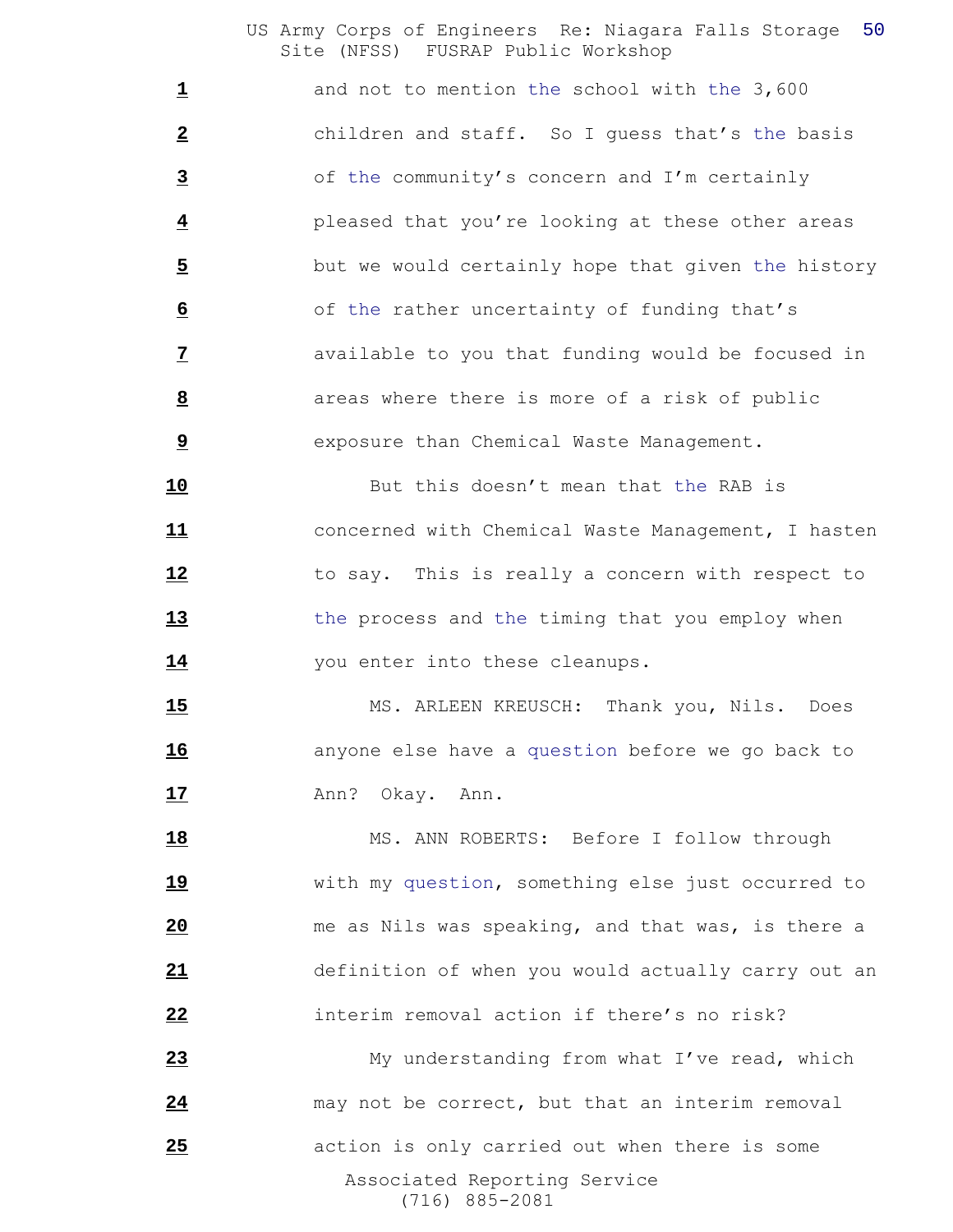1 and not to mention the school with the 3,600 children and staff. So I guess that's the basis of the community's concern and I'm certainly pleased that you're looking at these other areas but we would certainly hope that given the history of the rather uncertainty of funding that's available to you that funding would be focused in areas where there is more of a risk of public exposure than Chemical Waste Management.

 But this doesn't mean that the RAB is concerned with Chemical Waste Management, I hasten to say. This is really a concern with respect to the process and the timing that you employ when 14 you enter into these cleanups.

 MS. ARLEEN KREUSCH: Thank you, Nils. Does **anyone else have a question before we go back to Ann?** Okay. Ann.

18 MS. ANN ROBERTS: Before I follow through with my question, something else just occurred to me as Nils was speaking, and that was, is there a definition of when you would actually carry out an interim removal action if there's no risk?

 Associated Reporting Service (716) 885-2081 My understanding from what I've read, which may not be correct, but that an interim removal action is only carried out when there is some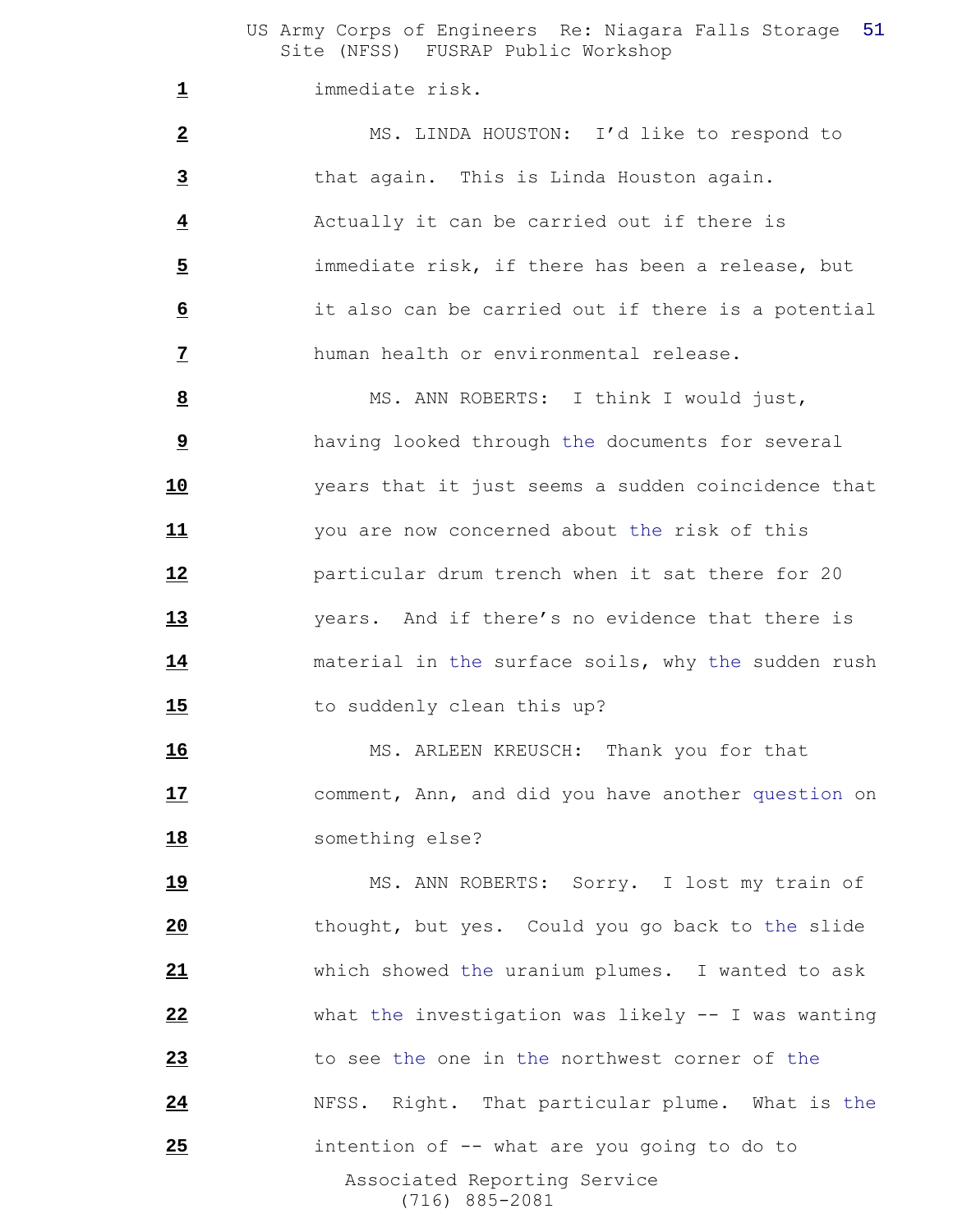immediate risk.

 MS. LINDA HOUSTON: I'd like to respond to that again. This is Linda Houston again. Actually it can be carried out if there is immediate risk, if there has been a release, but it also can be carried out if there is a potential human health or environmental release.

8 MS. ANN ROBERTS: I think I would just, having looked through the documents for several years that it just seems a sudden coincidence that you are now concerned about the risk of this particular drum trench when it sat there for 20 years. And if there's no evidence that there is material in the surface soils, why the sudden rush 15 to suddenly clean this up?

16 MS. ARLEEN KREUSCH: Thank you for that comment, Ann, and did you have another question on something else?

 Associated Reporting Service (716) 885-2081 19 MS. ANN ROBERTS: Sorry. I lost my train of thought, but yes. Could you go back to the slide which showed the uranium plumes. I wanted to ask what the investigation was likely -- I was wanting to see the one in the northwest corner of the NFSS. Right. That particular plume. What is the intention of -- what are you going to do to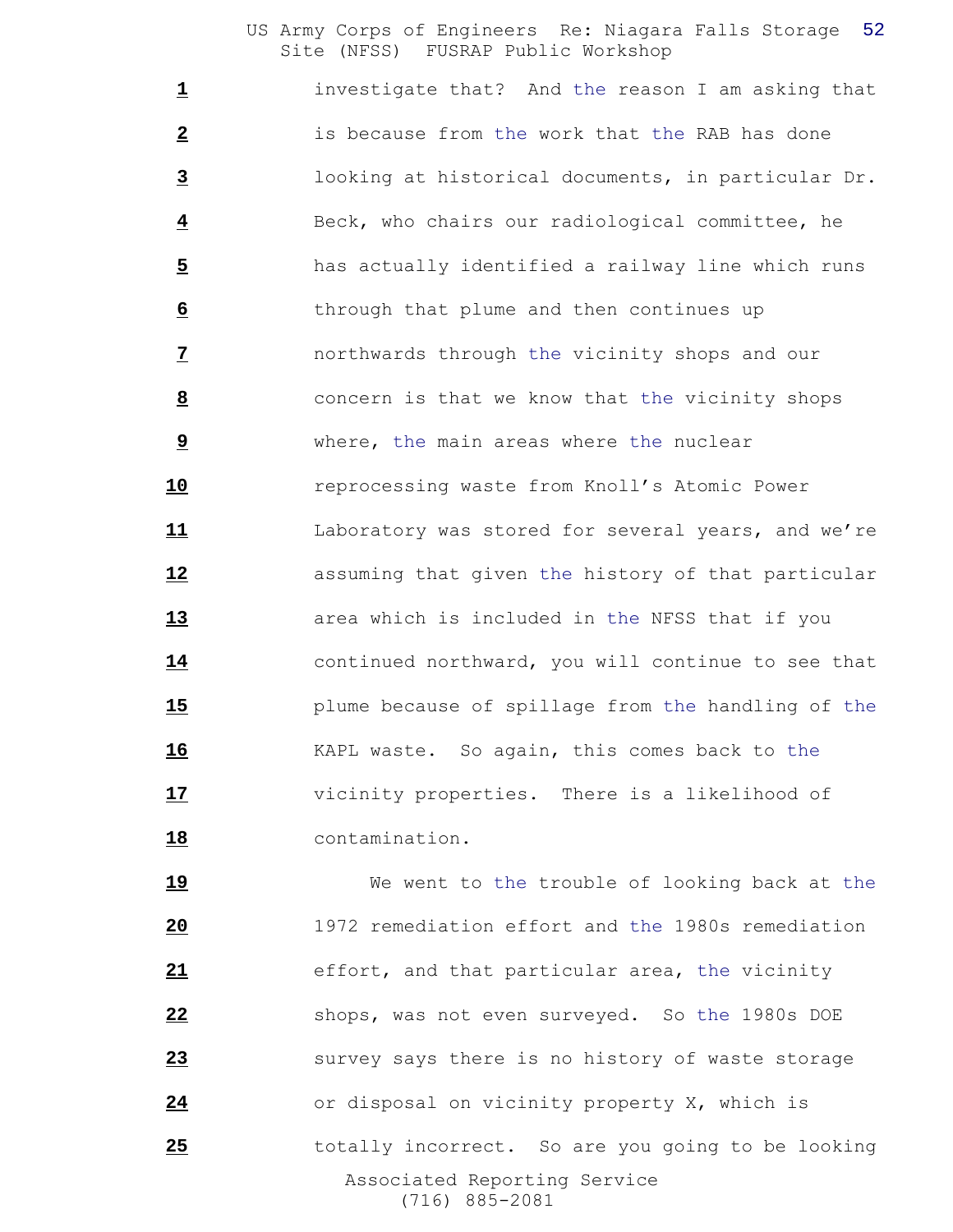investigate that? And the reason I am asking that is because from the work that the RAB has done looking at historical documents, in particular Dr. Beck, who chairs our radiological committee, he has actually identified a railway line which runs through that plume and then continues up northwards through the vicinity shops and our concern is that we know that the vicinity shops where, the main areas where the nuclear reprocessing waste from Knoll's Atomic Power Laboratory was stored for several years, and we're assuming that given the history of that particular area which is included in the NFSS that if you continued northward, you will continue to see that plume because of spillage from the handling of the KAPL waste. So again, this comes back to the vicinity properties. There is a likelihood of contamination.

 Associated Reporting Service (716) 885-2081 19 We went to the trouble of looking back at the 1972 remediation effort and the 1980s remediation effort, and that particular area, the vicinity shops, was not even surveyed. So the 1980s DOE survey says there is no history of waste storage or disposal on vicinity property X, which is totally incorrect. So are you going to be looking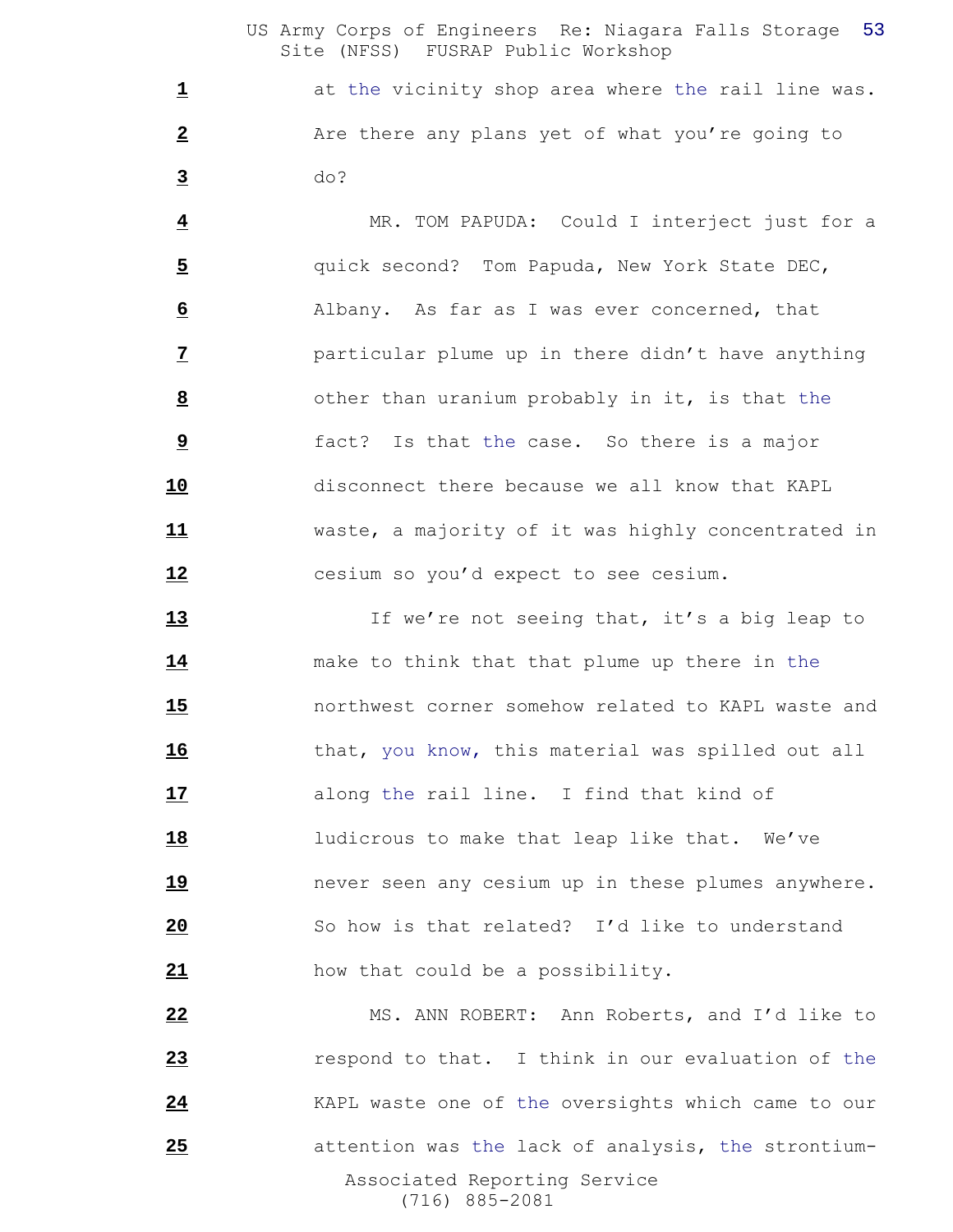at the vicinity shop area where the rail line was. Are there any plans yet of what you're going to do?

 MR. TOM PAPUDA: Could I interject just for a quick second? Tom Papuda, New York State DEC, Albany. As far as I was ever concerned, that particular plume up in there didn't have anything other than uranium probably in it, is that the fact? Is that the case. So there is a major disconnect there because we all know that KAPL waste, a majority of it was highly concentrated in **12** cesium so you'd expect to see cesium.

**13** If we're not seeing that, it's a big leap to make to think that that plume up there in the northwest corner somehow related to KAPL waste and that, you know, this material was spilled out all along the rail line. I find that kind of **18** ludicrous to make that leap like that. We've never seen any cesium up in these plumes anywhere. So how is that related? I'd like to understand how that could be a possibility.

 Associated Reporting Service (716) 885-2081 MS. ANN ROBERT: Ann Roberts, and I'd like to respond to that. I think in our evaluation of the KAPL waste one of the oversights which came to our attention was the lack of analysis, the strontium-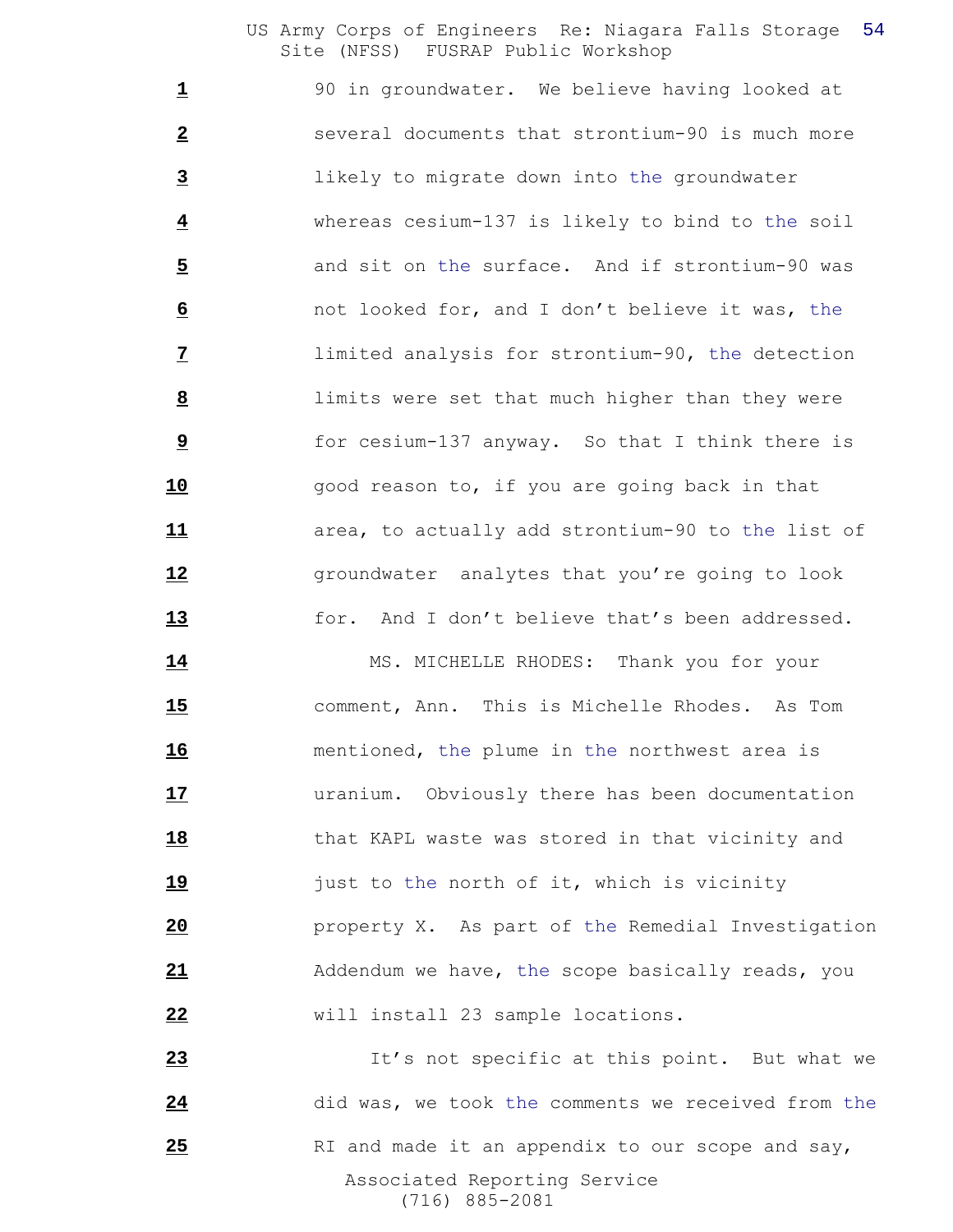1 90 in groundwater. We believe having looked at several documents that strontium-90 is much more likely to migrate down into the groundwater whereas cesium-137 is likely to bind to the soil and sit on the surface. And if strontium-90 was not looked for, and I don't believe it was, the limited analysis for strontium-90, the detection limits were set that much higher than they were for cesium-137 anyway. So that I think there is **10** good reason to, if you are going back in that area, to actually add strontium-90 to the list of **12** groundwater analytes that you're going to look **for.** And I don't believe that's been addressed.

14 MS. MICHELLE RHODES: Thank you for your comment, Ann. This is Michelle Rhodes. As Tom mentioned, the plume in the northwest area is uranium. Obviously there has been documentation that KAPL waste was stored in that vicinity and just to the north of it, which is vicinity property X. As part of the Remedial Investigation Addendum we have, the scope basically reads, you will install 23 sample locations.

 Associated Reporting Service (716) 885-2081 23 It's not specific at this point. But what we did was, we took the comments we received from the RI and made it an appendix to our scope and say,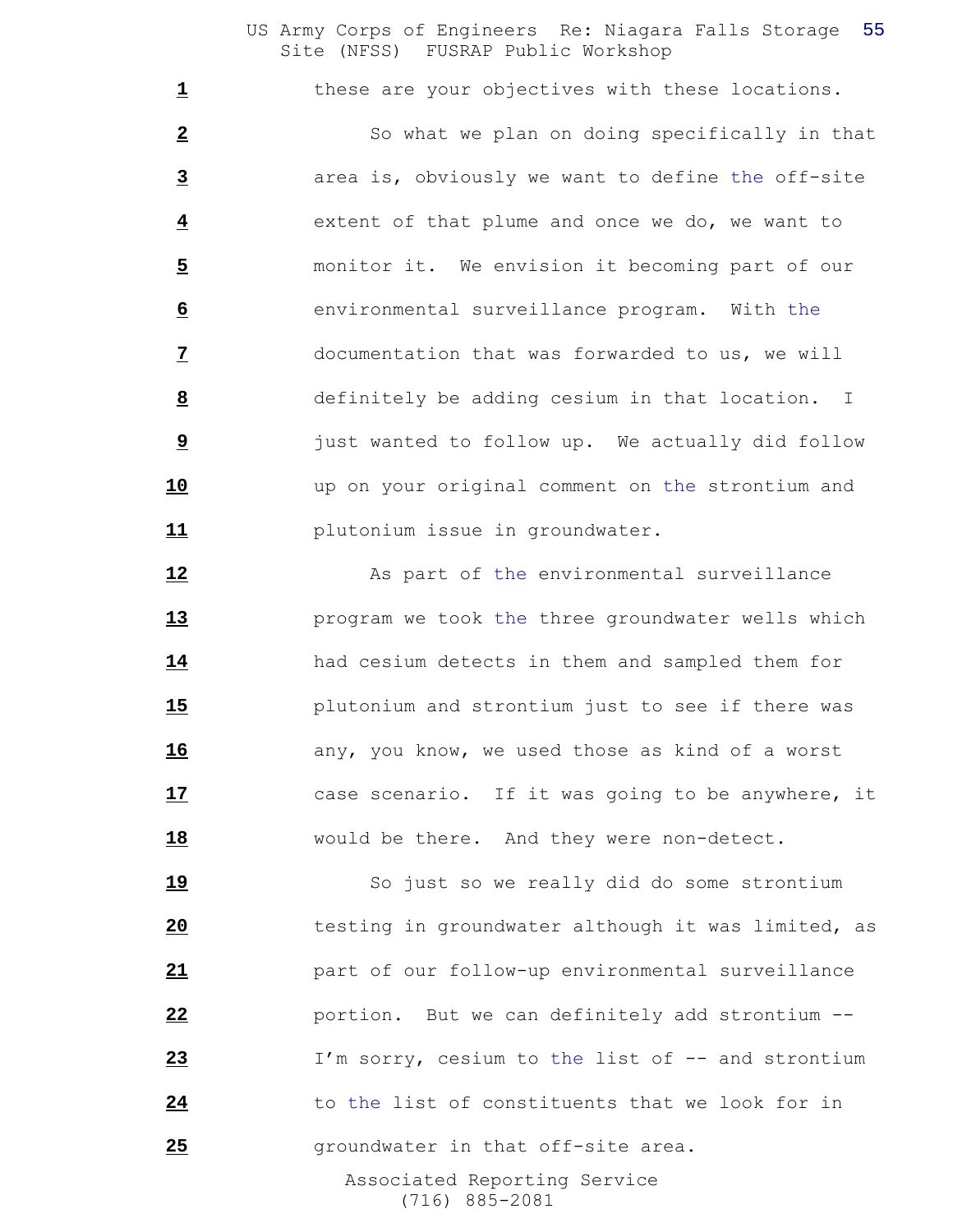these are your objectives with these locations.

 So what we plan on doing specifically in that area is, obviously we want to define the off-site extent of that plume and once we do, we want to monitor it. We envision it becoming part of our environmental surveillance program. With the documentation that was forwarded to us, we will definitely be adding cesium in that location. I just wanted to follow up. We actually did follow up on your original comment on the strontium and plutonium issue in groundwater.

12 As part of the environmental surveillance program we took the three groundwater wells which had cesium detects in them and sampled them for plutonium and strontium just to see if there was any, you know, we used those as kind of a worst case scenario. If it was going to be anywhere, it would be there. And they were non-detect.

 Associated Reporting Service 19 So just so we really did do some strontium testing in groundwater although it was limited, as part of our follow-up environmental surveillance portion. But we can definitely add strontium -- I'm sorry, cesium to the list of -- and strontium to the list of constituents that we look for in groundwater in that off-site area.

(716) 885-2081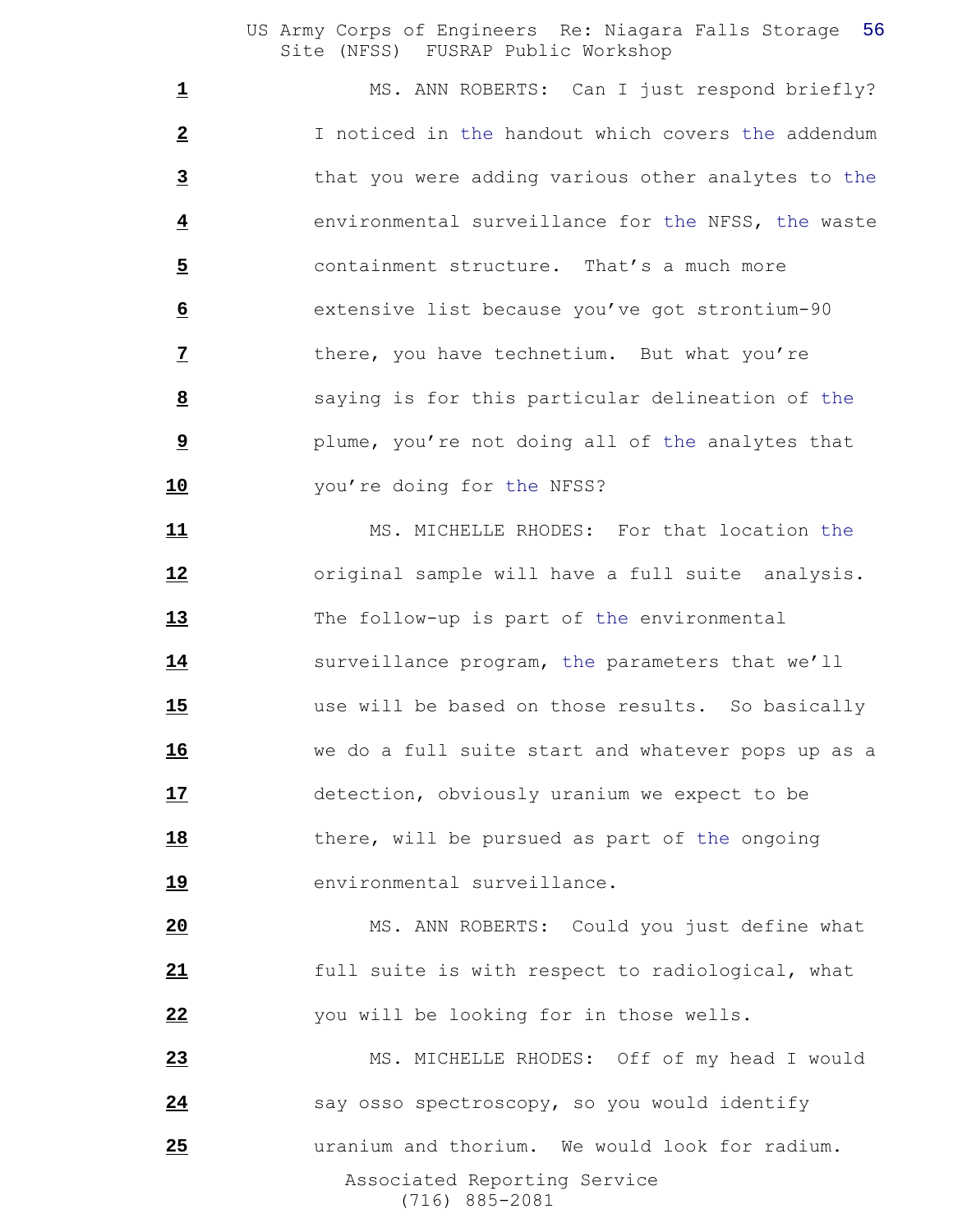1 MS. ANN ROBERTS: Can I just respond briefly? I noticed in the handout which covers the addendum that you were adding various other analytes to the environmental surveillance for the NFSS, the waste containment structure. That's a much more extensive list because you've got strontium-90 there, you have technetium. But what you're saying is for this particular delineation of the plume, you're not doing all of the analytes that you're doing for the NFSS?

11 MS. MICHELLE RHODES: For that location the original sample will have a full suite analysis. The follow-up is part of the environmental surveillance program, the parameters that we'll use will be based on those results. So basically we do a full suite start and whatever pops up as a detection, obviously uranium we expect to be 18 there, will be pursued as part of the ongoing **19** environmental surveillance.

 MS. ANN ROBERTS: Could you just define what full suite is with respect to radiological, what you will be looking for in those wells.

 Associated Reporting Service (716) 885-2081 MS. MICHELLE RHODES: Off of my head I would 24 say osso spectroscopy, so you would identify uranium and thorium. We would look for radium.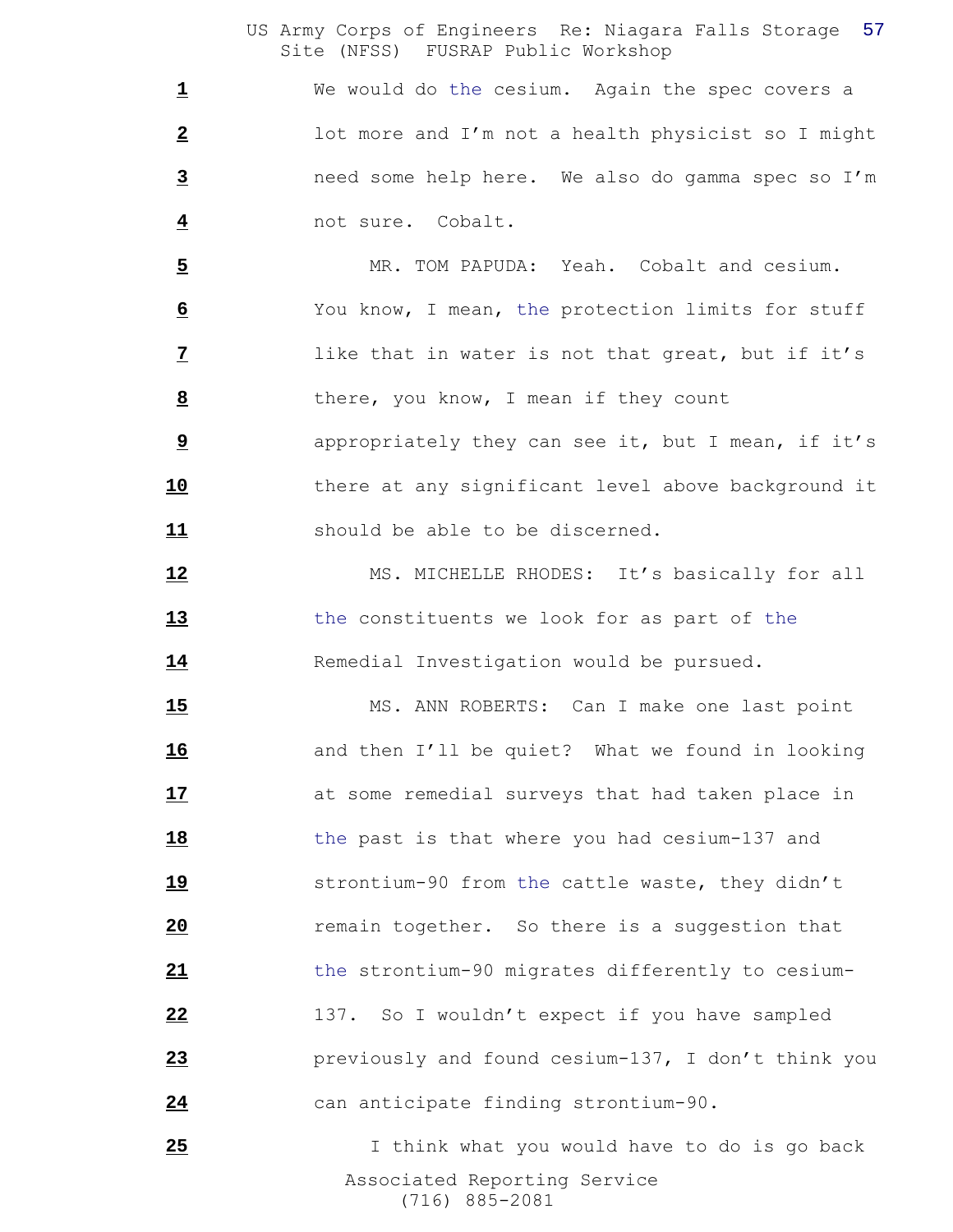We would do the cesium. Again the spec covers a lot more and I'm not a health physicist so I might need some help here. We also do gamma spec so I'm not sure. Cobalt.

 MR. TOM PAPUDA: Yeah. Cobalt and cesium. You know, I mean, the protection limits for stuff like that in water is not that great, but if it's there, you know, I mean if they count

 appropriately they can see it, but I mean, if it's there at any significant level above background it should be able to be discerned.

12 MS. MICHELLE RHODES: It's basically for all the constituents we look for as part of the 14 Remedial Investigation would be pursued.

15 MS. ANN ROBERTS: Can I make one last point and then I'll be quiet? What we found in looking at some remedial surveys that had taken place in the past is that where you had cesium-137 and strontium-90 from the cattle waste, they didn't remain together. So there is a suggestion that the strontium-90 migrates differently to cesium- 137. So I wouldn't expect if you have sampled previously and found cesium-137, I don't think you can anticipate finding strontium-90.

 Associated Reporting Service (716) 885-2081 25 1 I think what you would have to do is go back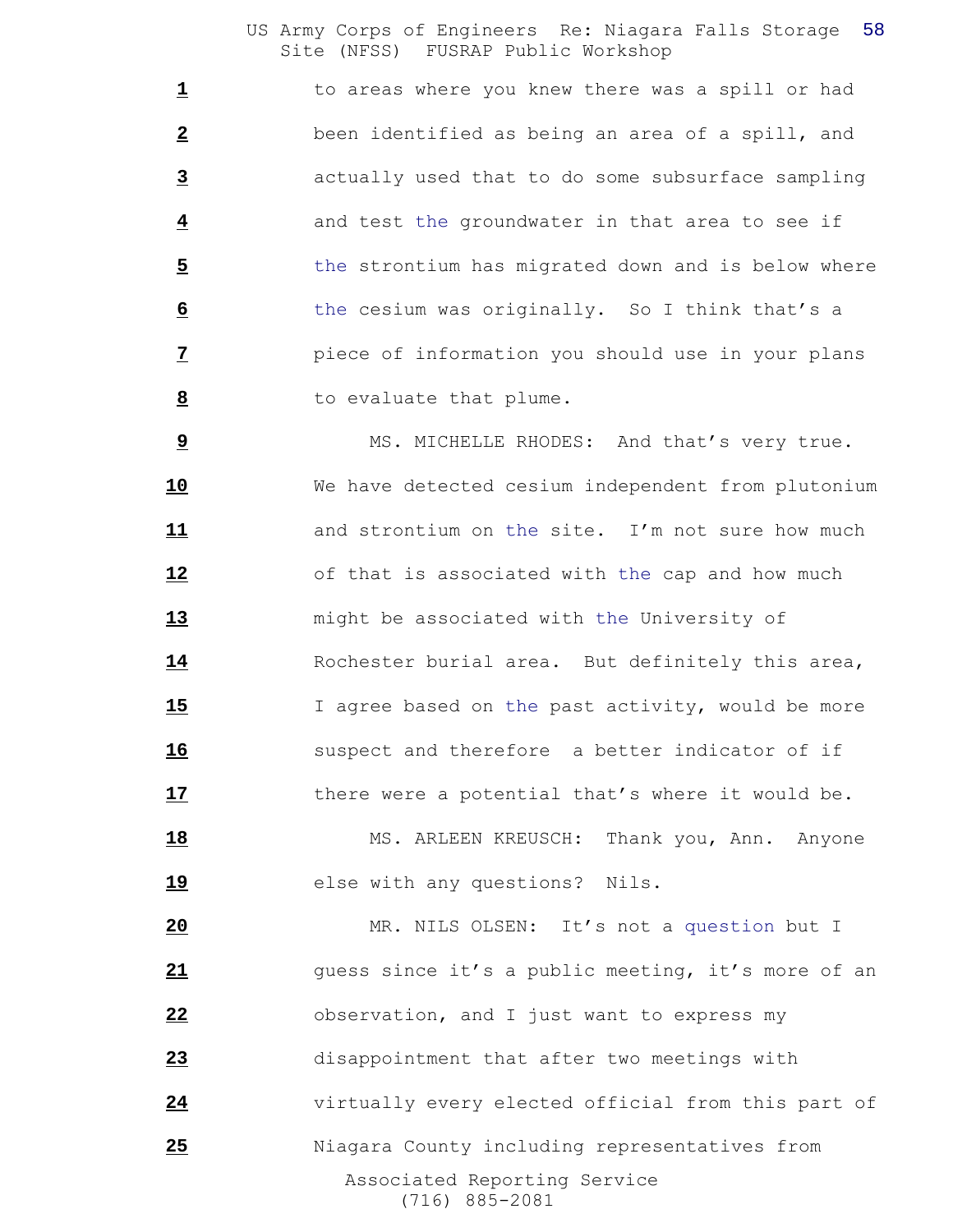to areas where you knew there was a spill or had been identified as being an area of a spill, and actually used that to do some subsurface sampling and test the groundwater in that area to see if the strontium has migrated down and is below where the cesium was originally. So I think that's a piece of information you should use in your plans to evaluate that plume.

 MS. MICHELLE RHODES: And that's very true. We have detected cesium independent from plutonium and strontium on the site. I'm not sure how much of that is associated with the cap and how much might be associated with the University of Rochester burial area. But definitely this area, 15 I agree based on the past activity, would be more suspect and therefore a better indicator of if 17 there were a potential that's where it would be.

18 MS. ARLEEN KREUSCH: Thank you, Ann. Anyone **19** else with any questions? Nils.

 Associated Reporting Service (716) 885-2081 MR. NILS OLSEN: It's not a question but I guess since it's a public meeting, it's more of an observation, and I just want to express my disappointment that after two meetings with virtually every elected official from this part of Niagara County including representatives from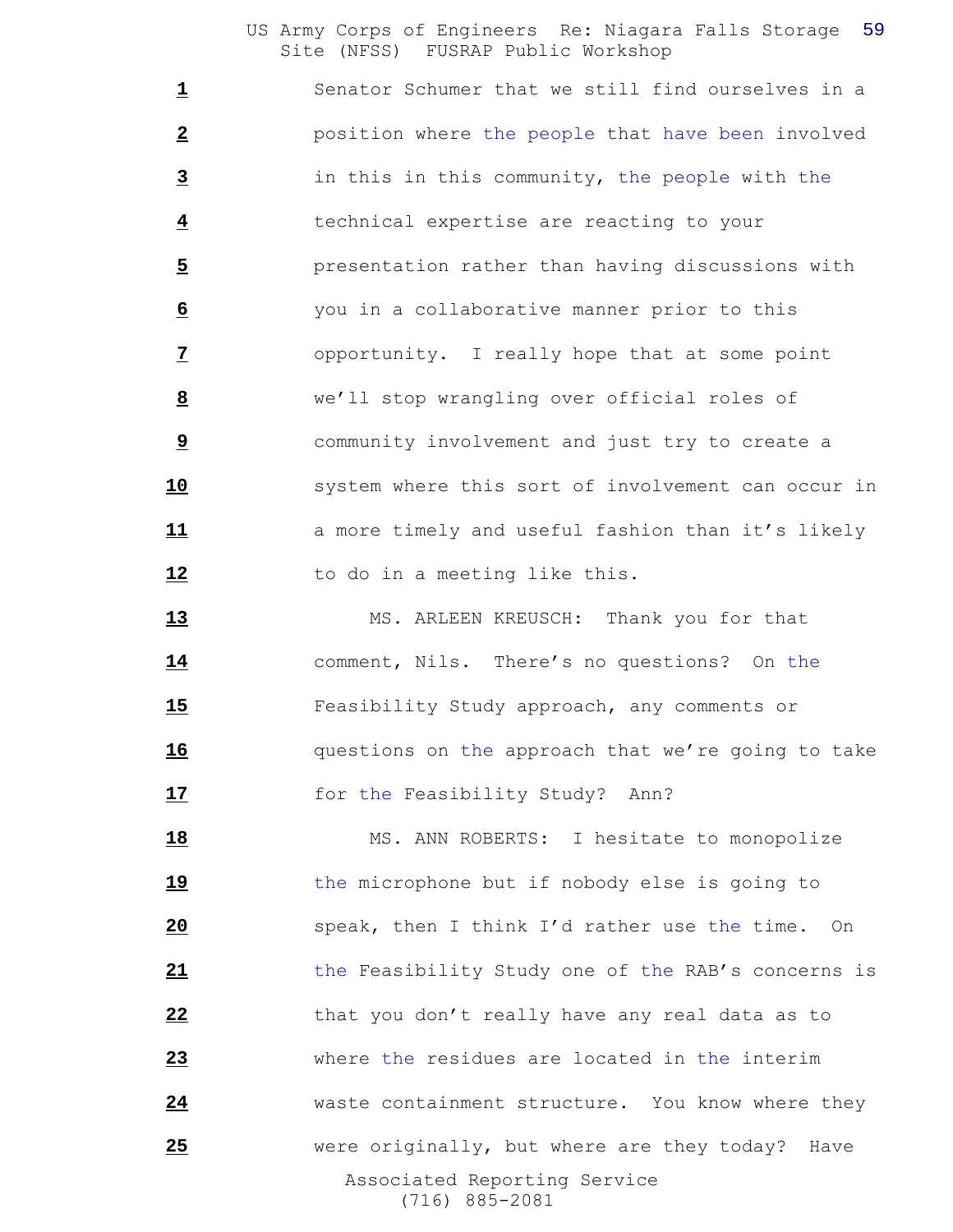Senator Schumer that we still find ourselves in a position where the people that have been involved in this in this community, the people with the technical expertise are reacting to your presentation rather than having discussions with you in a collaborative manner prior to this opportunity. I really hope that at some point we'll stop wrangling over official roles of community involvement and just try to create a **10** system where this sort of involvement can occur in **11 a** more timely and useful fashion than it's likely 12 to do in a meeting like this.

13 MS. ARLEEN KREUSCH: Thank you for that comment, Nils. There's no questions? On the Feasibility Study approach, any comments or questions on the approach that we're going to take **17** for the Feasibility Study? Ann?

 Associated Reporting Service (716) 885-2081 18 MS. ANN ROBERTS: I hesitate to monopolize 19 the microphone but if nobody else is going to speak, then I think I'd rather use the time. On the Feasibility Study one of the RAB's concerns is that you don't really have any real data as to where the residues are located in the interim waste containment structure. You know where they were originally, but where are they today? Have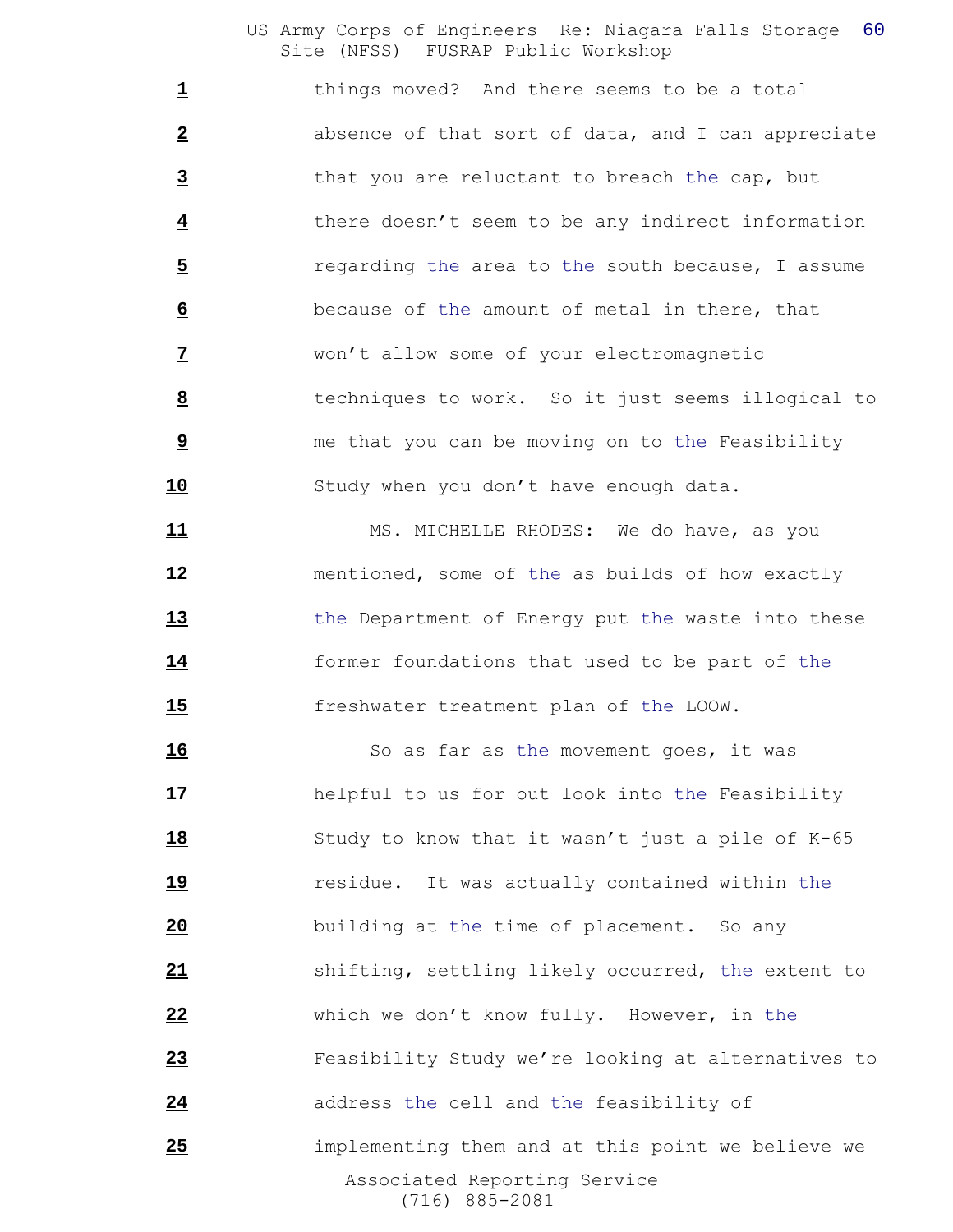things moved? And there seems to be a total absence of that sort of data, and I can appreciate that you are reluctant to breach the cap, but there doesn't seem to be any indirect information regarding the area to the south because, I assume because of the amount of metal in there, that won't allow some of your electromagnetic techniques to work. So it just seems illogical to me that you can be moving on to the Feasibility 10 Study when you don't have enough data.

 MS. MICHELLE RHODES: We do have, as you mentioned, some of the as builds of how exactly the Department of Energy put the waste into these former foundations that used to be part of the freshwater treatment plan of the LOOW.

 Associated Reporting Service (716) 885-2081 16 So as far as the movement goes, it was helpful to us for out look into the Feasibility Study to know that it wasn't just a pile of K-65 residue. It was actually contained within the building at the time of placement. So any shifting, settling likely occurred, the extent to which we don't know fully. However, in the Feasibility Study we're looking at alternatives to **address** the cell and the feasibility of implementing them and at this point we believe we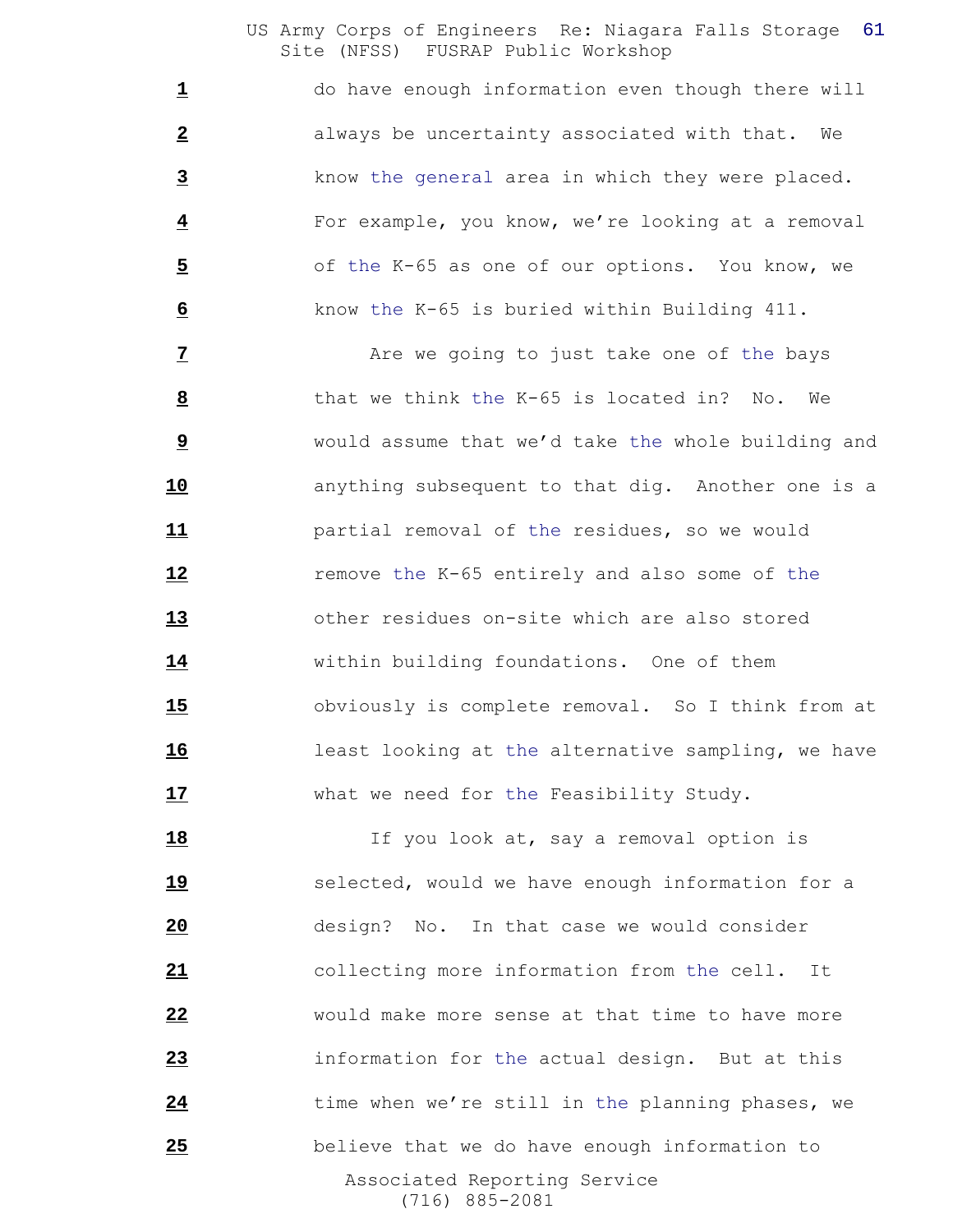do have enough information even though there will always be uncertainty associated with that. We know the general area in which they were placed. For example, you know, we're looking at a removal of the K-65 as one of our options. You know, we know the K-65 is buried within Building 411.

 **Are we going to just take one of the bays**  that we think the K-65 is located in? No. We would assume that we'd take the whole building and anything subsequent to that dig. Another one is a partial removal of the residues, so we would **12** remove the K-65 entirely and also some of the other residues on-site which are also stored within building foundations. One of them obviously is complete removal. So I think from at **16** least looking at the alternative sampling, we have what we need for the Feasibility Study.

 Associated Reporting Service (716) 885-2081 18 18 If you look at, say a removal option is **19** selected, would we have enough information for a design? No. In that case we would consider collecting more information from the cell. It would make more sense at that time to have more information for the actual design. But at this time when we're still in the planning phases, we believe that we do have enough information to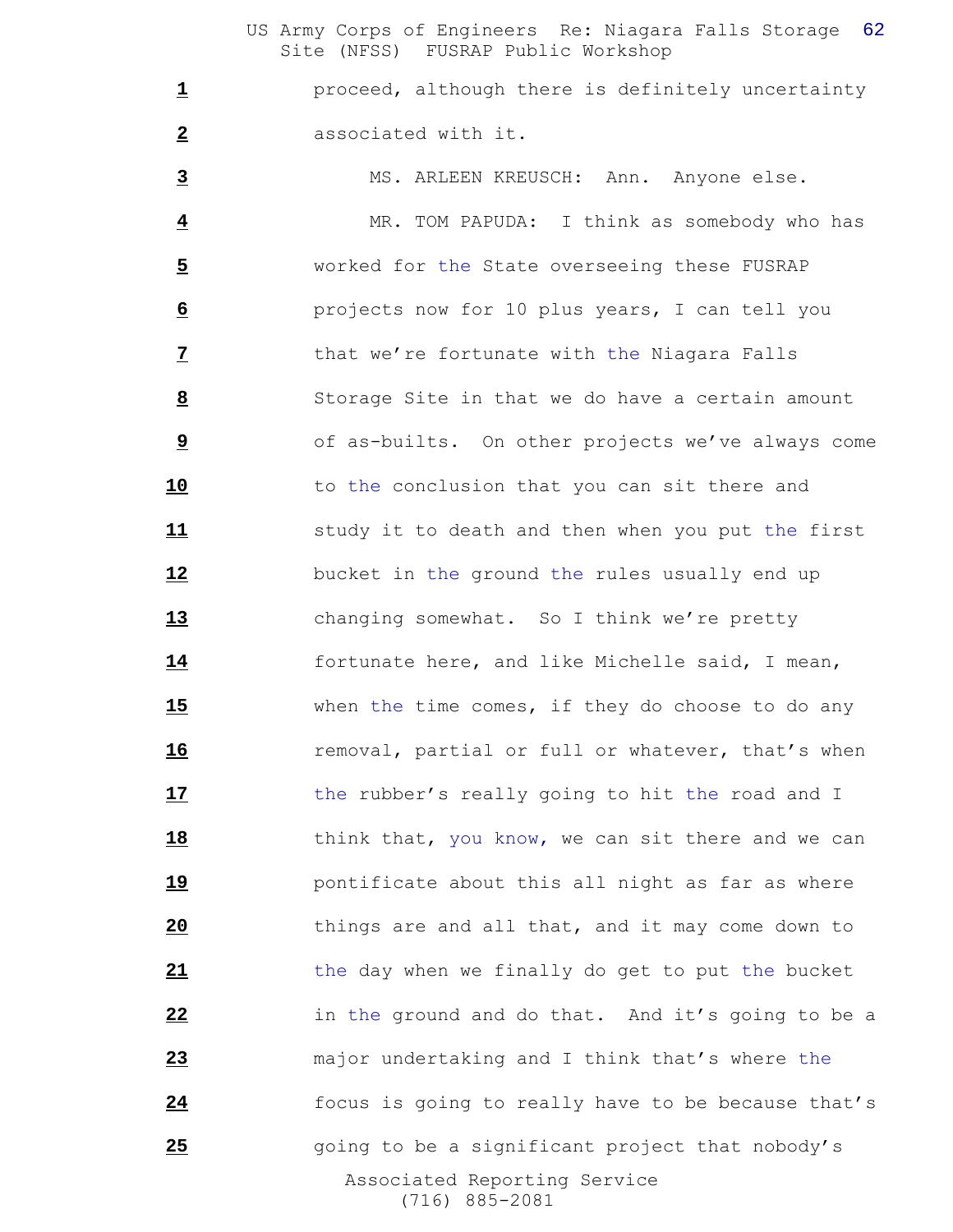proceed, although there is definitely uncertainty associated with it.

 Associated Reporting Service (716) 885-2081 MS. ARLEEN KREUSCH: Ann. Anyone else. MR. TOM PAPUDA: I think as somebody who has worked for the State overseeing these FUSRAP projects now for 10 plus years, I can tell you that we're fortunate with the Niagara Falls Storage Site in that we do have a certain amount of as-builts. On other projects we've always come 10 to the conclusion that you can sit there and **11** study it to death and then when you put the first bucket in the ground the rules usually end up changing somewhat. So I think we're pretty fortunate here, and like Michelle said, I mean, when the time comes, if they do choose to do any **16** removal, partial or full or whatever, that's when 17 the rubber's really going to hit the road and I 18 think that, you know, we can sit there and we can pontificate about this all night as far as where things are and all that, and it may come down to the day when we finally do get to put the bucket in the ground and do that. And it's going to be a major undertaking and I think that's where the focus is going to really have to be because that's going to be a significant project that nobody's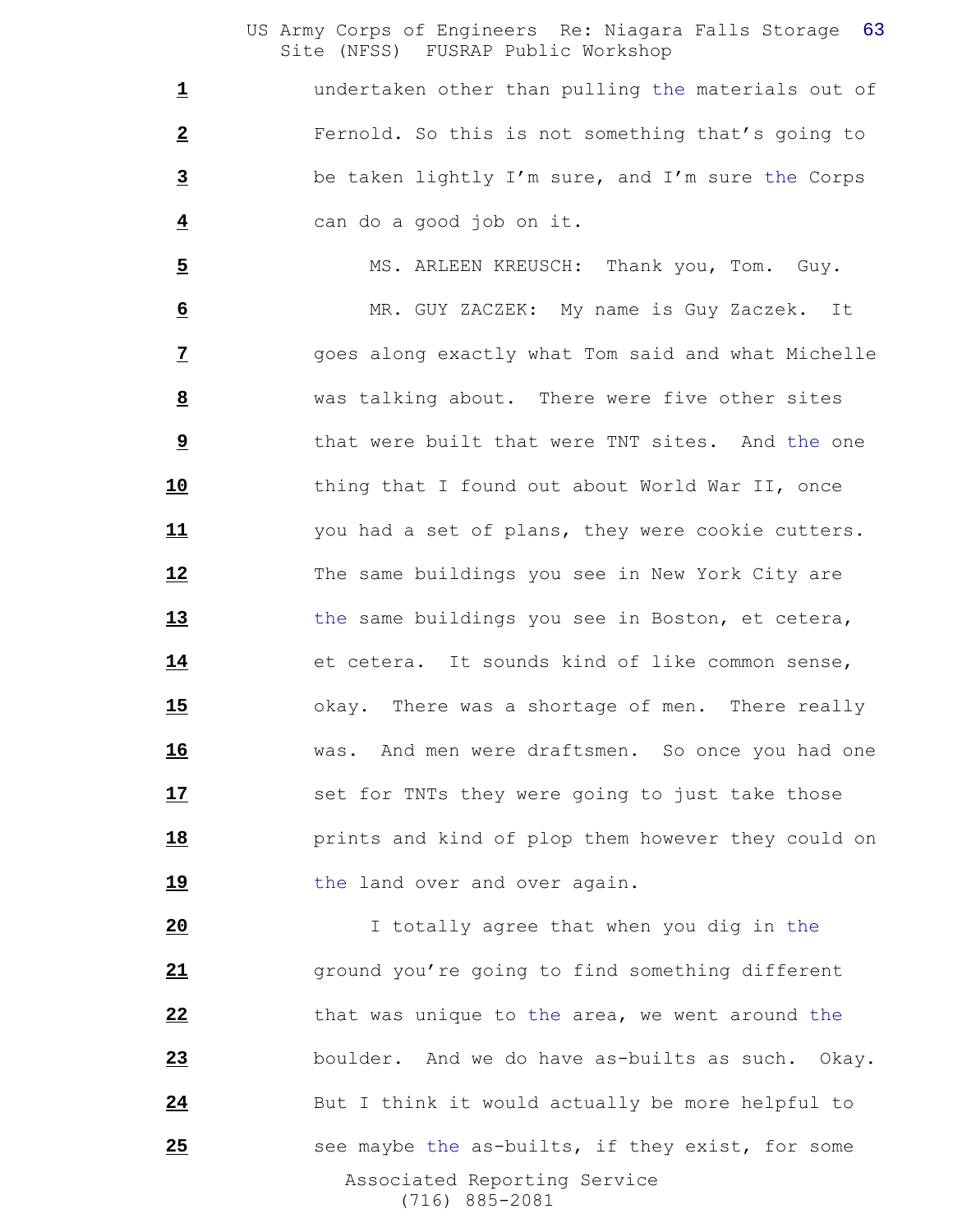undertaken other than pulling the materials out of Fernold. So this is not something that's going to be taken lightly I'm sure, and I'm sure the Corps can do a good job on it.

5 MS. ARLEEN KREUSCH: Thank you, Tom. Guy. MR. GUY ZACZEK: My name is Guy Zaczek. It goes along exactly what Tom said and what Michelle was talking about. There were five other sites **bush** that were built that were TNT sites. And the one thing that I found out about World War II, once you had a set of plans, they were cookie cutters. The same buildings you see in New York City are the same buildings you see in Boston, et cetera, et cetera. It sounds kind of like common sense, okay. There was a shortage of men. There really was. And men were draftsmen. So once you had one **17** set for TNTs they were going to just take those **18 prints** and kind of plop them however they could on 19 the land over and over again.

 Associated Reporting Service (716) 885-2081 I totally agree that when you dig in the ground you're going to find something different that was unique to the area, we went around the boulder. And we do have as-builts as such. Okay. But I think it would actually be more helpful to **25** see maybe the as-builts, if they exist, for some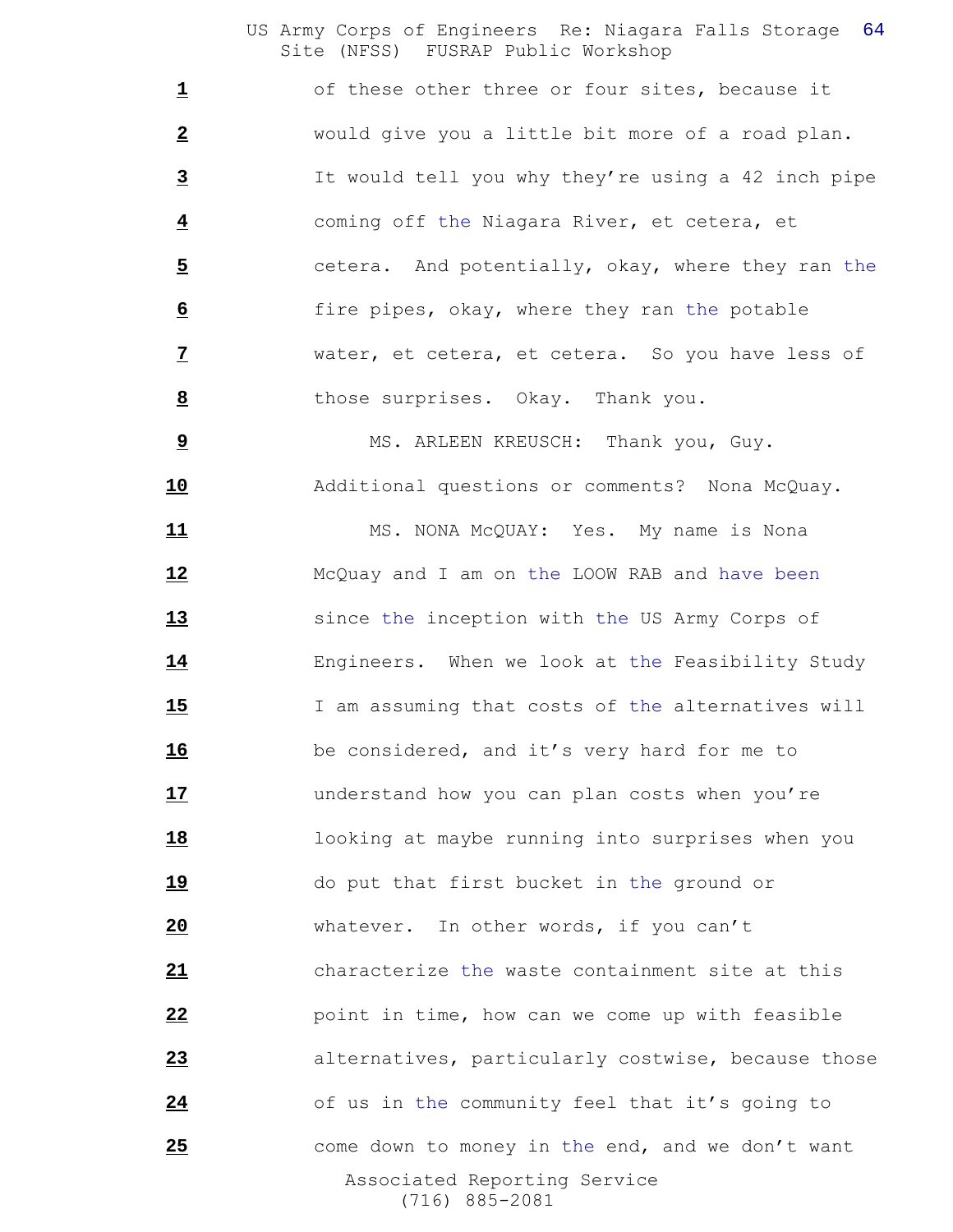1 of these other three or four sites, because it would give you a little bit more of a road plan. It would tell you why they're using a 42 inch pipe coming off the Niagara River, et cetera, et cetera. And potentially, okay, where they ran the fire pipes, okay, where they ran the potable water, et cetera, et cetera. So you have less of those surprises. Okay. Thank you.

 MS. ARLEEN KREUSCH: Thank you, Guy. Additional questions or comments? Nona McQuay.

 Associated Reporting Service (716) 885-2081 11 MS. NONA McQUAY: Yes. My name is Nona McQuay and I am on the LOOW RAB and have been since the inception with the US Army Corps of Engineers. When we look at the Feasibility Study I am assuming that costs of the alternatives will be considered, and it's very hard for me to understand how you can plan costs when you're looking at maybe running into surprises when you 19 do put that first bucket in the ground or whatever. In other words, if you can't characterize the waste containment site at this point in time, how can we come up with feasible alternatives, particularly costwise, because those of us in the community feel that it's going to come down to money in the end, and we don't want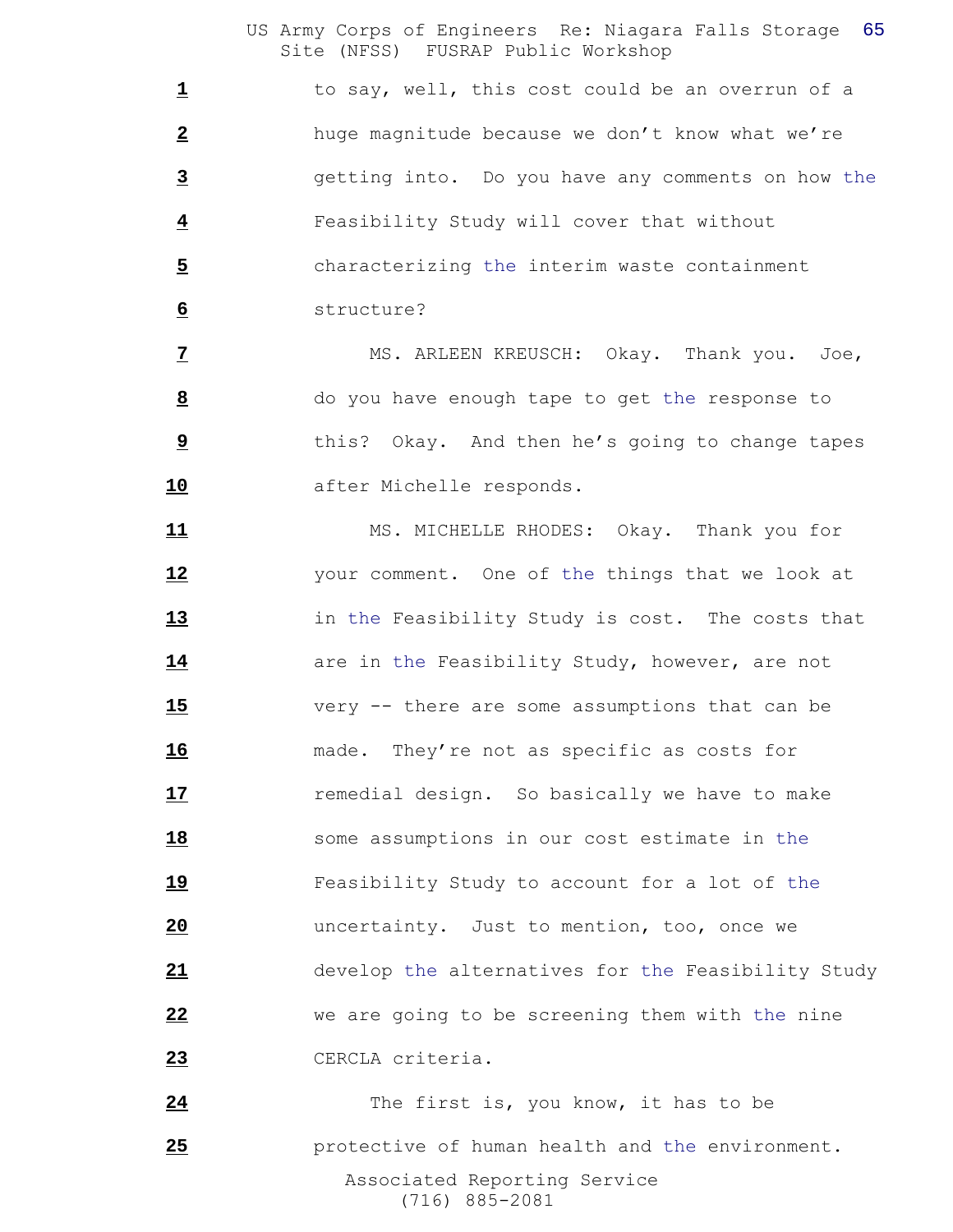1 to say, well, this cost could be an overrun of a huge magnitude because we don't know what we're getting into. Do you have any comments on how the Feasibility Study will cover that without characterizing the interim waste containment structure?

 MS. ARLEEN KREUSCH: Okay. Thank you. Joe, do you have enough tape to get the response to this? Okay. And then he's going to change tapes after Michelle responds.

11 MS. MICHELLE RHODES: Okay. Thank you for your comment. One of the things that we look at in the Feasibility Study is cost. The costs that **14** are in the Feasibility Study, however, are not very -- there are some assumptions that can be made. They're not as specific as costs for **17** remedial design. So basically we have to make some assumptions in our cost estimate in the Feasibility Study to account for a lot of the uncertainty. Just to mention, too, once we develop the alternatives for the Feasibility Study we are going to be screening them with the nine CERCLA criteria.

 Associated Reporting Service (716) 885-2081 The first is, you know, it has to be protective of human health and the environment.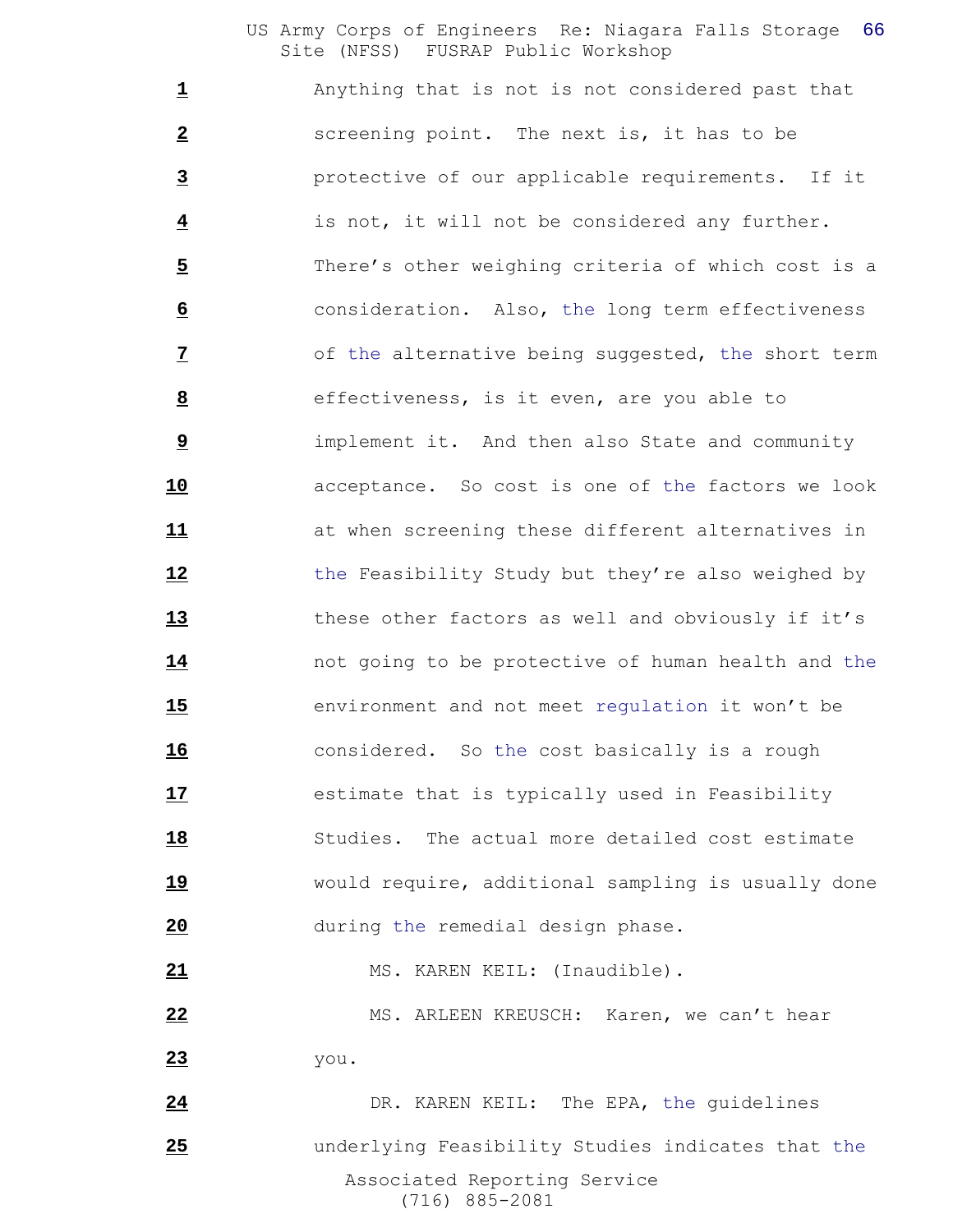Anything that is not is not considered past that screening point. The next is, it has to be protective of our applicable requirements. If it is not, it will not be considered any further. There's other weighing criteria of which cost is a consideration. Also, the long term effectiveness of the alternative being suggested, the short term effectiveness, is it even, are you able to implement it. And then also State and community acceptance. So cost is one of the factors we look at when screening these different alternatives in the Feasibility Study but they're also weighed by these other factors as well and obviously if it's not going to be protective of human health and the environment and not meet regulation it won't be considered. So the cost basically is a rough **17** estimate that is typically used in Feasibility Studies. The actual more detailed cost estimate would require, additional sampling is usually done during the remedial design phase. 21 MS. KAREN KEIL: (Inaudible). 22 MS. ARLEEN KREUSCH: Karen, we can't hear you. 24 DR. KAREN KEIL: The EPA, the quidelines

 Associated Reporting Service (716) 885-2081 underlying Feasibility Studies indicates that the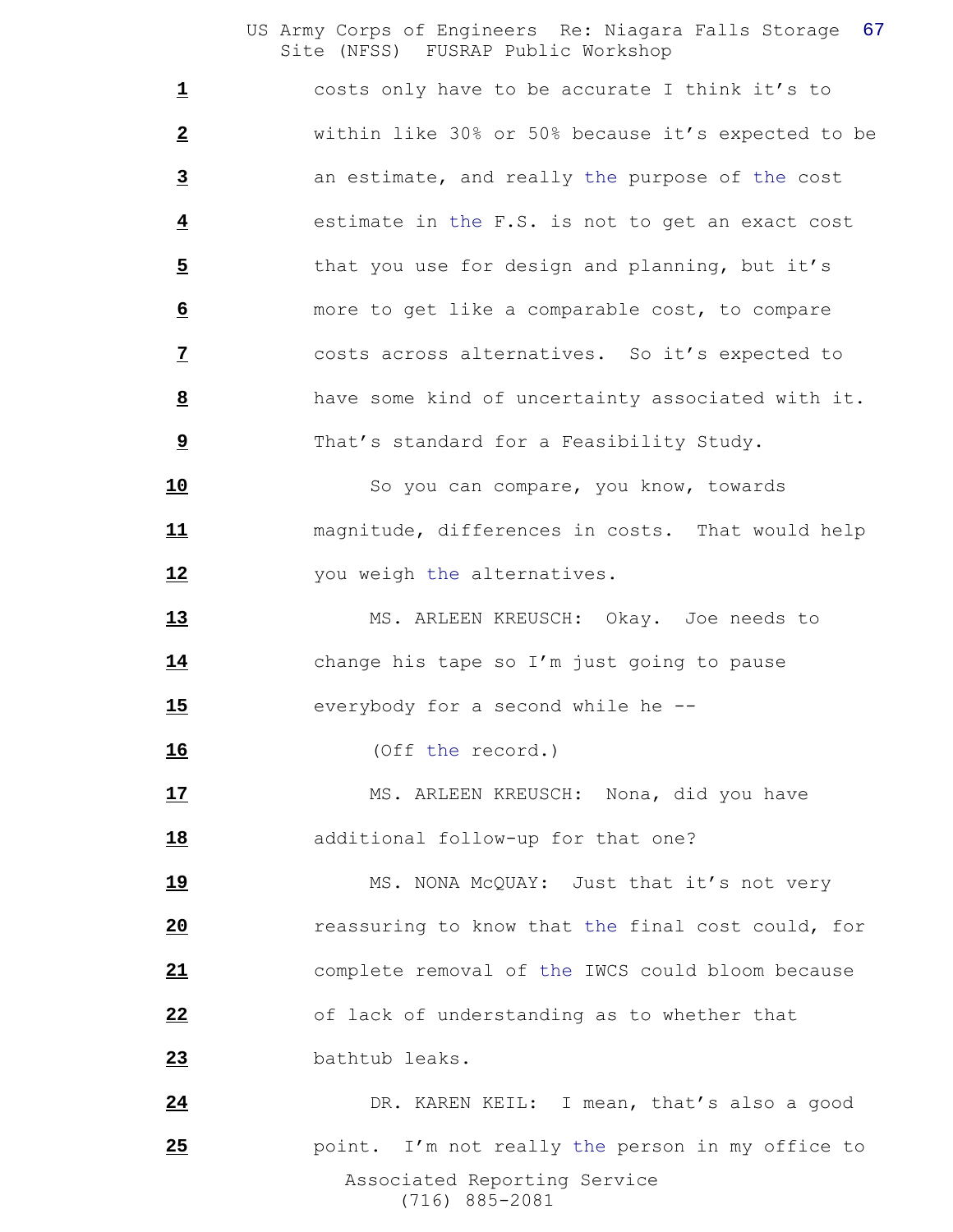costs only have to be accurate I think it's to within like 30% or 50% because it's expected to be an estimate, and really the purpose of the cost estimate in the F.S. is not to get an exact cost 5 that you use for design and planning, but it's more to get like a comparable cost, to compare costs across alternatives. So it's expected to have some kind of uncertainty associated with it. That's standard for a Feasibility Study.

 So you can compare, you know, towards magnitude, differences in costs. That would help **12** you weigh the alternatives.

 MS. ARLEEN KREUSCH: Okay. Joe needs to change his tape so I'm just going to pause everybody for a second while he --

(Off the record.)

17 MS. ARLEEN KREUSCH: Nona, did you have 18 additional follow-up for that one?

19 MS. NONA McQUAY: Just that it's not very reassuring to know that the final cost could, for complete removal of the IWCS could bloom because of lack of understanding as to whether that bathtub leaks.

 Associated Reporting Service (716) 885-2081 24 DR. KAREN KEIL: I mean, that's also a good **25** point. I'm not really the person in my office to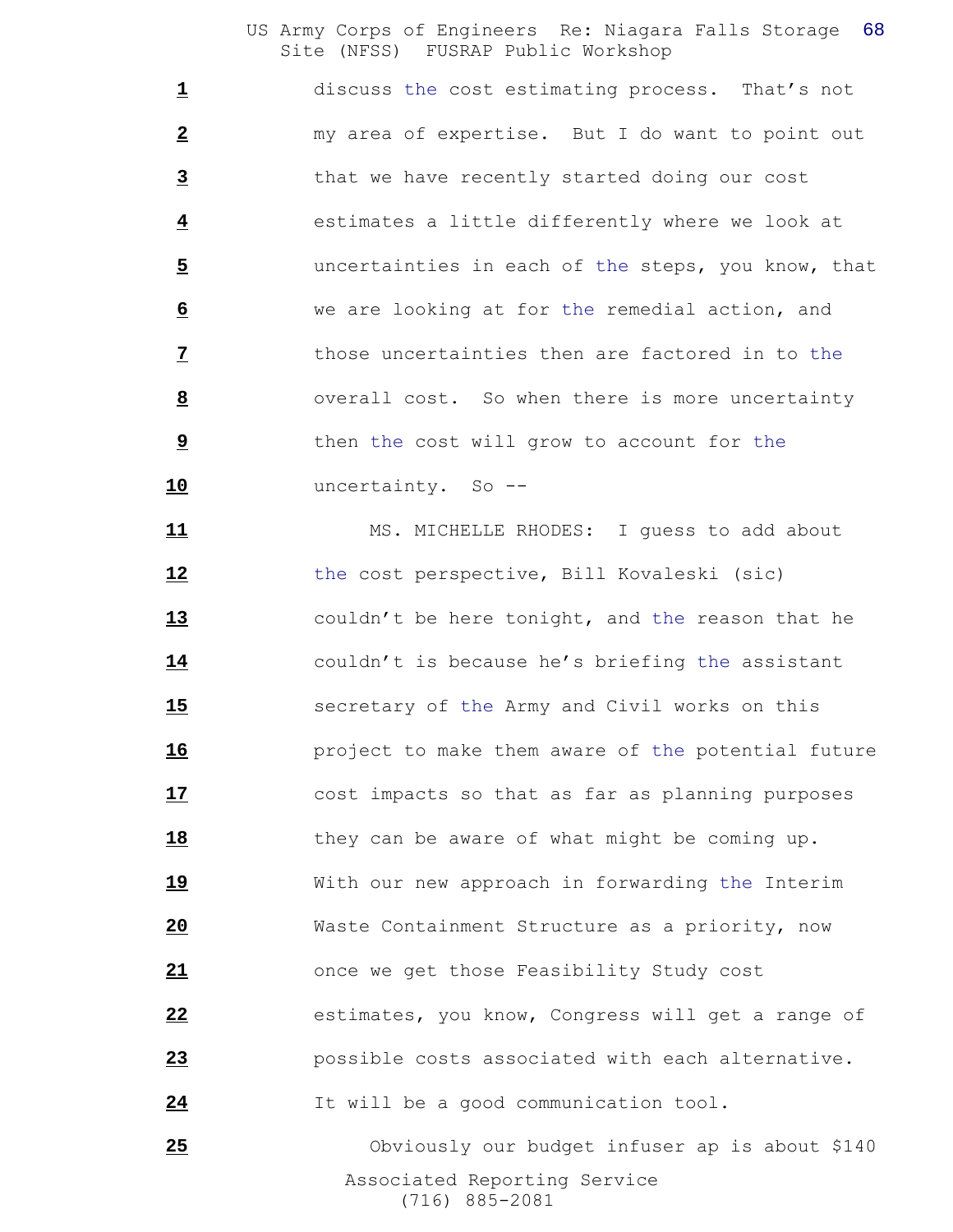discuss the cost estimating process. That's not my area of expertise. But I do want to point out that we have recently started doing our cost estimates a little differently where we look at uncertainties in each of the steps, you know, that we are looking at for the remedial action, and those uncertainties then are factored in to the overall cost. So when there is more uncertainty then the cost will grow to account for the uncertainty. So --

11 MS. MICHELLE RHODES: I guess to add about the cost perspective, Bill Kovaleski (sic) couldn't be here tonight, and the reason that he couldn't is because he's briefing the assistant secretary of the Army and Civil works on this **project to make them aware of the potential future**  cost impacts so that as far as planning purposes 18 they can be aware of what might be coming up. With our new approach in forwarding the Interim Waste Containment Structure as a priority, now once we get those Feasibility Study cost estimates, you know, Congress will get a range of possible costs associated with each alternative. It will be a good communication tool.

 Associated Reporting Service (716) 885-2081 Obviously our budget infuser ap is about \$140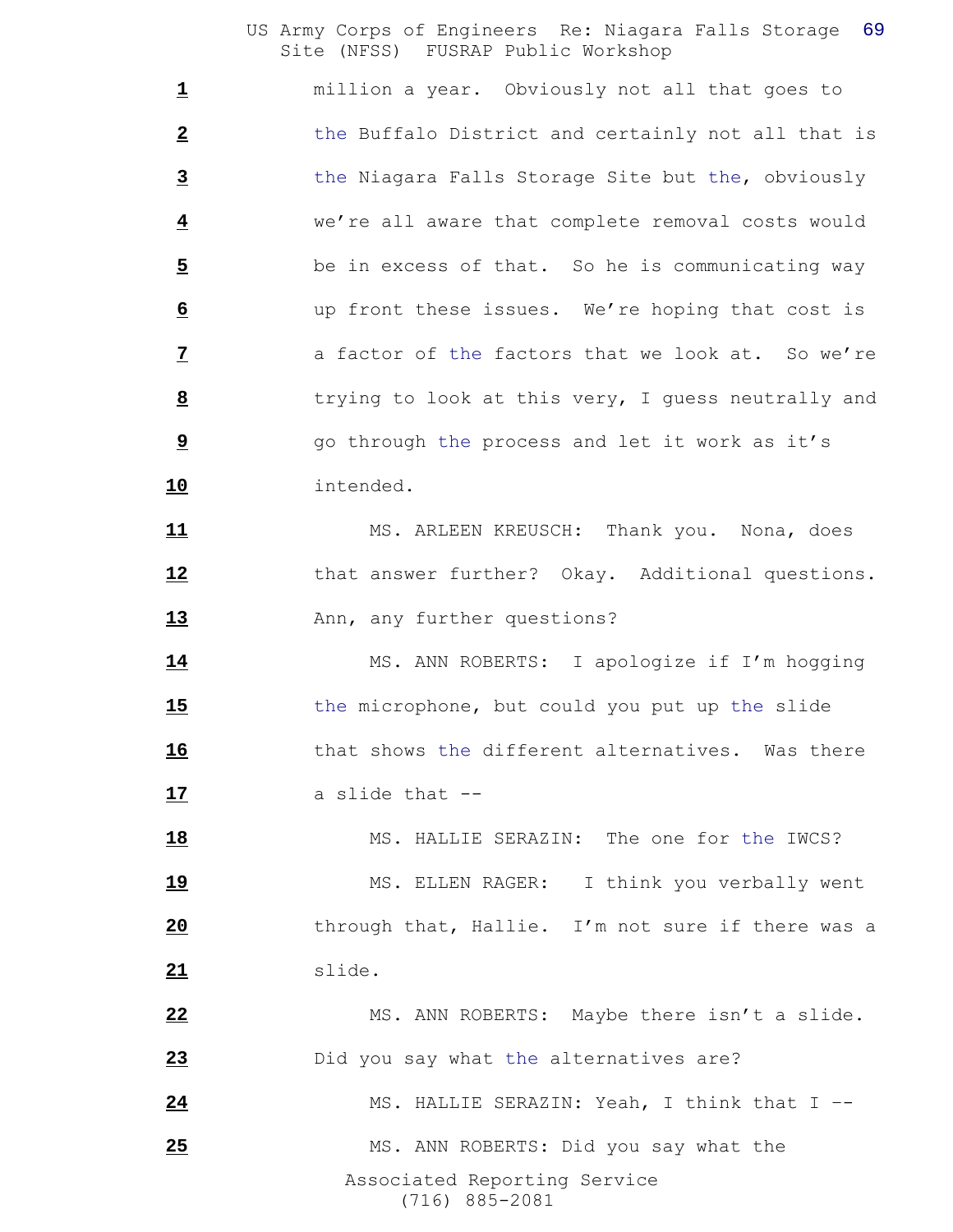million a year. Obviously not all that goes to the Buffalo District and certainly not all that is the Niagara Falls Storage Site but the, obviously we're all aware that complete removal costs would be in excess of that. So he is communicating way up front these issues. We're hoping that cost is **a** factor of the factors that we look at. So we're trying to look at this very, I guess neutrally and go through the process and let it work as it's intended.

 MS. ARLEEN KREUSCH: Thank you. Nona, does that answer further? Okay. Additional questions. 13 Ann, any further questions?

 MS. ANN ROBERTS: I apologize if I'm hogging the microphone, but could you put up the slide **that shows the different alternatives.** Was there a slide that --

18 MS. HALLIE SERAZIN: The one for the IWCS? 19 MS. ELLEN RAGER: I think you verbally went through that, Hallie. I'm not sure if there was a slide.

 Associated Reporting Service (716) 885-2081 MS. ANN ROBERTS: Maybe there isn't a slide. Did you say what the alternatives are? MS. HALLIE SERAZIN: Yeah, I think that I –- 25 MS. ANN ROBERTS: Did you say what the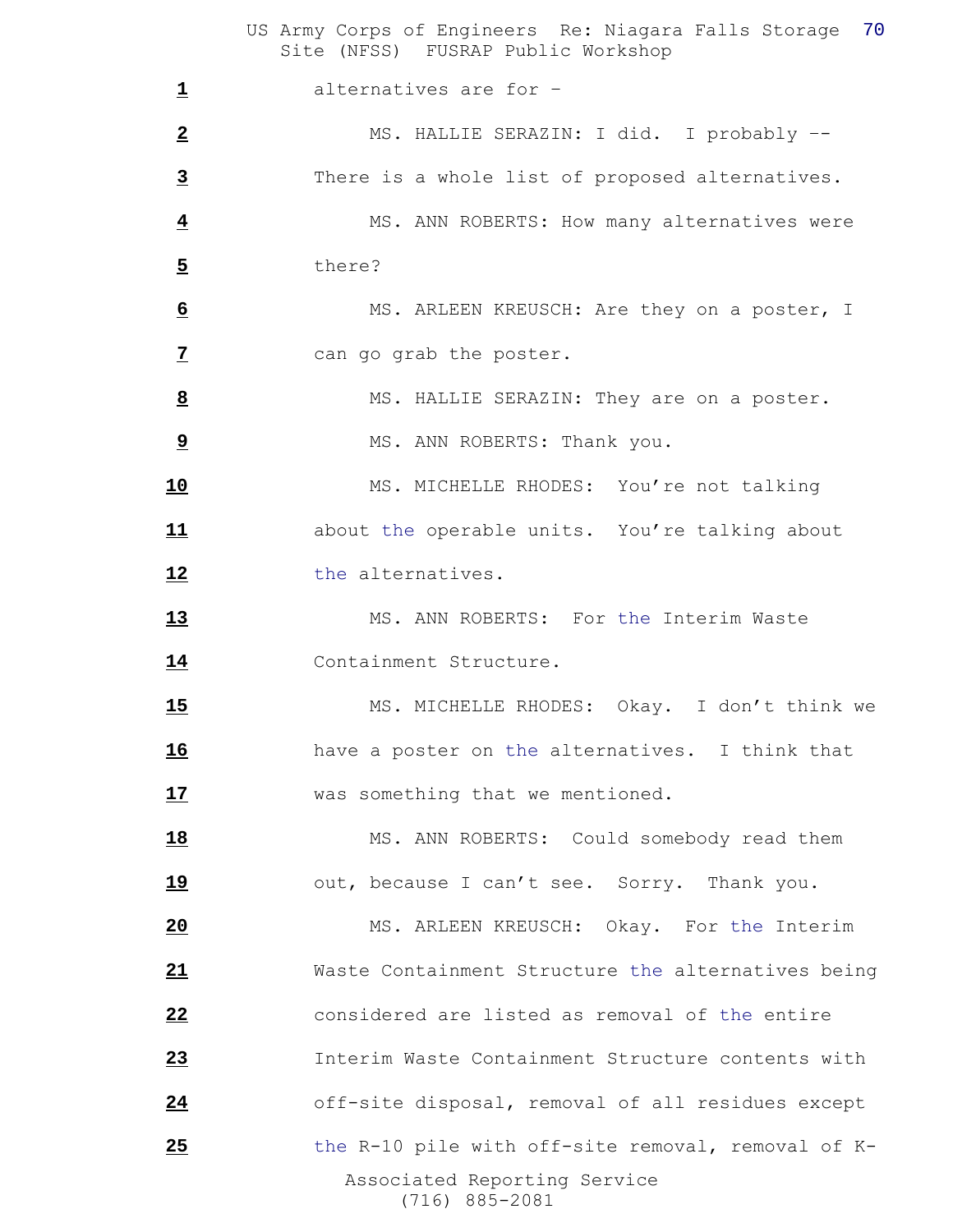US Army Corps of Engineers Re: Niagara Falls Storage 70 Site (NFSS) FUSRAP Public Workshop Associated Reporting Service (716) 885-2081 alternatives are for – MS. HALLIE SERAZIN: I did. I probably –- There is a whole list of proposed alternatives. MS. ANN ROBERTS: How many alternatives were there? MS. ARLEEN KREUSCH: Are they on a poster, I can go grab the poster. MS. HALLIE SERAZIN: They are on a poster. MS. ANN ROBERTS: Thank you. 10 MS. MICHELLE RHODES: You're not talking about the operable units. You're talking about 12 the alternatives. 13 MS. ANN ROBERTS: For the Interim Waste Containment Structure. 15 MS. MICHELLE RHODES: Okay. I don't think we have a poster on the alternatives. I think that **17** was something that we mentioned. 18 MS. ANN ROBERTS: Could somebody read them 19 out, because I can't see. Sorry. Thank you. MS. ARLEEN KREUSCH: Okay. For the Interim Waste Containment Structure the alternatives being considered are listed as removal of the entire Interim Waste Containment Structure contents with off-site disposal, removal of all residues except 25 the R-10 pile with off-site removal, removal of K-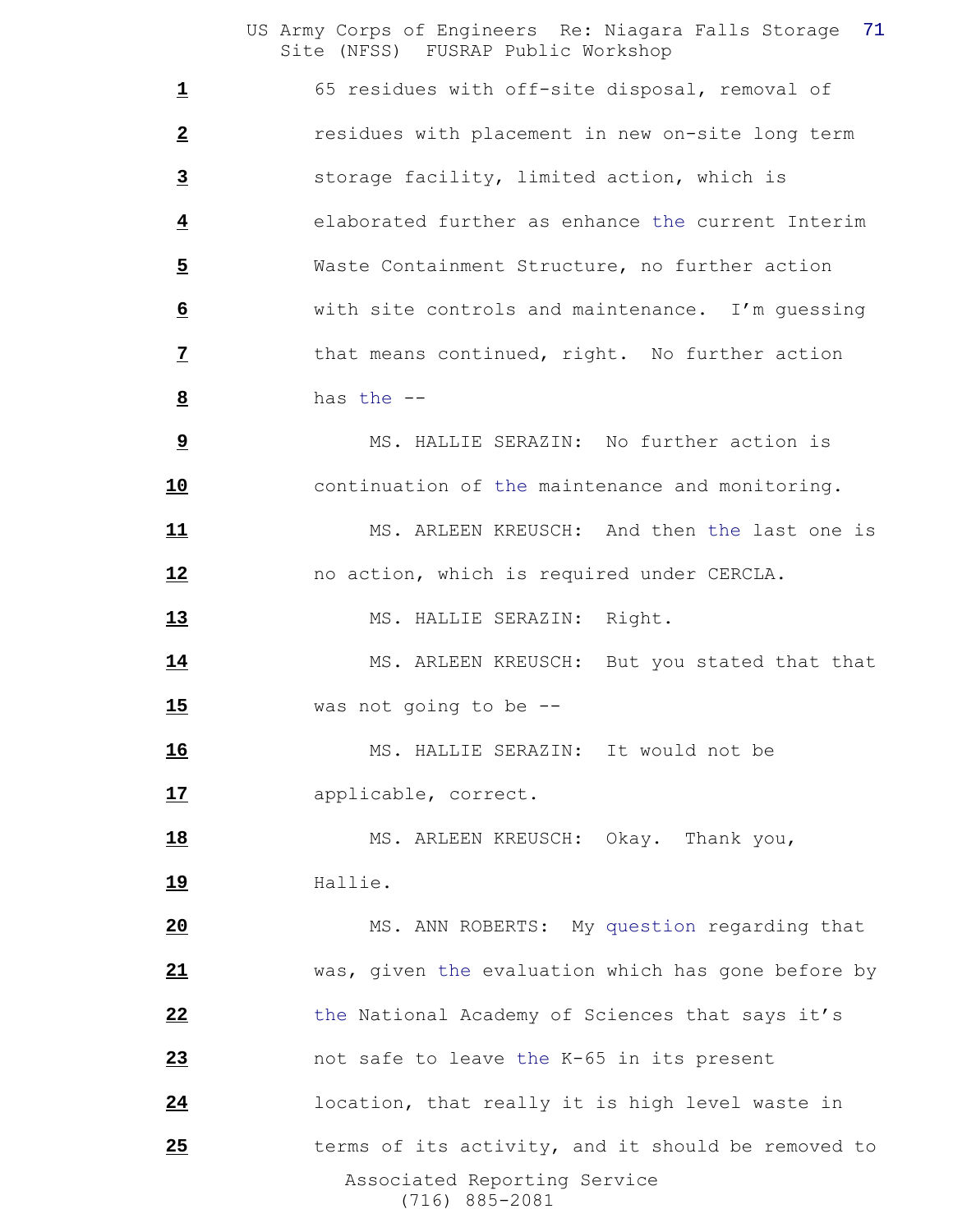65 residues with off-site disposal, removal of residues with placement in new on-site long term storage facility, limited action, which is elaborated further as enhance the current Interim Waste Containment Structure, no further action with site controls and maintenance. I'm guessing that means continued, right. No further action has the --

 MS. HALLIE SERAZIN: No further action is continuation of the maintenance and monitoring.

 MS. ARLEEN KREUSCH: And then the last one is no action, which is required under CERCLA.

13 MS. HALLIE SERAZIN: Right.

14 MS. ARLEEN KREUSCH: But you stated that that was not going to be --

 MS. HALLIE SERAZIN: It would not be applicable, correct.

18 MS. ARLEEN KREUSCH: Okay. Thank you, Hallie.

 Associated Reporting Service (716) 885-2081 MS. ANN ROBERTS: My question regarding that was, given the evaluation which has gone before by the National Academy of Sciences that says it's not safe to leave the K-65 in its present location, that really it is high level waste in 25 terms of its activity, and it should be removed to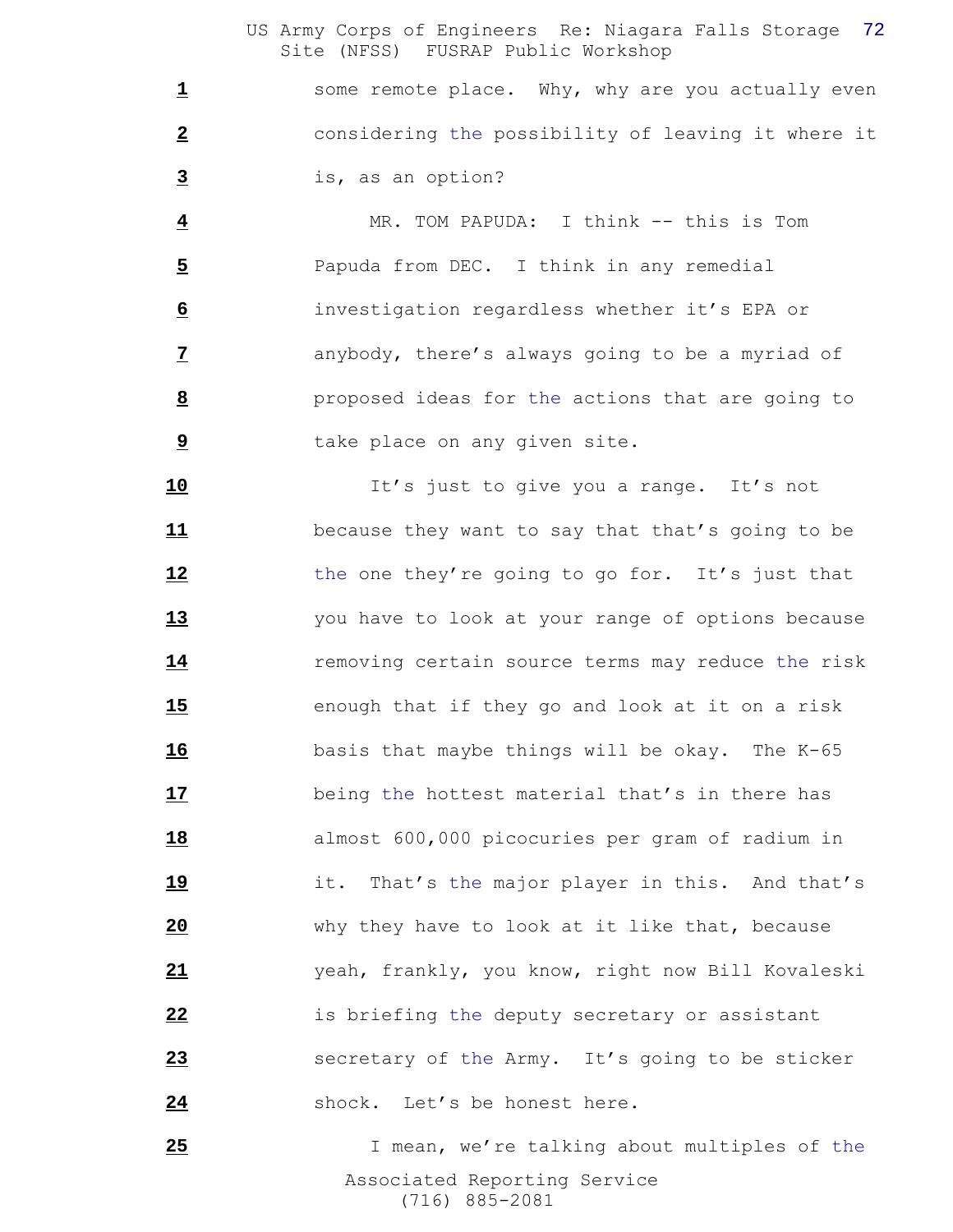some remote place. Why, why are you actually even considering the possibility of leaving it where it is, as an option?

 MR. TOM PAPUDA: I think -- this is Tom Papuda from DEC. I think in any remedial investigation regardless whether it's EPA or anybody, there's always going to be a myriad of proposed ideas for the actions that are going to take place on any given site.

 It's just to give you a range. It's not because they want to say that that's going to be 12 the one they're going to go for. It's just that you have to look at your range of options because **14** removing certain source terms may reduce the risk enough that if they go and look at it on a risk basis that maybe things will be okay. The K-65 being the hottest material that's in there has almost 600,000 picocuries per gram of radium in it. That's the major player in this. And that's why they have to look at it like that, because yeah, frankly, you know, right now Bill Kovaleski is briefing the deputy secretary or assistant secretary of the Army. It's going to be sticker shock. Let's be honest here.

 Associated Reporting Service (716) 885-2081 25 1 mean, we're talking about multiples of the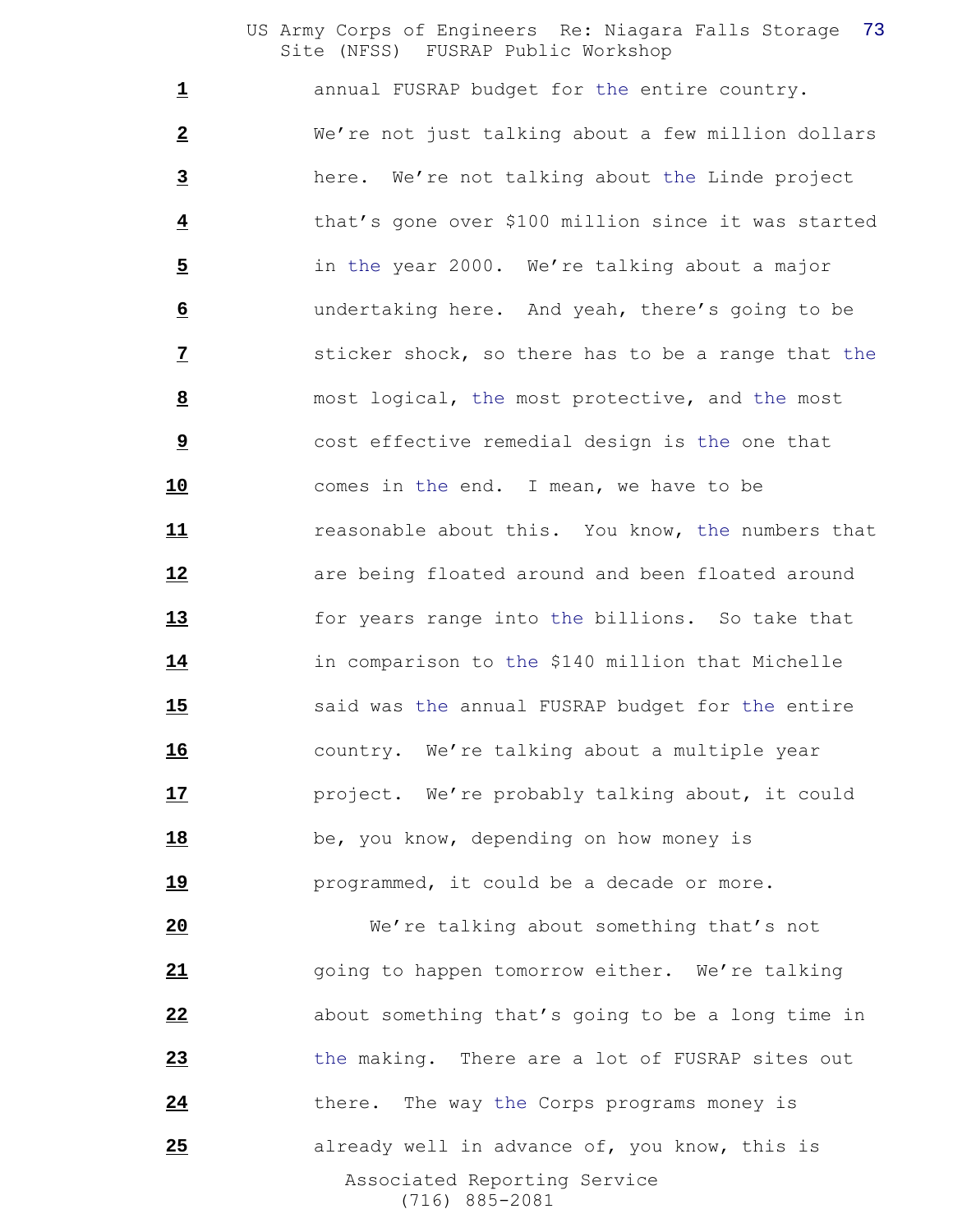**1** annual FUSRAP budget for the entire country. We're not just talking about a few million dollars here. We're not talking about the Linde project that's gone over \$100 million since it was started in the year 2000. We're talking about a major undertaking here. And yeah, there's going to be **1** sticker shock, so there has to be a range that the most logical, the most protective, and the most cost effective remedial design is the one that comes in the end. I mean, we have to be reasonable about this. You know, the numbers that **12 are being floated around and been floated around**  for years range into the billions. So take that in comparison to the \$140 million that Michelle said was the annual FUSRAP budget for the entire country. We're talking about a multiple year **17** project. We're probably talking about, it could **be, you know, depending on how money is 19** programmed, it could be a decade or more.

 Associated Reporting Service (716) 885-2081 We're talking about something that's not going to happen tomorrow either. We're talking about something that's going to be a long time in the making. There are a lot of FUSRAP sites out 24 there. The way the Corps programs money is already well in advance of, you know, this is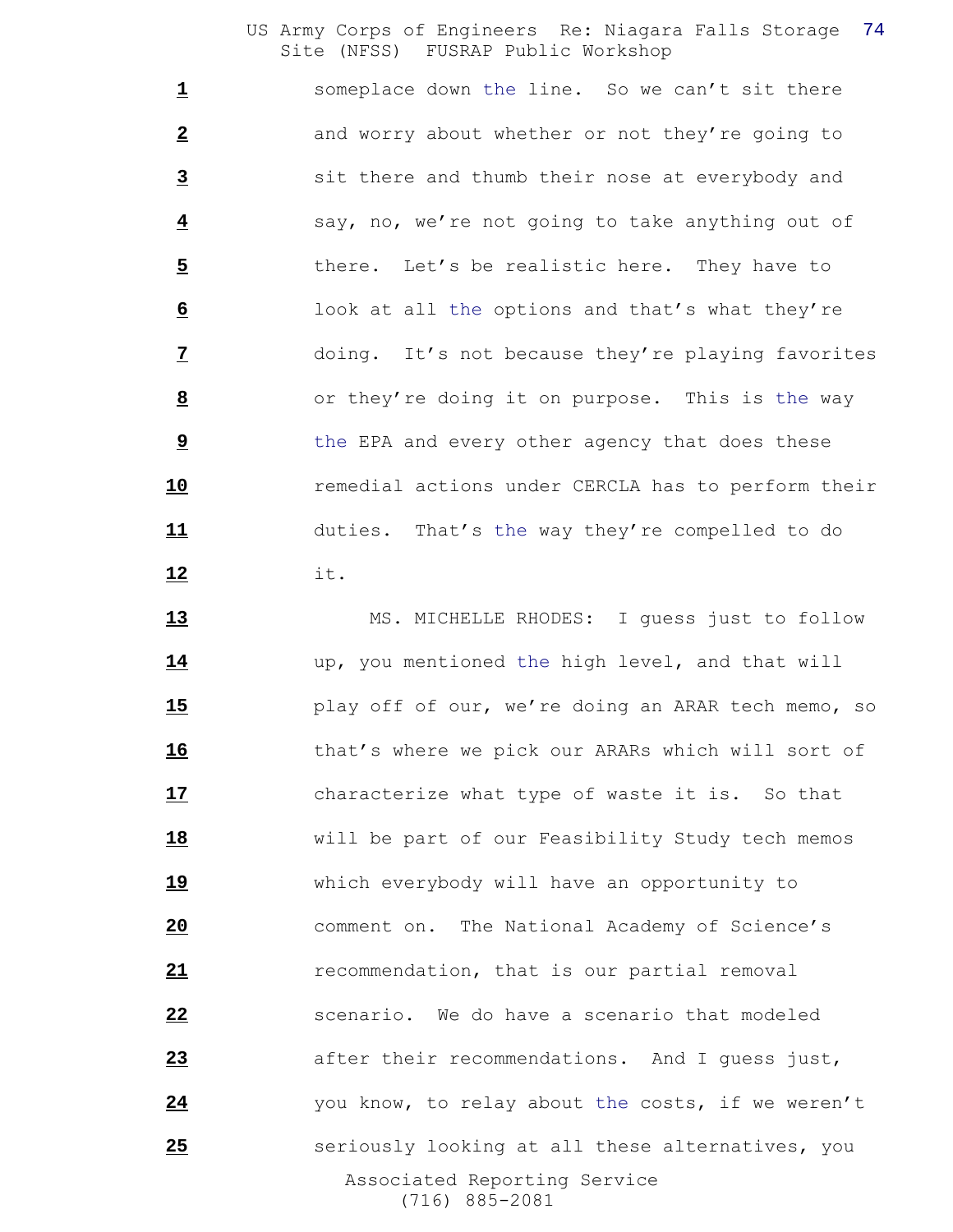someplace down the line. So we can't sit there and worry about whether or not they're going to sit there and thumb their nose at everybody and say, no, we're not going to take anything out of 5 there. Let's be realistic here. They have to look at all the options and that's what they're doing. It's not because they're playing favorites or they're doing it on purpose. This is the way the EPA and every other agency that does these remedial actions under CERCLA has to perform their duties. That's the way they're compelled to do it.

 Associated Reporting Service (716) 885-2081 13 MS. MICHELLE RHODES: I quess just to follow up, you mentioned the high level, and that will play off of our, we're doing an ARAR tech memo, so that's where we pick our ARARs which will sort of characterize what type of waste it is. So that will be part of our Feasibility Study tech memos which everybody will have an opportunity to comment on. The National Academy of Science's recommendation, that is our partial removal scenario. We do have a scenario that modeled after their recommendations. And I guess just, you know, to relay about the costs, if we weren't seriously looking at all these alternatives, you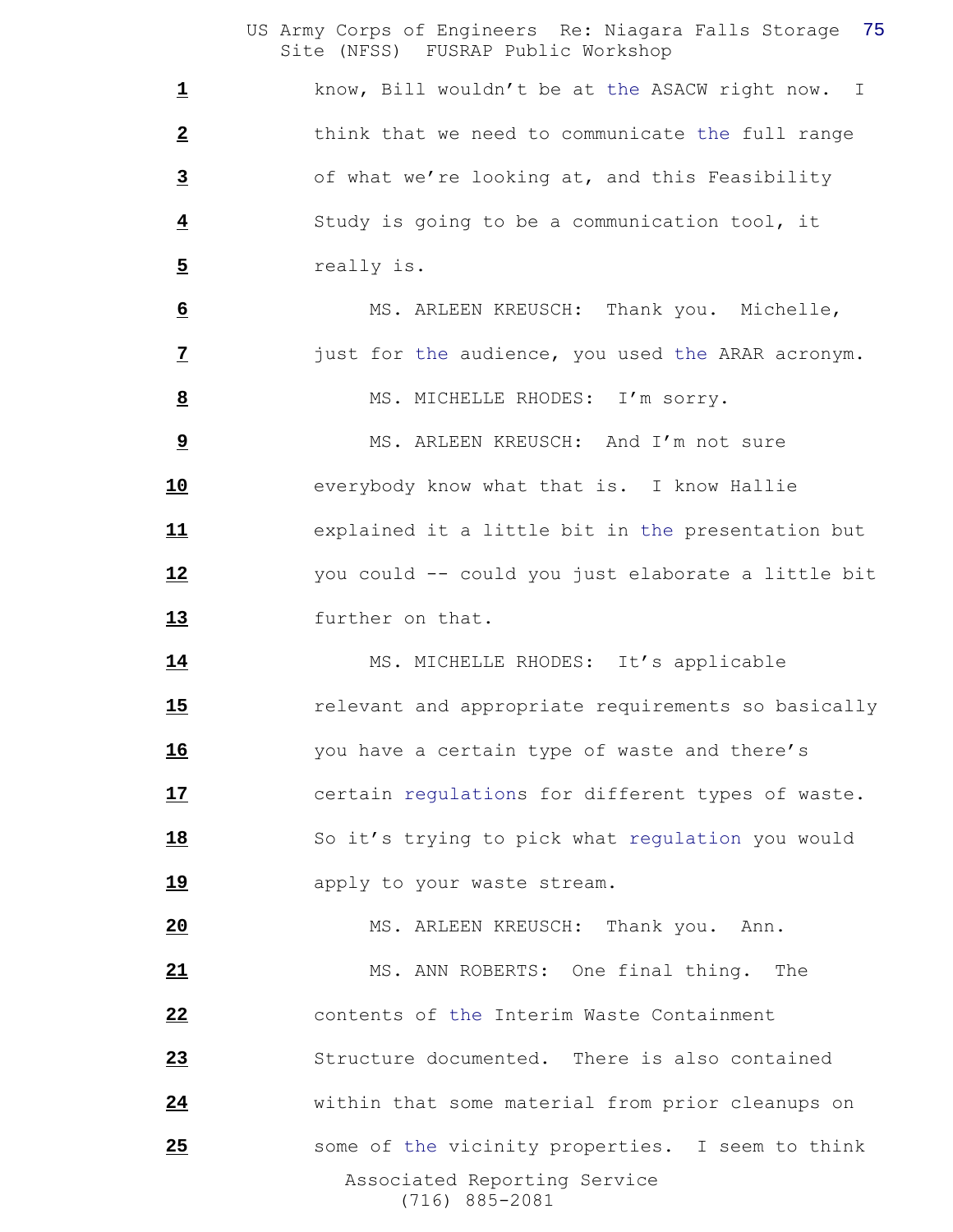know, Bill wouldn't be at the ASACW right now. I think that we need to communicate the full range of what we're looking at, and this Feasibility Study is going to be a communication tool, it really is.

 MS. ARLEEN KREUSCH: Thank you. Michelle, just for the audience, you used the ARAR acronym.

MS. MICHELLE RHODES: I'm sorry.

 MS. ARLEEN KREUSCH: And I'm not sure everybody know what that is. I know Hallie explained it a little bit in the presentation but you could -- could you just elaborate a little bit further on that.

14 MS. MICHELLE RHODES: It's applicable **15** relevant and appropriate requirements so basically you have a certain type of waste and there's certain regulations for different types of waste. 18 So it's trying to pick what regulation you would **19** apply to your waste stream.

 Associated Reporting Service (716) 885-2081 MS. ARLEEN KREUSCH: Thank you. Ann. MS. ANN ROBERTS: One final thing. The contents of the Interim Waste Containment Structure documented. There is also contained within that some material from prior cleanups on some of the vicinity properties. I seem to think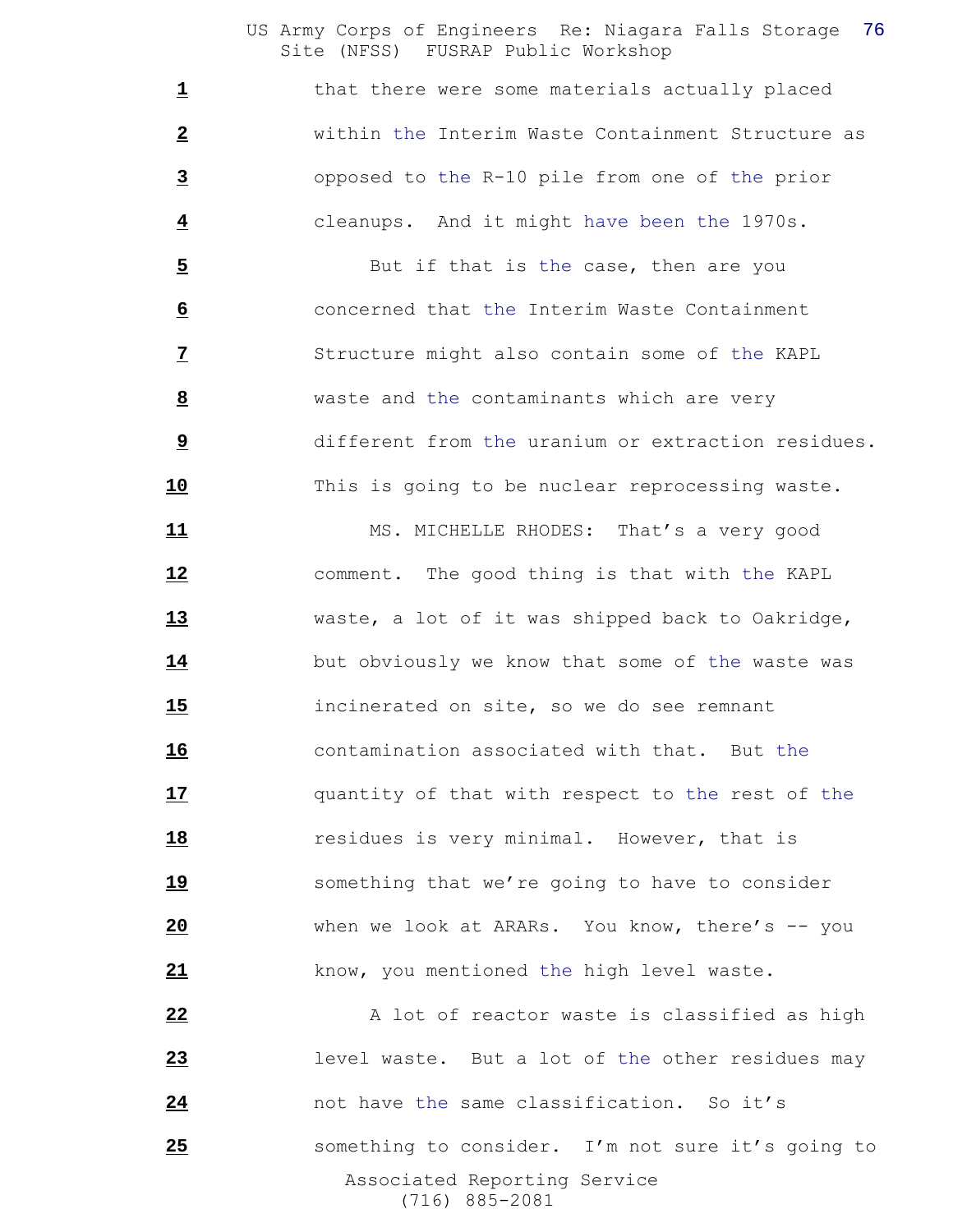1 that there were some materials actually placed within the Interim Waste Containment Structure as opposed to the R-10 pile from one of the prior cleanups. And it might have been the 1970s.

 But if that is the case, then are you concerned that the Interim Waste Containment Structure might also contain some of the KAPL waste and the contaminants which are very different from the uranium or extraction residues. This is going to be nuclear reprocessing waste.

11 MS. MICHELLE RHODES: That's a very good comment. The good thing is that with the KAPL waste, a lot of it was shipped back to Oakridge, but obviously we know that some of the waste was incinerated on site, so we do see remnant contamination associated with that. But the quantity of that with respect to the rest of the residues is very minimal. However, that is something that we're going to have to consider when we look at ARARs. You know, there's -- you know, you mentioned the high level waste.

 Associated Reporting Service (716) 885-2081 A lot of reactor waste is classified as high level waste. But a lot of the other residues may not have the same classification. So it's something to consider. I'm not sure it's going to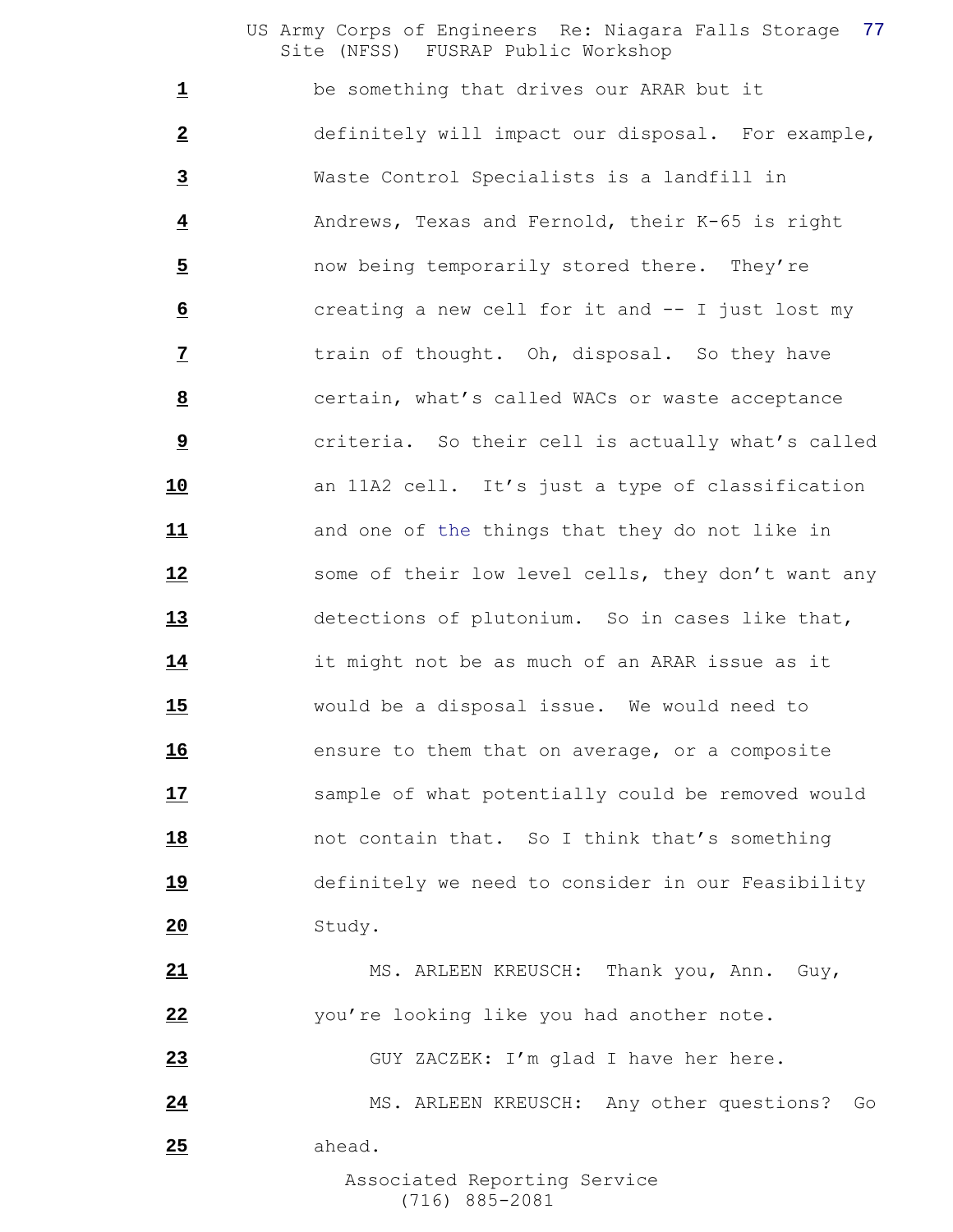be something that drives our ARAR but it definitely will impact our disposal. For example, Waste Control Specialists is a landfill in Andrews, Texas and Fernold, their K-65 is right now being temporarily stored there. They're creating a new cell for it and -- I just lost my train of thought. Oh, disposal. So they have certain, what's called WACs or waste acceptance **1 criteria.** So their cell is actually what's called an 11A2 cell. It's just a type of classification and one of the things that they do not like in 12 some of their low level cells, they don't want any detections of plutonium. So in cases like that, it might not be as much of an ARAR issue as it would be a disposal issue. We would need to ensure to them that on average, or a composite sample of what potentially could be removed would **18** not contain that. So I think that's something definitely we need to consider in our Feasibility Study. MS. ARLEEN KREUSCH: Thank you, Ann. Guy, you're looking like you had another note.

GUY ZACZEK: I'm glad I have her here.

24 MS. ARLEEN KREUSCH: Any other questions? Go ahead.

> Associated Reporting Service (716) 885-2081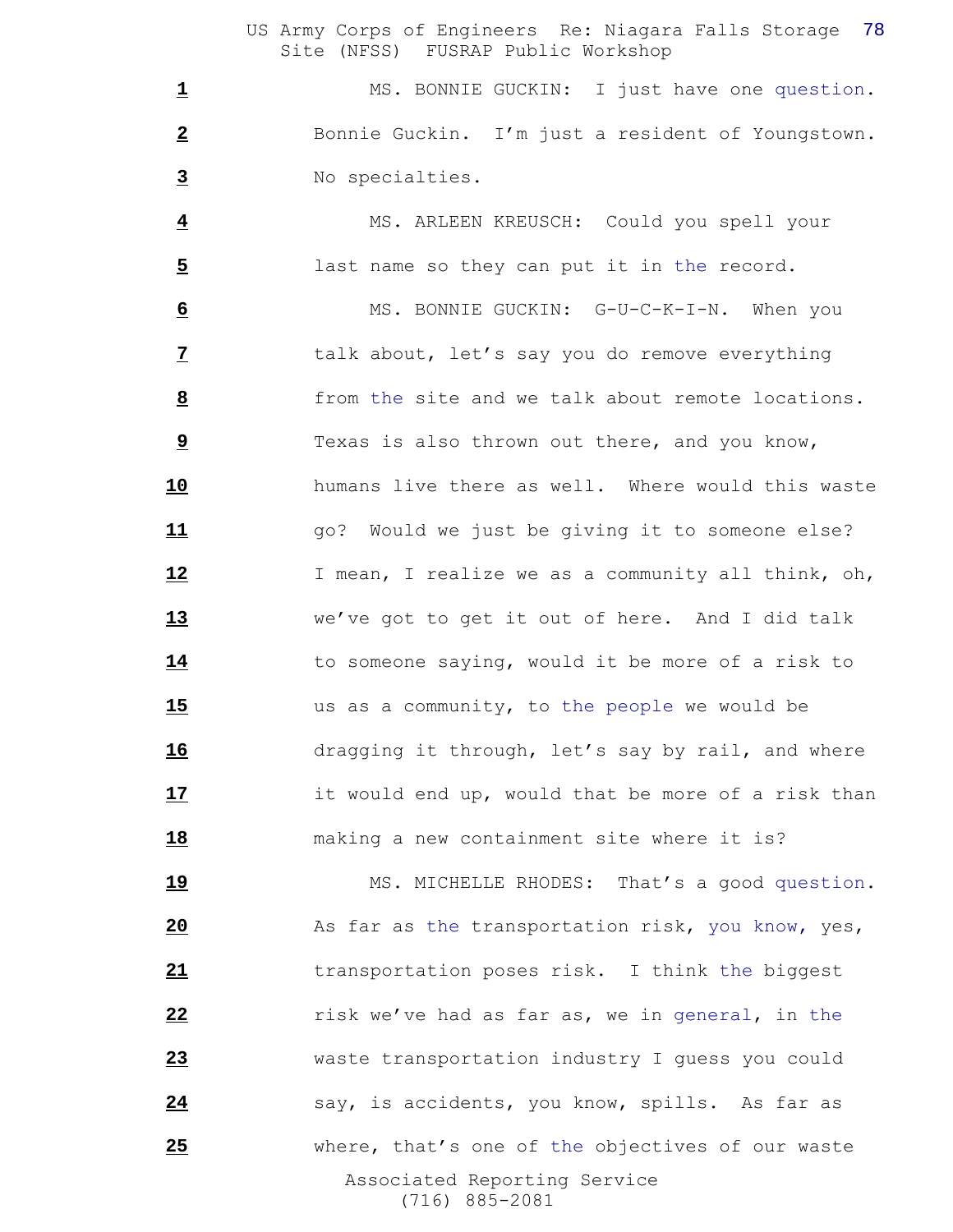1 MS. BONNIE GUCKIN: I just have one question. Bonnie Guckin. I'm just a resident of Youngstown. No specialties.

 MS. ARLEEN KREUSCH: Could you spell your last name so they can put it in the record.

 MS. BONNIE GUCKIN: G-U-C-K-I-N. When you talk about, let's say you do remove everything from the site and we talk about remote locations. Texas is also thrown out there, and you know, humans live there as well. Where would this waste **11** go? Would we just be giving it to someone else? I mean, I realize we as a community all think, oh, we've got to get it out of here. And I did talk to someone saying, would it be more of a risk to us as a community, to the people we would be dragging it through, let's say by rail, and where it would end up, would that be more of a risk than making a new containment site where it is?

 Associated Reporting Service (716) 885-2081 19 MS. MICHELLE RHODES: That's a good question. **As far as the transportation risk, you know, yes,**  transportation poses risk. I think the biggest **22 risk we've had as far as, we in general, in the**  waste transportation industry I guess you could say, is accidents, you know, spills. As far as where, that's one of the objectives of our waste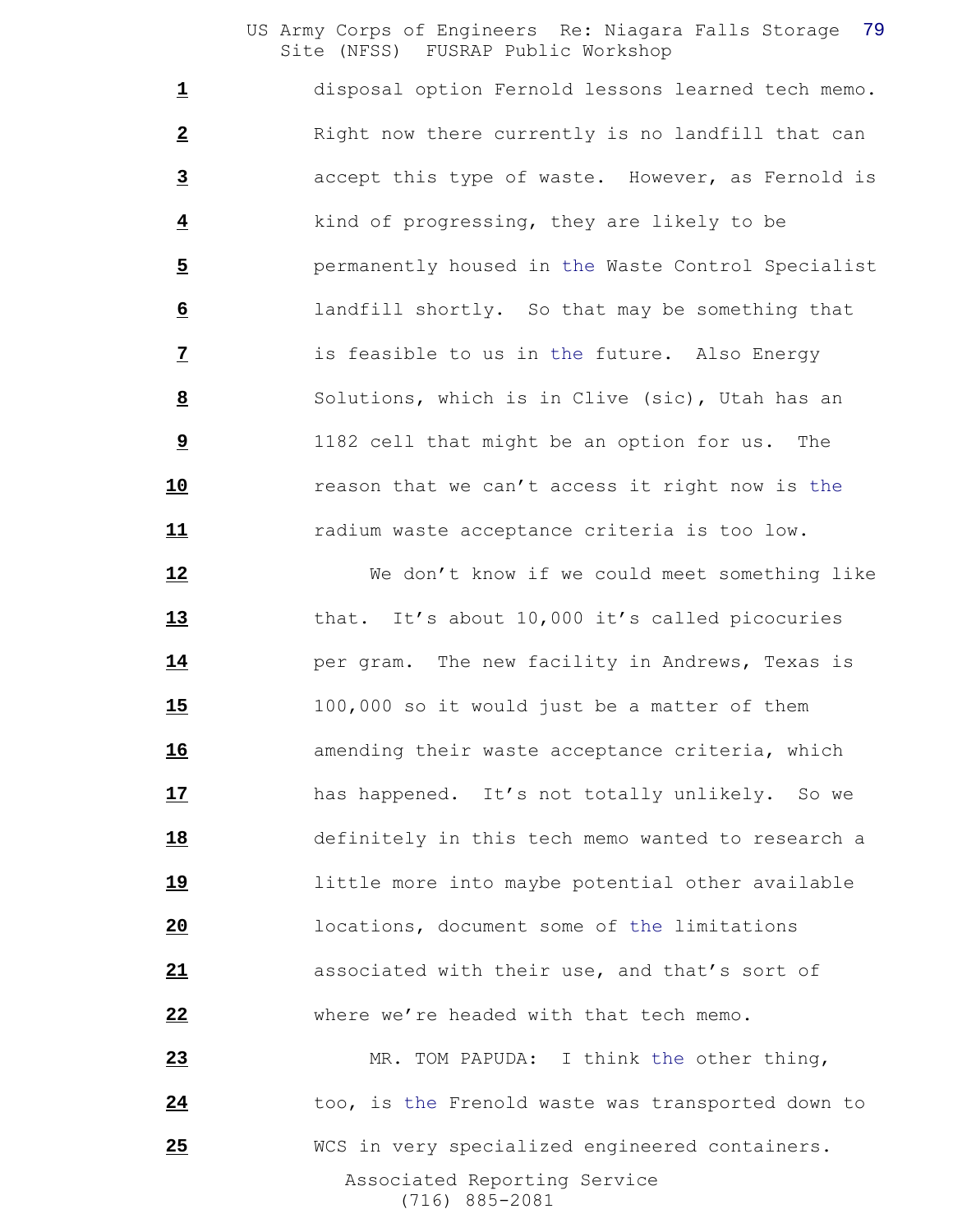disposal option Fernold lessons learned tech memo. Right now there currently is no landfill that can accept this type of waste. However, as Fernold is kind of progressing, they are likely to be permanently housed in the Waste Control Specialist landfill shortly. So that may be something that is feasible to us in the future. Also Energy Solutions, which is in Clive (sic), Utah has an 1182 cell that might be an option for us. The reason that we can't access it right now is the radium waste acceptance criteria is too low.

 We don't know if we could meet something like that. It's about 10,000 it's called picocuries per gram. The new facility in Andrews, Texas is 100,000 so it would just be a matter of them **16** amending their waste acceptance criteria, which has happened. It's not totally unlikely. So we definitely in this tech memo wanted to research a little more into maybe potential other available locations, document some of the limitations associated with their use, and that's sort of where we're headed with that tech memo. MR. TOM PAPUDA: I think the other thing,

24 too, is the Frenold waste was transported down to

WCS in very specialized engineered containers.

 Associated Reporting Service (716) 885-2081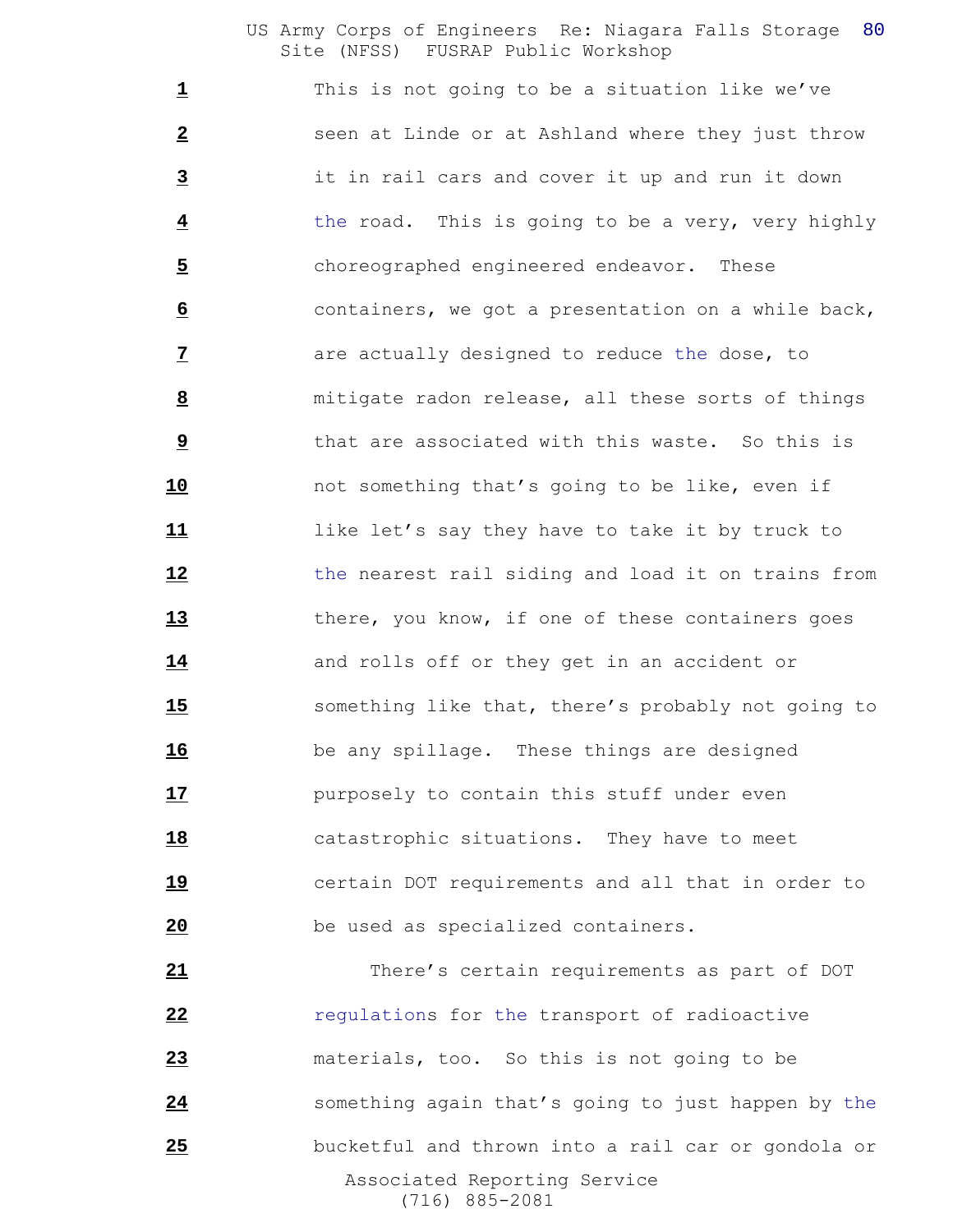This is not going to be a situation like we've **2** seen at Linde or at Ashland where they just throw it in rail cars and cover it up and run it down the road. This is going to be a very, very highly choreographed engineered endeavor. These containers, we got a presentation on a while back, are actually designed to reduce the dose, to mitigate radon release, all these sorts of things that are associated with this waste. So this is not something that's going to be like, even if like let's say they have to take it by truck to the nearest rail siding and load it on trains from 13 there, you know, if one of these containers goes 14 and rolls off or they get in an accident or something like that, there's probably not going to be any spillage. These things are designed purposely to contain this stuff under even catastrophic situations. They have to meet certain DOT requirements and all that in order to be used as specialized containers.

 Associated Reporting Service (716) 885-2081 There's certain requirements as part of DOT **22** regulations for the transport of radioactive materials, too. So this is not going to be something again that's going to just happen by the bucketful and thrown into a rail car or gondola or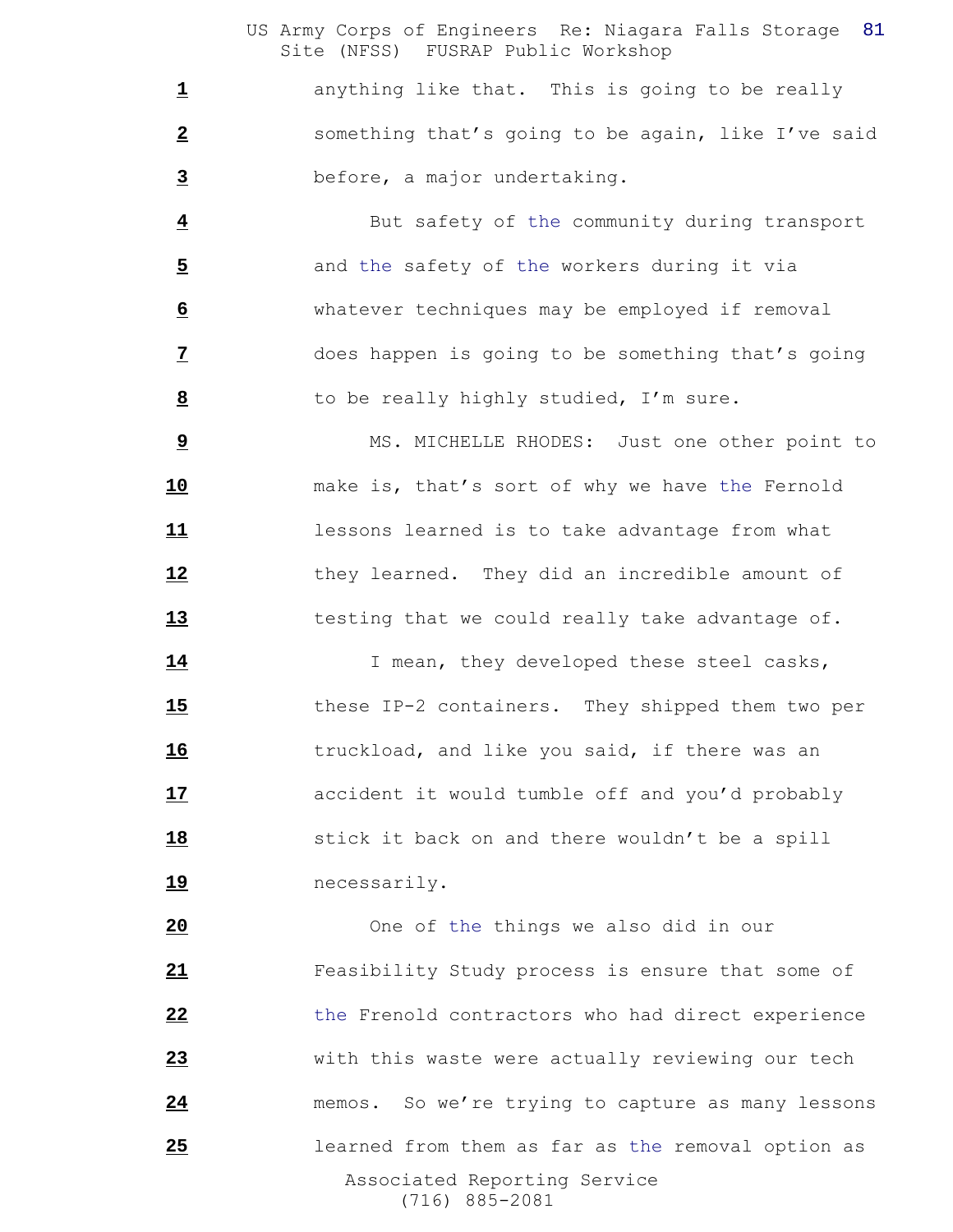1 anything like that. This is going to be really something that's going to be again, like I've said before, a major undertaking.

 But safety of the community during transport and the safety of the workers during it via whatever techniques may be employed if removal does happen is going to be something that's going to be really highly studied, I'm sure.

 MS. MICHELLE RHODES: Just one other point to make is, that's sort of why we have the Fernold lessons learned is to take advantage from what they learned. They did an incredible amount of testing that we could really take advantage of.

14 I mean, they developed these steel casks, these IP-2 containers. They shipped them two per truckload, and like you said, if there was an accident it would tumble off and you'd probably stick it back on and there wouldn't be a spill necessarily.

 Associated Reporting Service (716) 885-2081 One of the things we also did in our Feasibility Study process is ensure that some of the Frenold contractors who had direct experience with this waste were actually reviewing our tech 24 memos. So we're trying to capture as many lessons learned from them as far as the removal option as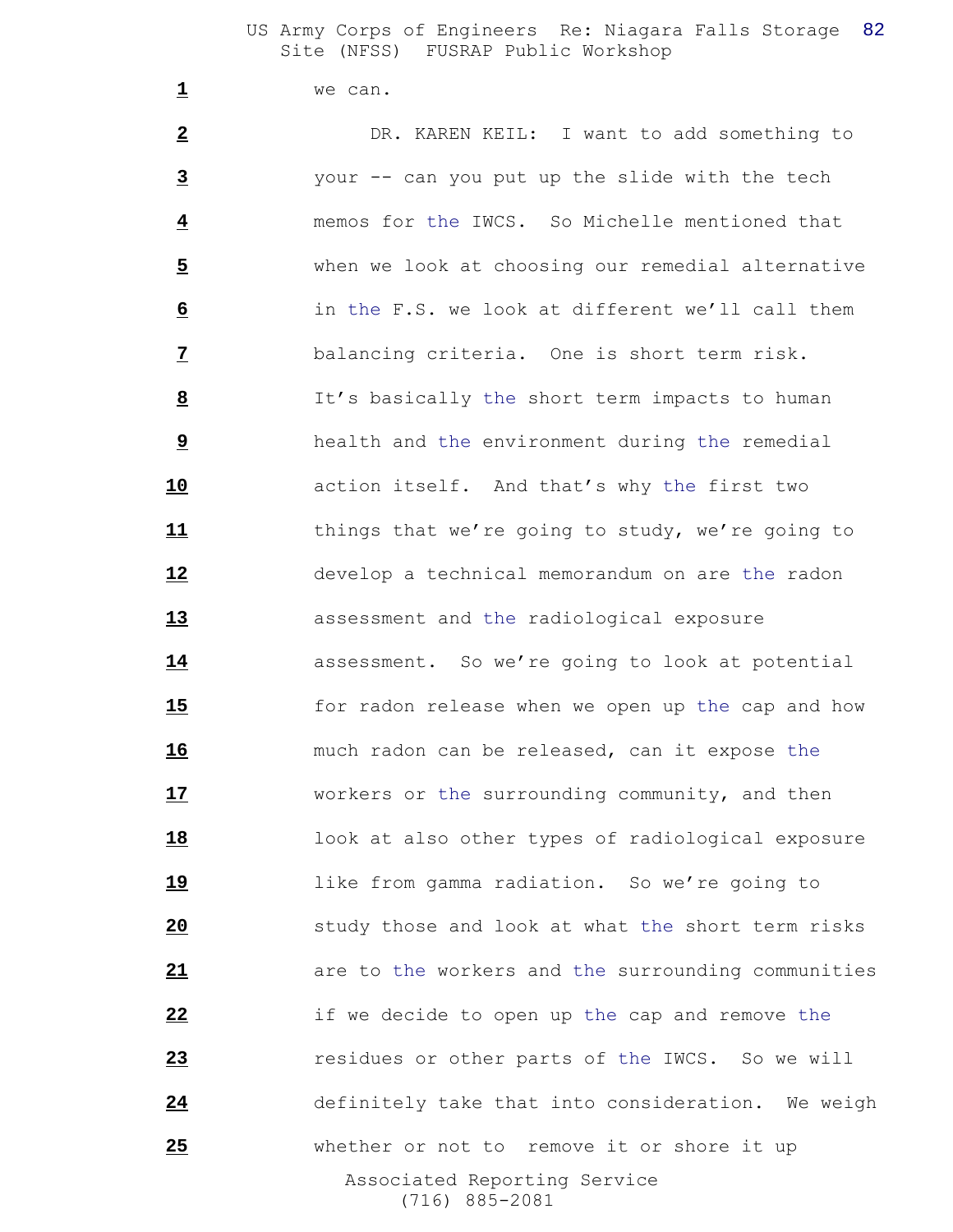we can.

 Associated Reporting Service (716) 885-2081 DR. KAREN KEIL: I want to add something to your -- can you put up the slide with the tech memos for the IWCS. So Michelle mentioned that when we look at choosing our remedial alternative in the F.S. we look at different we'll call them balancing criteria. One is short term risk. It's basically the short term impacts to human health and the environment during the remedial action itself. And that's why the first two things that we're going to study, we're going to develop a technical memorandum on are the radon assessment and the radiological exposure assessment. So we're going to look at potential for radon release when we open up the cap and how much radon can be released, can it expose the workers or the surrounding community, and then look at also other types of radiological exposure like from gamma radiation. So we're going to study those and look at what the short term risks are to the workers and the surrounding communities if we decide to open up the cap and remove the residues or other parts of the IWCS. So we will definitely take that into consideration. We weigh whether or not to remove it or shore it up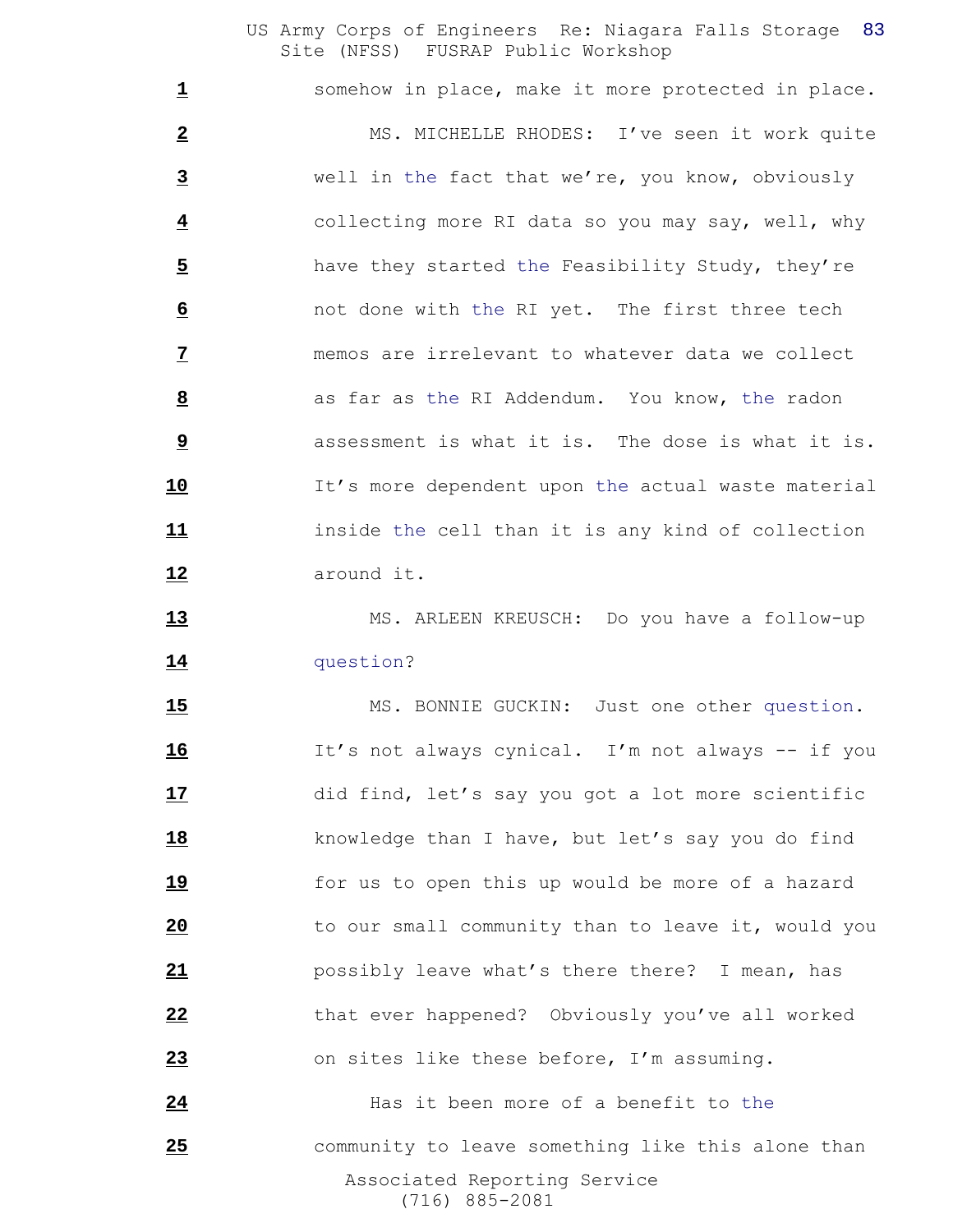somehow in place, make it more protected in place. MS. MICHELLE RHODES: I've seen it work quite well in the fact that we're, you know, obviously collecting more RI data so you may say, well, why have they started the Feasibility Study, they're not done with the RI yet. The first three tech memos are irrelevant to whatever data we collect as far as the RI Addendum. You know, the radon assessment is what it is. The dose is what it is. It's more dependent upon the actual waste material inside the cell than it is any kind of collection around it.

 MS. ARLEEN KREUSCH: Do you have a follow-up question?

15 MS. BONNIE GUCKIN: Just one other question. It's not always cynical. I'm not always -- if you did find, let's say you got a lot more scientific knowledge than I have, but let's say you do find for us to open this up would be more of a hazard to our small community than to leave it, would you possibly leave what's there there? I mean, has that ever happened? Obviously you've all worked on sites like these before, I'm assuming. Has it been more of a benefit to the

 Associated Reporting Service (716) 885-2081 community to leave something like this alone than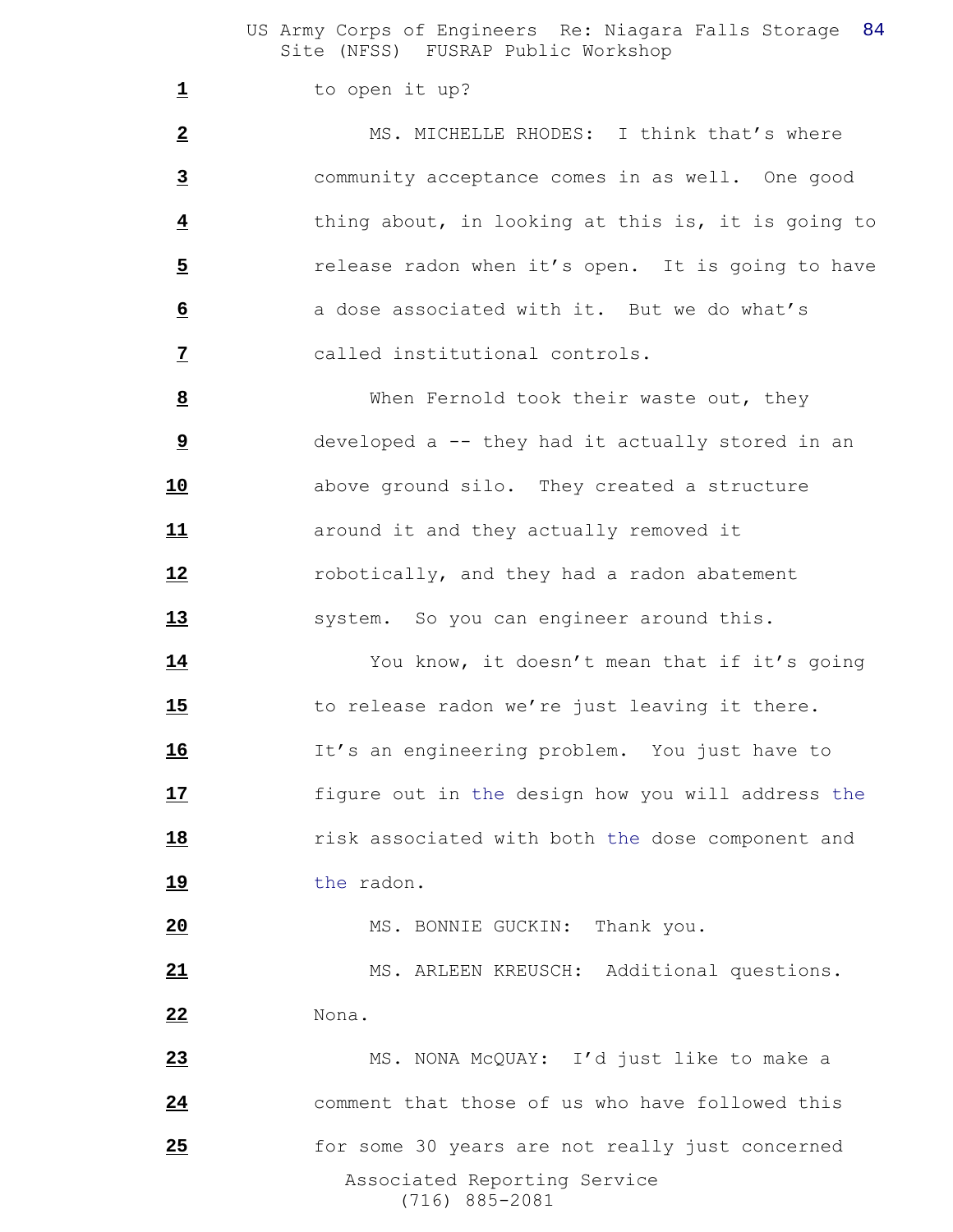to open it up?

 MS. MICHELLE RHODES: I think that's where community acceptance comes in as well. One good thing about, in looking at this is, it is going to **5** release radon when it's open. It is going to have **b** a dose associated with it. But we do what's called institutional controls.

 When Fernold took their waste out, they developed a -- they had it actually stored in an above ground silo. They created a structure **11** around it and they actually removed it robotically, and they had a radon abatement 13 system. So you can engineer around this.

 You know, it doesn't mean that if it's going 15 to release radon we're just leaving it there. It's an engineering problem. You just have to figure out in the design how you will address the risk associated with both the dose component and 19 the radon.

MS. BONNIE GUCKIN: Thank you.

 MS. ARLEEN KREUSCH: Additional questions. Nona.

 Associated Reporting Service (716) 885-2081 MS. NONA McQUAY: I'd just like to make a comment that those of us who have followed this **120** for some 30 years are not really just concerned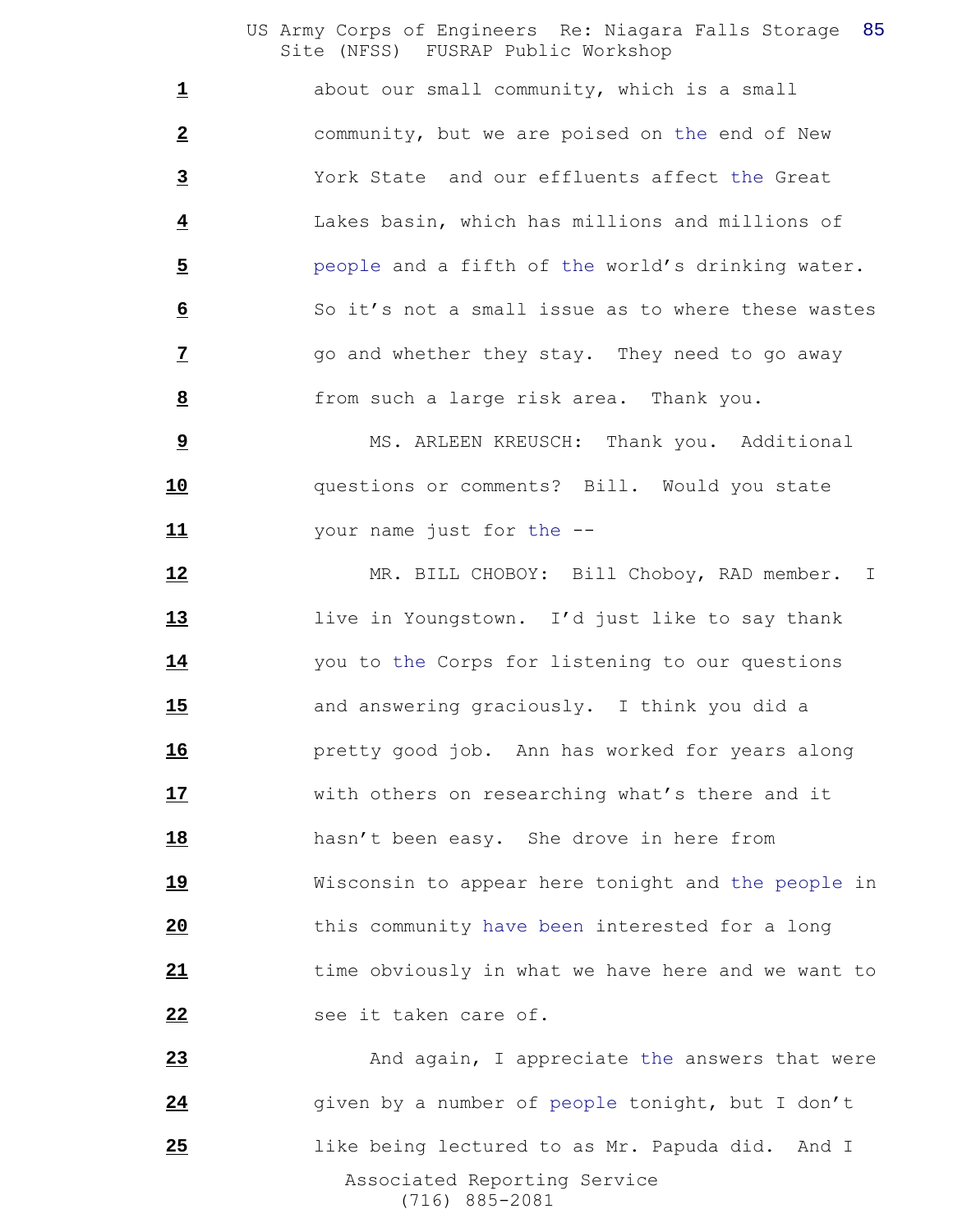about our small community, which is a small community, but we are poised on the end of New York State and our effluents affect the Great Lakes basin, which has millions and millions of people and a fifth of the world's drinking water. So it's not a small issue as to where these wastes go and whether they stay. They need to go away from such a large risk area. Thank you.

 MS. ARLEEN KREUSCH: Thank you. Additional questions or comments? Bill. Would you state your name just for the --

 MR. BILL CHOBOY: Bill Choboy, RAD member. I live in Youngstown. I'd just like to say thank you to the Corps for listening to our questions and answering graciously. I think you did a pretty good job. Ann has worked for years along with others on researching what's there and it hasn't been easy. She drove in here from Wisconsin to appear here tonight and the people in this community have been interested for a long time obviously in what we have here and we want to see it taken care of.

 Associated Reporting Service (716) 885-2081 23 And again, I appreciate the answers that were 24 given by a number of people tonight, but I don't like being lectured to as Mr. Papuda did. And I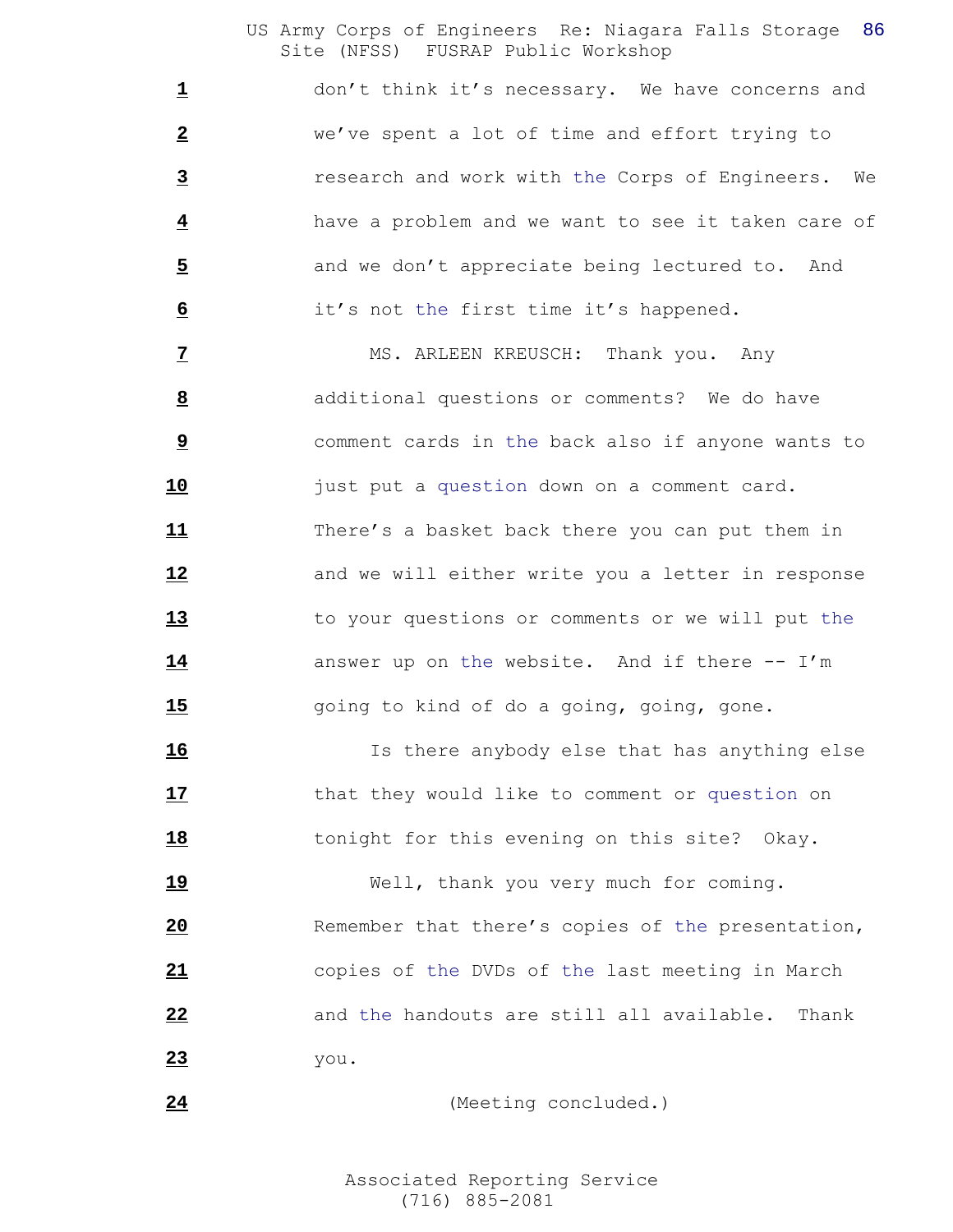don't think it's necessary. We have concerns and we've spent a lot of time and effort trying to research and work with the Corps of Engineers. We have a problem and we want to see it taken care of 5 and we don't appreciate being lectured to. And it's not the first time it's happened.

 MS. ARLEEN KREUSCH: Thank you. Any additional questions or comments? We do have comment cards in the back also if anyone wants to just put a question down on a comment card. There's a basket back there you can put them in and we will either write you a letter in response to your questions or comments or we will put the 14 answer up on the website. And if there -- I'm going to kind of do a going, going, gone.

 Is there anybody else that has anything else 17 that they would like to comment or question on **18** tonight for this evening on this site? Okay.

 Well, thank you very much for coming. **20** Remember that there's copies of the presentation, copies of the DVDs of the last meeting in March and the handouts are still all available. Thank you.

```
24 (Meeting concluded.)
```
 Associated Reporting Service (716) 885-2081